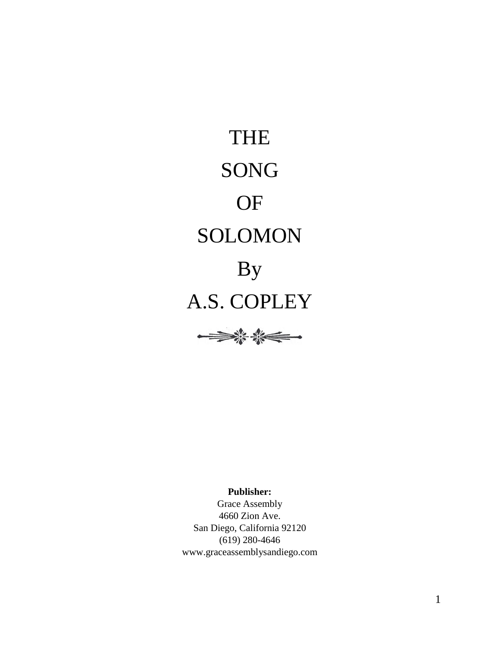THE SONG OF SOLOMON By A.S. COPLEY



**Publisher:**

Grace Assembly 4660 Zion Ave. San Diego, California 92120 (619) 280-4646 www.graceassemblysandiego.com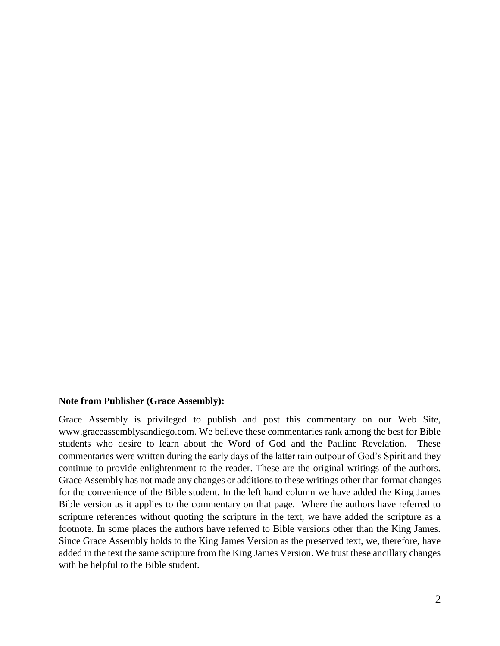#### **Note from Publisher (Grace Assembly):**

Grace Assembly is privileged to publish and post this commentary on our Web Site, www.graceassemblysandiego.com. We believe these commentaries rank among the best for Bible students who desire to learn about the Word of God and the Pauline Revelation. These commentaries were written during the early days of the latter rain outpour of God's Spirit and they continue to provide enlightenment to the reader. These are the original writings of the authors. Grace Assembly has not made any changes or additions to these writings other than format changes for the convenience of the Bible student. In the left hand column we have added the King James Bible version as it applies to the commentary on that page. Where the authors have referred to scripture references without quoting the scripture in the text, we have added the scripture as a footnote. In some places the authors have referred to Bible versions other than the King James. Since Grace Assembly holds to the King James Version as the preserved text, we, therefore, have added in the text the same scripture from the King James Version. We trust these ancillary changes with be helpful to the Bible student.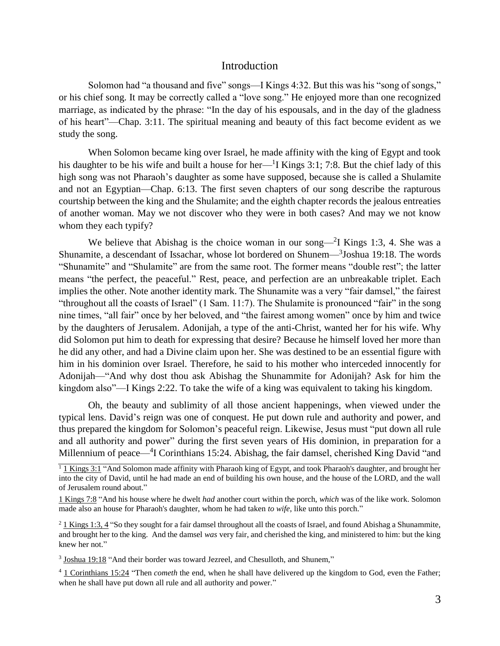# **Introduction**

Solomon had "a thousand and five" songs—I Kings 4:32. But this was his "song of songs," or his chief song. It may be correctly called a "love song." He enjoyed more than one recognized marriage, as indicated by the phrase: "In the day of his espousals, and in the day of the gladness of his heart"—Chap. 3:11. The spiritual meaning and beauty of this fact become evident as we study the song.

When Solomon became king over Israel, he made affinity with the king of Egypt and took his daughter to be his wife and built a house for her— $1$  Kings 3:1; 7:8. But the chief lady of this high song was not Pharaoh's daughter as some have supposed, because she is called a Shulamite and not an Egyptian—Chap. 6:13. The first seven chapters of our song describe the rapturous courtship between the king and the Shulamite; and the eighth chapter records the jealous entreaties of another woman. May we not discover who they were in both cases? And may we not know whom they each typify?

We believe that Abishag is the choice woman in our song— $2I$  Kings 1:3, 4. She was a Shunamite, a descendant of Issachar, whose lot bordered on Shunem—<sup>3</sup>Joshua 19:18. The words "Shunamite" and "Shulamite" are from the same root. The former means "double rest"; the latter means "the perfect, the peaceful." Rest, peace, and perfection are an unbreakable triplet. Each implies the other. Note another identity mark. The Shunamite was a very "fair damsel," the fairest "throughout all the coasts of Israel" (1 Sam. 11:7). The Shulamite is pronounced "fair" in the song nine times, "all fair" once by her beloved, and "the fairest among women" once by him and twice by the daughters of Jerusalem. Adonijah, a type of the anti-Christ, wanted her for his wife. Why did Solomon put him to death for expressing that desire? Because he himself loved her more than he did any other, and had a Divine claim upon her. She was destined to be an essential figure with him in his dominion over Israel. Therefore, he said to his mother who interceded innocently for Adonijah—"And why dost thou ask Abishag the Shunammite for Adonijah? Ask for him the kingdom also"—I Kings 2:22. To take the wife of a king was equivalent to taking his kingdom.

Oh, the beauty and sublimity of all those ancient happenings, when viewed under the typical lens. David's reign was one of conquest. He put down rule and authority and power, and thus prepared the kingdom for Solomon's peaceful reign. Likewise, Jesus must "put down all rule and all authority and power" during the first seven years of His dominion, in preparation for a Millennium of peace—<sup>4</sup>I Corinthians 15:24. Abishag, the fair damsel, cherished King David "and

 $1$  1 Kings 3:1 "And Solomon made affinity with Pharaoh king of Egypt, and took Pharaoh's daughter, and brought her into the city of David, until he had made an end of building his own house, and the house of the LORD, and the wall of Jerusalem round about."

<sup>1</sup> Kings 7:8 "And his house where he dwelt *had* another court within the porch, *which* was of the like work. Solomon made also an house for Pharaoh's daughter, whom he had taken *to wife*, like unto this porch."

 $2\overline{1}$  Kings 1:3, 4 "So they sought for a fair damsel throughout all the coasts of Israel, and found Abishag a Shunammite, and brought her to the king. And the damsel *was* very fair, and cherished the king, and ministered to him: but the king knew her not."

 $3$  Joshua 19:18 "And their border was toward Jezreel, and Chesulloth, and Shunem,"

<sup>4</sup> 1 Corinthians 15:24 "Then *cometh* the end, when he shall have delivered up the kingdom to God, even the Father; when he shall have put down all rule and all authority and power."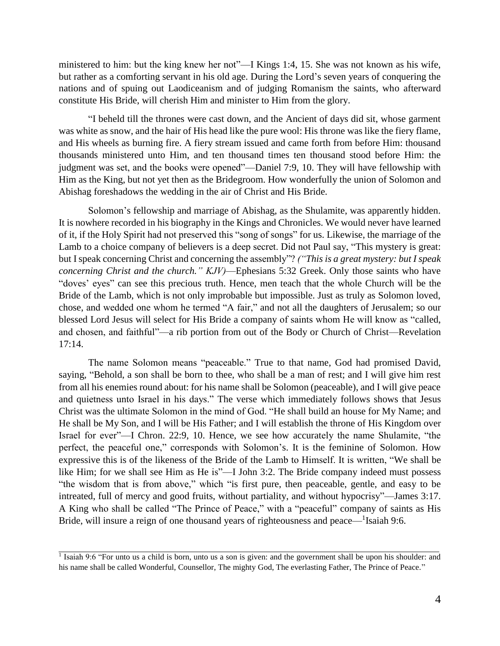ministered to him: but the king knew her not"—I Kings 1:4, 15. She was not known as his wife, but rather as a comforting servant in his old age. During the Lord's seven years of conquering the nations and of spuing out Laodiceanism and of judging Romanism the saints, who afterward constitute His Bride, will cherish Him and minister to Him from the glory.

"I beheld till the thrones were cast down, and the Ancient of days did sit, whose garment was white as snow, and the hair of His head like the pure wool: His throne was like the fiery flame, and His wheels as burning fire. A fiery stream issued and came forth from before Him: thousand thousands ministered unto Him, and ten thousand times ten thousand stood before Him: the judgment was set, and the books were opened"—Daniel 7:9, 10. They will have fellowship with Him as the King, but not yet then as the Bridegroom. How wonderfully the union of Solomon and Abishag foreshadows the wedding in the air of Christ and His Bride.

Solomon's fellowship and marriage of Abishag, as the Shulamite, was apparently hidden. It is nowhere recorded in his biography in the Kings and Chronicles. We would never have learned of it, if the Holy Spirit had not preserved this "song of songs" for us. Likewise, the marriage of the Lamb to a choice company of believers is a deep secret. Did not Paul say, "This mystery is great: but I speak concerning Christ and concerning the assembly"? *("This is a great mystery: but I speak concerning Christ and the church." KJV)*—Ephesians 5:32 Greek. Only those saints who have "doves' eyes" can see this precious truth. Hence, men teach that the whole Church will be the Bride of the Lamb, which is not only improbable but impossible. Just as truly as Solomon loved, chose, and wedded one whom he termed "A fair," and not all the daughters of Jerusalem; so our blessed Lord Jesus will select for His Bride a company of saints whom He will know as "called, and chosen, and faithful"—a rib portion from out of the Body or Church of Christ—Revelation 17:14.

The name Solomon means "peaceable." True to that name, God had promised David, saying, "Behold, a son shall be born to thee, who shall be a man of rest; and I will give him rest from all his enemies round about: for his name shall be Solomon (peaceable), and I will give peace and quietness unto Israel in his days." The verse which immediately follows shows that Jesus Christ was the ultimate Solomon in the mind of God. "He shall build an house for My Name; and He shall be My Son, and I will be His Father; and I will establish the throne of His Kingdom over Israel for ever"—I Chron. 22:9, 10. Hence, we see how accurately the name Shulamite, "the perfect, the peaceful one," corresponds with Solomon's. It is the feminine of Solomon. How expressive this is of the likeness of the Bride of the Lamb to Himself. It is written, "We shall be like Him; for we shall see Him as He is"—I John 3:2. The Bride company indeed must possess "the wisdom that is from above," which "is first pure, then peaceable, gentle, and easy to be intreated, full of mercy and good fruits, without partiality, and without hypocrisy"—James 3:17. A King who shall be called "The Prince of Peace," with a "peaceful" company of saints as His Bride, will insure a reign of one thousand years of righteousness and peace—<sup>1</sup>Isaiah 9:6.

<sup>&</sup>lt;sup>1</sup> Isaiah 9:6 "For unto us a child is born, unto us a son is given: and the government shall be upon his shoulder: and his name shall be called Wonderful, Counsellor, The mighty God, The everlasting Father, The Prince of Peace."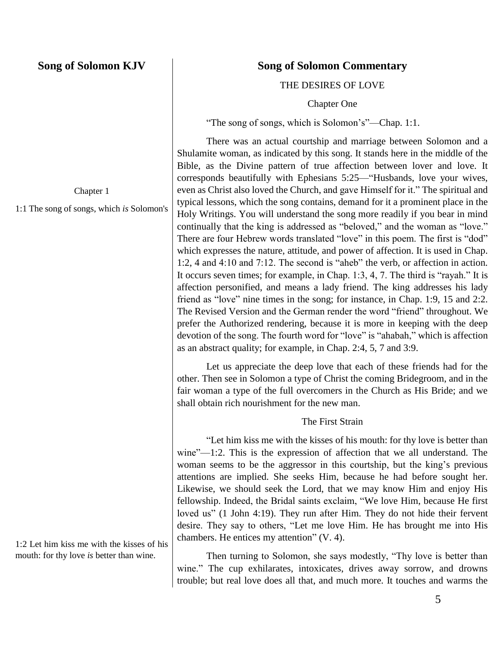Chapter 1

1:1 The song of songs, which *is* Solomon's

1:2 Let him kiss me with the kisses of his mouth: for thy love *is* better than wine.

# **Song of Solomon Commentary**

THE DESIRES OF LOVE

Chapter One

"The song of songs, which is Solomon's"—Chap. 1:1.

There was an actual courtship and marriage between Solomon and a Shulamite woman, as indicated by this song. It stands here in the middle of the Bible, as the Divine pattern of true affection between lover and love. It corresponds beautifully with Ephesians 5:25—"Husbands, love your wives, even as Christ also loved the Church, and gave Himself for it." The spiritual and typical lessons, which the song contains, demand for it a prominent place in the Holy Writings. You will understand the song more readily if you bear in mind continually that the king is addressed as "beloved," and the woman as "love." There are four Hebrew words translated "love" in this poem. The first is "dod" which expresses the nature, attitude, and power of affection. It is used in Chap. 1:2, 4 and 4:10 and 7:12. The second is "aheb" the verb, or affection in action. It occurs seven times; for example, in Chap. 1:3, 4, 7. The third is "rayah." It is affection personified, and means a lady friend. The king addresses his lady friend as "love" nine times in the song; for instance, in Chap. 1:9, 15 and 2:2. The Revised Version and the German render the word "friend" throughout. We prefer the Authorized rendering, because it is more in keeping with the deep devotion of the song. The fourth word for "love" is "ahabah," which is affection as an abstract quality; for example, in Chap. 2:4, 5, 7 and 3:9.

Let us appreciate the deep love that each of these friends had for the other. Then see in Solomon a type of Christ the coming Bridegroom, and in the fair woman a type of the full overcomers in the Church as His Bride; and we shall obtain rich nourishment for the new man.

# The First Strain

"Let him kiss me with the kisses of his mouth: for thy love is better than wine"—1:2. This is the expression of affection that we all understand. The woman seems to be the aggressor in this courtship, but the king's previous attentions are implied. She seeks Him, because he had before sought her. Likewise, we should seek the Lord, that we may know Him and enjoy His fellowship. Indeed, the Bridal saints exclaim, "We love Him, because He first loved us" (1 John 4:19). They run after Him. They do not hide their fervent desire. They say to others, "Let me love Him. He has brought me into His chambers. He entices my attention" (V. 4).

Then turning to Solomon, she says modestly, "Thy love is better than wine." The cup exhilarates, intoxicates, drives away sorrow, and drowns trouble; but real love does all that, and much more. It touches and warms the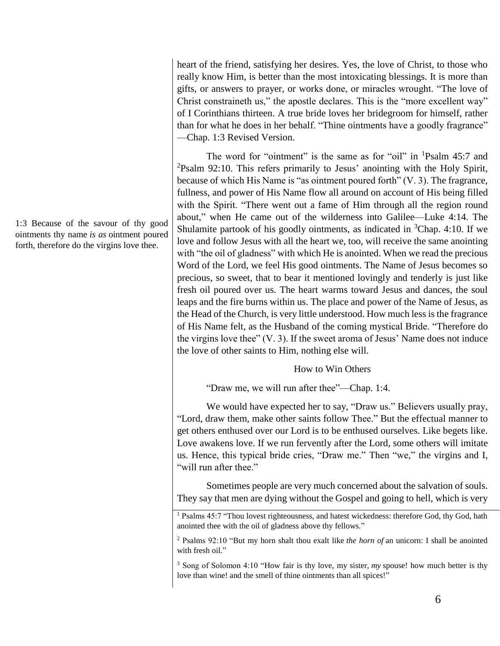1:3 Because of the savour of thy good ointments thy name *is as* ointment poured forth, therefore do the virgins love thee.

heart of the friend, satisfying her desires. Yes, the love of Christ, to those who really know Him, is better than the most intoxicating blessings. It is more than gifts, or answers to prayer, or works done, or miracles wrought. "The love of Christ constraineth us," the apostle declares. This is the "more excellent way" of I Corinthians thirteen. A true bride loves her bridegroom for himself, rather than for what he does in her behalf. "Thine ointments have a goodly fragrance" —Chap. 1:3 Revised Version.

The word for "ointment" is the same as for "oil" in <sup>1</sup>Psalm 45:7 and  $2P$ Salm 92:10. This refers primarily to Jesus' anointing with the Holy Spirit, because of which His Name is "as ointment poured forth" (V. 3). The fragrance, fullness, and power of His Name flow all around on account of His being filled with the Spirit. "There went out a fame of Him through all the region round about," when He came out of the wilderness into Galilee—Luke 4:14. The Shulamite partook of his goodly ointments, as indicated in  ${}^{3}$ Chap. 4:10. If we love and follow Jesus with all the heart we, too, will receive the same anointing with "the oil of gladness" with which He is anointed. When we read the precious Word of the Lord, we feel His good ointments. The Name of Jesus becomes so precious, so sweet, that to bear it mentioned lovingly and tenderly is just like fresh oil poured over us. The heart warms toward Jesus and dances, the soul leaps and the fire burns within us. The place and power of the Name of Jesus, as the Head of the Church, is very little understood. How much less is the fragrance of His Name felt, as the Husband of the coming mystical Bride. "Therefore do the virgins love thee" (V. 3). If the sweet aroma of Jesus' Name does not induce the love of other saints to Him, nothing else will.

# How to Win Others

"Draw me, we will run after thee"—Chap. 1:4.

We would have expected her to say, "Draw us." Believers usually pray, "Lord, draw them, make other saints follow Thee." But the effectual manner to get others enthused over our Lord is to be enthused ourselves. Like begets like. Love awakens love. If we run fervently after the Lord, some others will imitate us. Hence, this typical bride cries, "Draw me." Then "we," the virgins and I, "will run after thee."

Sometimes people are very much concerned about the salvation of souls. They say that men are dying without the Gospel and going to hell, which is very

<sup>&</sup>lt;sup>1</sup> Psalms 45:7 "Thou lovest righteousness, and hatest wickedness: therefore God, thy God, hath anointed thee with the oil of gladness above thy fellows."

<sup>2</sup> Psalms 92:10 "But my horn shalt thou exalt like *the horn of* an unicorn: I shall be anointed with fresh oil."

<sup>3</sup> Song of Solomon 4:10 "How fair is thy love, my sister, *my* spouse! how much better is thy love than wine! and the smell of thine ointments than all spices!"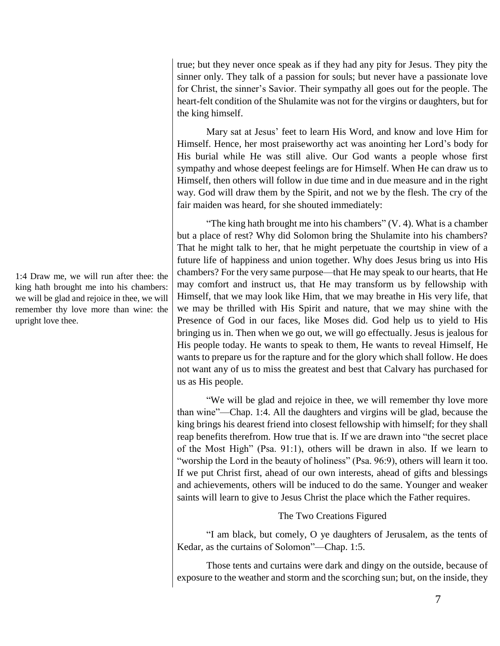true; but they never once speak as if they had any pity for Jesus. They pity the sinner only. They talk of a passion for souls; but never have a passionate love for Christ, the sinner's Savior. Their sympathy all goes out for the people. The heart-felt condition of the Shulamite was not for the virgins or daughters, but for the king himself.

Mary sat at Jesus' feet to learn His Word, and know and love Him for Himself. Hence, her most praiseworthy act was anointing her Lord's body for His burial while He was still alive. Our God wants a people whose first sympathy and whose deepest feelings are for Himself. When He can draw us to Himself, then others will follow in due time and in due measure and in the right way. God will draw them by the Spirit, and not we by the flesh. The cry of the fair maiden was heard, for she shouted immediately:

"The king hath brought me into his chambers"  $(V, 4)$ . What is a chamber but a place of rest? Why did Solomon bring the Shulamite into his chambers? That he might talk to her, that he might perpetuate the courtship in view of a future life of happiness and union together. Why does Jesus bring us into His chambers? For the very same purpose—that He may speak to our hearts, that He may comfort and instruct us, that He may transform us by fellowship with Himself, that we may look like Him, that we may breathe in His very life, that we may be thrilled with His Spirit and nature, that we may shine with the Presence of God in our faces, like Moses did. God help us to yield to His bringing us in. Then when we go out, we will go effectually. Jesus is jealous for His people today. He wants to speak to them, He wants to reveal Himself, He wants to prepare us for the rapture and for the glory which shall follow. He does not want any of us to miss the greatest and best that Calvary has purchased for us as His people.

"We will be glad and rejoice in thee, we will remember thy love more than wine"—Chap. 1:4. All the daughters and virgins will be glad, because the king brings his dearest friend into closest fellowship with himself; for they shall reap benefits therefrom. How true that is. If we are drawn into "the secret place of the Most High" (Psa. 91:1), others will be drawn in also. If we learn to "worship the Lord in the beauty of holiness" (Psa. 96:9), others will learn it too. If we put Christ first, ahead of our own interests, ahead of gifts and blessings and achievements, others will be induced to do the same. Younger and weaker saints will learn to give to Jesus Christ the place which the Father requires.

# The Two Creations Figured

"I am black, but comely, O ye daughters of Jerusalem, as the tents of Kedar, as the curtains of Solomon"—Chap. 1:5.

Those tents and curtains were dark and dingy on the outside, because of exposure to the weather and storm and the scorching sun; but, on the inside, they

1:4 Draw me, we will run after thee: the king hath brought me into his chambers: we will be glad and rejoice in thee, we will remember thy love more than wine: the upright love thee.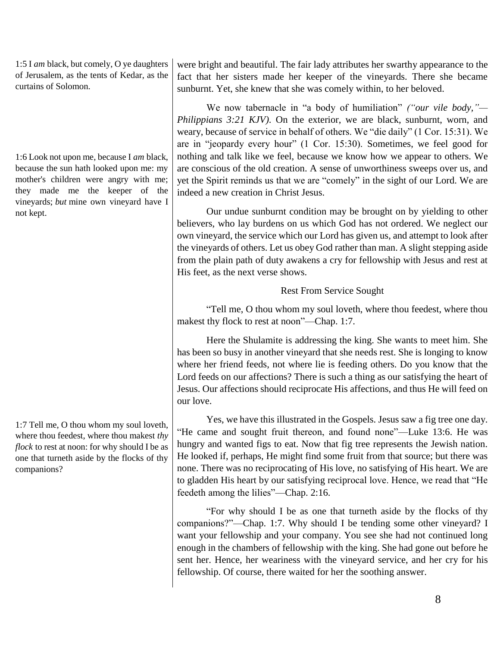1:5 I *am* black, but comely, O ye daughters of Jerusalem, as the tents of Kedar, as the curtains of Solomon.

1:6 Look not upon me, because I *am* black, because the sun hath looked upon me: my mother's children were angry with me; they made me the keeper of the vineyards; *but* mine own vineyard have I not kept.

1:7 Tell me, O thou whom my soul loveth, where thou feedest, where thou makest *thy flock* to rest at noon: for why should I be as one that turneth aside by the flocks of thy companions?

were bright and beautiful. The fair lady attributes her swarthy appearance to the fact that her sisters made her keeper of the vineyards. There she became sunburnt. Yet, she knew that she was comely within, to her beloved.

We now tabernacle in "a body of humiliation" *("our vile body,"— Philippians 3:21 KJV)*. On the exterior, we are black, sunburnt, worn, and weary, because of service in behalf of others. We "die daily" (1 Cor. 15:31). We are in "jeopardy every hour" (1 Cor. 15:30). Sometimes, we feel good for nothing and talk like we feel, because we know how we appear to others. We are conscious of the old creation. A sense of unworthiness sweeps over us, and yet the Spirit reminds us that we are "comely" in the sight of our Lord. We are indeed a new creation in Christ Jesus.

Our undue sunburnt condition may be brought on by yielding to other believers, who lay burdens on us which God has not ordered. We neglect our own vineyard, the service which our Lord has given us, and attempt to look after the vineyards of others. Let us obey God rather than man. A slight stepping aside from the plain path of duty awakens a cry for fellowship with Jesus and rest at His feet, as the next verse shows.

# Rest From Service Sought

"Tell me, O thou whom my soul loveth, where thou feedest, where thou makest thy flock to rest at noon"—Chap. 1:7.

Here the Shulamite is addressing the king. She wants to meet him. She has been so busy in another vineyard that she needs rest. She is longing to know where her friend feeds, not where lie is feeding others. Do you know that the Lord feeds on our affections? There is such a thing as our satisfying the heart of Jesus. Our affections should reciprocate His affections, and thus He will feed on our love.

Yes, we have this illustrated in the Gospels. Jesus saw a fig tree one day. "He came and sought fruit thereon, and found none"—Luke 13:6. He was hungry and wanted figs to eat. Now that fig tree represents the Jewish nation. He looked if, perhaps, He might find some fruit from that source; but there was none. There was no reciprocating of His love, no satisfying of His heart. We are to gladden His heart by our satisfying reciprocal love. Hence, we read that "He feedeth among the lilies"—Chap. 2:16.

"For why should I be as one that turneth aside by the flocks of thy companions?"—Chap. 1:7. Why should I be tending some other vineyard? I want your fellowship and your company. You see she had not continued long enough in the chambers of fellowship with the king. She had gone out before he sent her. Hence, her weariness with the vineyard service, and her cry for his fellowship. Of course, there waited for her the soothing answer.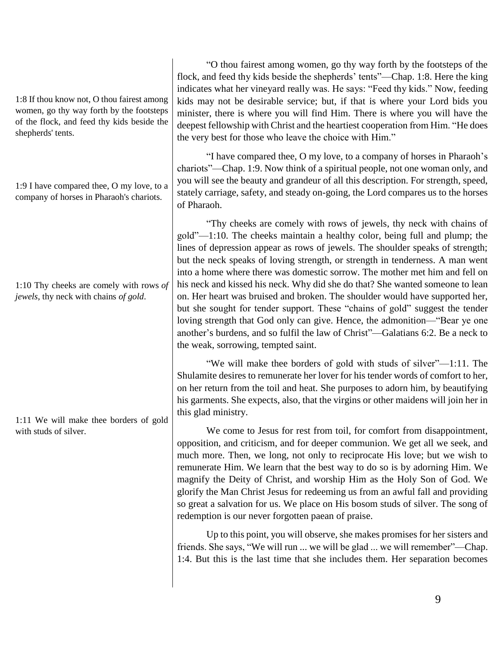1:8 If thou know not, O thou fairest among women, go thy way forth by the footsteps of the flock, and feed thy kids beside the shepherds' tents.

1:9 I have compared thee, O my love, to a company of horses in Pharaoh's chariots.

1:10 Thy cheeks are comely with rows *of jewels*, thy neck with chains *of gold*.

1:11 We will make thee borders of gold with studs of silver.

"O thou fairest among women, go thy way forth by the footsteps of the flock, and feed thy kids beside the shepherds' tents"—Chap. 1:8. Here the king indicates what her vineyard really was. He says: "Feed thy kids." Now, feeding kids may not be desirable service; but, if that is where your Lord bids you minister, there is where you will find Him. There is where you will have the deepest fellowship with Christ and the heartiest cooperation from Him. "He does the very best for those who leave the choice with Him."

"I have compared thee, O my love, to a company of horses in Pharaoh's chariots"—Chap. 1:9. Now think of a spiritual people, not one woman only, and you will see the beauty and grandeur of all this description. For strength, speed, stately carriage, safety, and steady on-going, the Lord compares us to the horses of Pharaoh.

"Thy cheeks are comely with rows of jewels, thy neck with chains of gold"—1:10. The cheeks maintain a healthy color, being full and plump; the lines of depression appear as rows of jewels. The shoulder speaks of strength; but the neck speaks of loving strength, or strength in tenderness. A man went into a home where there was domestic sorrow. The mother met him and fell on his neck and kissed his neck. Why did she do that? She wanted someone to lean on. Her heart was bruised and broken. The shoulder would have supported her, but she sought for tender support. These "chains of gold" suggest the tender loving strength that God only can give. Hence, the admonition—"Bear ye one another's burdens, and so fulfil the law of Christ"—Galatians 6:2. Be a neck to the weak, sorrowing, tempted saint.

"We will make thee borders of gold with studs of silver"—1:11. The Shulamite desires to remunerate her lover for his tender words of comfort to her, on her return from the toil and heat. She purposes to adorn him, by beautifying his garments. She expects, also, that the virgins or other maidens will join her in this glad ministry.

We come to Jesus for rest from toil, for comfort from disappointment, opposition, and criticism, and for deeper communion. We get all we seek, and much more. Then, we long, not only to reciprocate His love; but we wish to remunerate Him. We learn that the best way to do so is by adorning Him. We magnify the Deity of Christ, and worship Him as the Holy Son of God. We glorify the Man Christ Jesus for redeeming us from an awful fall and providing so great a salvation for us. We place on His bosom studs of silver. The song of redemption is our never forgotten paean of praise.

Up to this point, you will observe, she makes promises for her sisters and friends. She says, "We will run ... we will be glad ... we will remember"—Chap. 1:4. But this is the last time that she includes them. Her separation becomes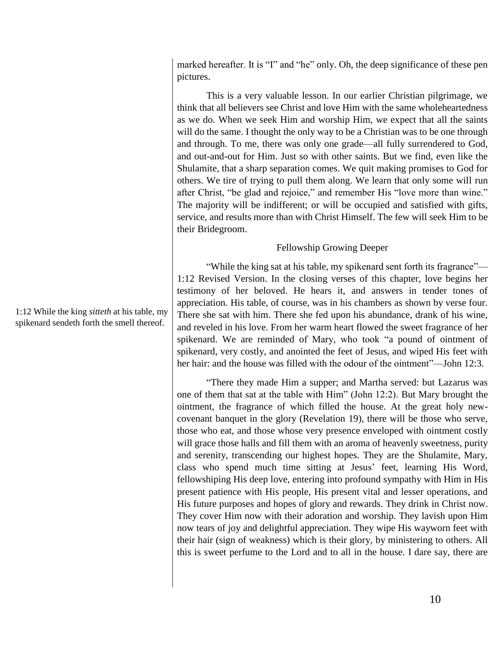marked hereafter. It is "I" and "he" only. Oh, the deep significance of these pen pictures.

This is a very valuable lesson. In our earlier Christian pilgrimage, we think that all believers see Christ and love Him with the same wholeheartedness as we do. When we seek Him and worship Him, we expect that all the saints will do the same. I thought the only way to be a Christian was to be one through and through. To me, there was only one grade—all fully surrendered to God, and out-and-out for Him. Just so with other saints. But we find, even like the Shulamite, that a sharp separation comes. We quit making promises to God for others. We tire of trying to pull them along. We learn that only some will run after Christ, "be glad and rejoice," and remember His "love more than wine." The majority will be indifferent; or will be occupied and satisfied with gifts, service, and results more than with Christ Himself. The few will seek Him to be their Bridegroom.

#### Fellowship Growing Deeper

"While the king sat at his table, my spikenard sent forth its fragrance"— 1:12 Revised Version. In the closing verses of this chapter, love begins her testimony of her beloved. He hears it, and answers in tender tones of appreciation. His table, of course, was in his chambers as shown by verse four. There she sat with him. There she fed upon his abundance, drank of his wine, and reveled in his love. From her warm heart flowed the sweet fragrance of her spikenard. We are reminded of Mary, who took "a pound of ointment of spikenard, very costly, and anointed the feet of Jesus, and wiped His feet with her hair: and the house was filled with the odour of the ointment"—John 12:3.

"There they made Him a supper; and Martha served: but Lazarus was one of them that sat at the table with Him" (John 12:2). But Mary brought the ointment, the fragrance of which filled the house. At the great holy newcovenant banquet in the glory (Revelation 19), there will be those who serve, those who eat, and those whose very presence enveloped with ointment costly will grace those halls and fill them with an aroma of heavenly sweetness, purity and serenity, transcending our highest hopes. They are the Shulamite, Mary, class who spend much time sitting at Jesus' feet, learning His Word, fellowshiping His deep love, entering into profound sympathy with Him in His present patience with His people, His present vital and lesser operations, and His future purposes and hopes of glory and rewards. They drink in Christ now. They cover Him now with their adoration and worship. They lavish upon Him now tears of joy and delightful appreciation. They wipe His wayworn feet with their hair (sign of weakness) which is their glory, by ministering to others. All this is sweet perfume to the Lord and to all in the house. I dare say, there are

1:12 While the king *sitteth* at his table, my spikenard sendeth forth the smell thereof.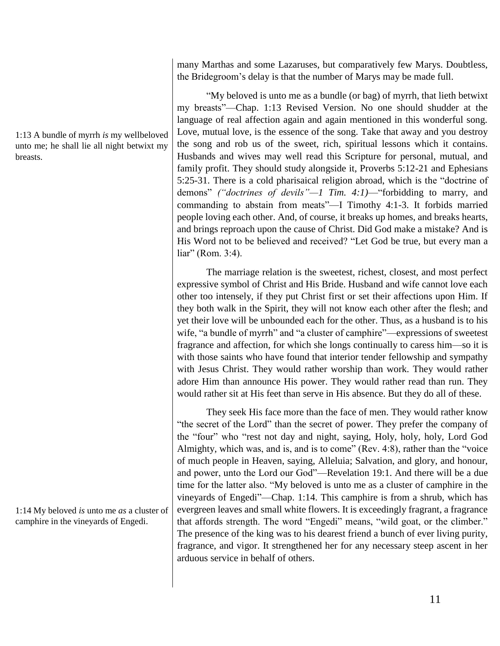many Marthas and some Lazaruses, but comparatively few Marys. Doubtless, the Bridegroom's delay is that the number of Marys may be made full.

"My beloved is unto me as a bundle (or bag) of myrrh, that lieth betwixt my breasts"—Chap. 1:13 Revised Version. No one should shudder at the language of real affection again and again mentioned in this wonderful song. Love, mutual love, is the essence of the song. Take that away and you destroy the song and rob us of the sweet, rich, spiritual lessons which it contains. Husbands and wives may well read this Scripture for personal, mutual, and family profit. They should study alongside it, Proverbs 5:12-21 and Ephesians 5:25-31. There is a cold pharisaical religion abroad, which is the "doctrine of demons" *("doctrines of devils"—1 Tim. 4:1)*—"forbidding to marry, and commanding to abstain from meats"—I Timothy 4:1-3. It forbids married people loving each other. And, of course, it breaks up homes, and breaks hearts, and brings reproach upon the cause of Christ. Did God make a mistake? And is His Word not to be believed and received? "Let God be true, but every man a liar" (Rom. 3:4).

The marriage relation is the sweetest, richest, closest, and most perfect expressive symbol of Christ and His Bride. Husband and wife cannot love each other too intensely, if they put Christ first or set their affections upon Him. If they both walk in the Spirit, they will not know each other after the flesh; and yet their love will be unbounded each for the other. Thus, as a husband is to his wife, "a bundle of myrrh" and "a cluster of camphire"—expressions of sweetest fragrance and affection, for which she longs continually to caress him—so it is with those saints who have found that interior tender fellowship and sympathy with Jesus Christ. They would rather worship than work. They would rather adore Him than announce His power. They would rather read than run. They would rather sit at His feet than serve in His absence. But they do all of these.

They seek His face more than the face of men. They would rather know "the secret of the Lord" than the secret of power. They prefer the company of the "four" who "rest not day and night, saying, Holy, holy, holy, Lord God Almighty, which was, and is, and is to come" (Rev. 4:8), rather than the "voice of much people in Heaven, saying, Alleluia; Salvation, and glory, and honour, and power, unto the Lord our God"—Revelation 19:1. And there will be a due time for the latter also. "My beloved is unto me as a cluster of camphire in the vineyards of Engedi"—Chap. 1:14. This camphire is from a shrub, which has evergreen leaves and small white flowers. It is exceedingly fragrant, a fragrance that affords strength. The word "Engedi" means, "wild goat, or the climber." The presence of the king was to his dearest friend a bunch of ever living purity, fragrance, and vigor. It strengthened her for any necessary steep ascent in her arduous service in behalf of others.

1:13 A bundle of myrrh *is* my wellbeloved unto me; he shall lie all night betwixt my breasts.

1:14 My beloved *is* unto me *as* a cluster of camphire in the vineyards of Engedi.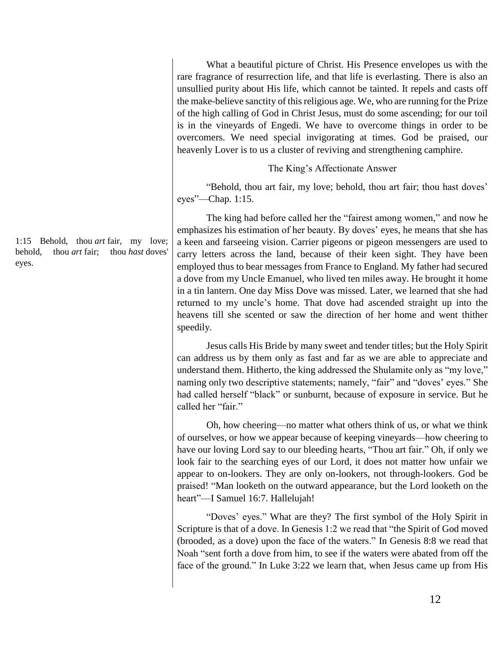What a beautiful picture of Christ. His Presence envelopes us with the rare fragrance of resurrection life, and that life is everlasting. There is also an unsullied purity about His life, which cannot be tainted. It repels and casts off the make-believe sanctity of this religious age. We, who are running for the Prize of the high calling of God in Christ Jesus, must do some ascending; for our toil is in the vineyards of Engedi. We have to overcome things in order to be overcomers. We need special invigorating at times. God be praised, our heavenly Lover is to us a cluster of reviving and strengthening camphire.

The King's Affectionate Answer

"Behold, thou art fair, my love; behold, thou art fair; thou hast doves' eyes"—Chap. 1:15.

The king had before called her the "fairest among women," and now he emphasizes his estimation of her beauty. By doves' eyes, he means that she has a keen and farseeing vision. Carrier pigeons or pigeon messengers are used to carry letters across the land, because of their keen sight. They have been employed thus to bear messages from France to England. My father had secured a dove from my Uncle Emanuel, who lived ten miles away. He brought it home in a tin lantern. One day Miss Dove was missed. Later, we learned that she had returned to my uncle's home. That dove had ascended straight up into the heavens till she scented or saw the direction of her home and went thither speedily.

Jesus calls His Bride by many sweet and tender titles; but the Holy Spirit can address us by them only as fast and far as we are able to appreciate and understand them. Hitherto, the king addressed the Shulamite only as "my love," naming only two descriptive statements; namely, "fair" and "doves' eyes." She had called herself "black" or sunburnt, because of exposure in service. But he called her "fair."

Oh, how cheering—no matter what others think of us, or what we think of ourselves, or how we appear because of keeping vineyards—how cheering to have our loving Lord say to our bleeding hearts, "Thou art fair." Oh, if only we look fair to the searching eyes of our Lord, it does not matter how unfair we appear to on-lookers. They are only on-lookers, not through-lookers. God be praised! "Man looketh on the outward appearance, but the Lord looketh on the heart"—I Samuel 16:7. Hallelujah!

"Doves' eyes." What are they? The first symbol of the Holy Spirit in Scripture is that of a dove. In Genesis 1:2 we read that "the Spirit of God moved (brooded, as a dove) upon the face of the waters." In Genesis 8:8 we read that Noah "sent forth a dove from him, to see if the waters were abated from off the face of the ground." In Luke 3:22 we learn that, when Jesus came up from His

1:15 Behold, thou *art* fair, my love; behold, thou *art* fair; thou *hast* doves' eyes.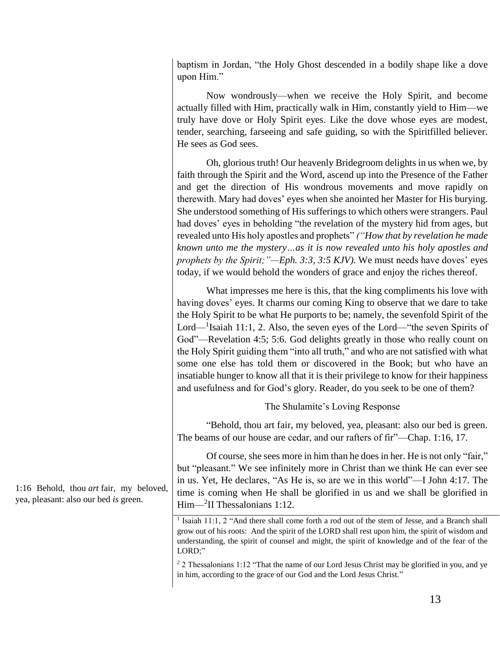baptism in Jordan, "the Holy Ghost descended in a bodily shape like a dove upon Him."

Now wondrously—when we receive the Holy Spirit, and become actually filled with Him, practically walk in Him, constantly yield to Him—we truly have dove or Holy Spirit eyes. Like the dove whose eyes are modest, tender, searching, farseeing and safe guiding, so with the Spiritfilled believer. He sees as God sees.

Oh, glorious truth! Our heavenly Bridegroom delights in us when we, by faith through the Spirit and the Word, ascend up into the Presence of the Father and get the direction of His wondrous movements and move rapidly on therewith. Mary had doves' eyes when she anointed her Master for His burying. She understood something of His sufferings to which others were strangers. Paul had doves' eyes in beholding "the revelation of the mystery hid from ages, but revealed unto His holy apostles and prophets" *("How that by revelation he made known unto me the mystery…as it is now revealed unto his holy apostles and prophets by the Spirit;"—Eph. 3:3, 3:5 KJV)*. We must needs have doves' eyes today, if we would behold the wonders of grace and enjoy the riches thereof.

What impresses me here is this, that the king compliments his love with having doves' eyes. It charms our coming King to observe that we dare to take the Holy Spirit to be what He purports to be; namely, the sevenfold Spirit of the Lord— $<sup>1</sup>$ Isaiah 11:1, 2. Also, the seven eyes of the Lord—"the seven Spirits of</sup> God"—Revelation 4:5; 5:6. God delights greatly in those who really count on the Holy Spirit guiding them "into all truth," and who are not satisfied with what some one else has told them or discovered in the Book; but who have an insatiable hunger to know all that it is their privilege to know for their happiness and usefulness and for God's glory. Reader, do you seek to be one of them?

The Shulamite's Loving Response

"Behold, thou art fair, my beloved, yea, pleasant: also our bed is green. The beams of our house are cedar, and our rafters of fir"—Chap. 1:16, 17.

Of course, she sees more in him than he does in her. He is not only "fair," but "pleasant." We see infinitely more in Christ than we think He can ever see in us. Yet, He declares, "As He is, so are we in this world"—I John 4:17. The time is coming when He shall be glorified in us and we shall be glorified in Him—<sup>2</sup> II Thessalonians 1:12.

<sup>1</sup> Isaiah 11:1, 2 "And there shall come forth a rod out of the stem of Jesse, and a Branch shall grow out of his roots: And the spirit of the LORD shall rest upon him, the spirit of wisdom and understanding, the spirit of counsel and might, the spirit of knowledge and of the fear of the LORD;"

<sup>2</sup> 2 Thessalonians 1:12 "That the name of our Lord Jesus Christ may be glorified in you, and ye in him, according to the grace of our God and the Lord Jesus Christ."

1:16 Behold, thou *art* fair, my beloved, yea, pleasant: also our bed *is* green.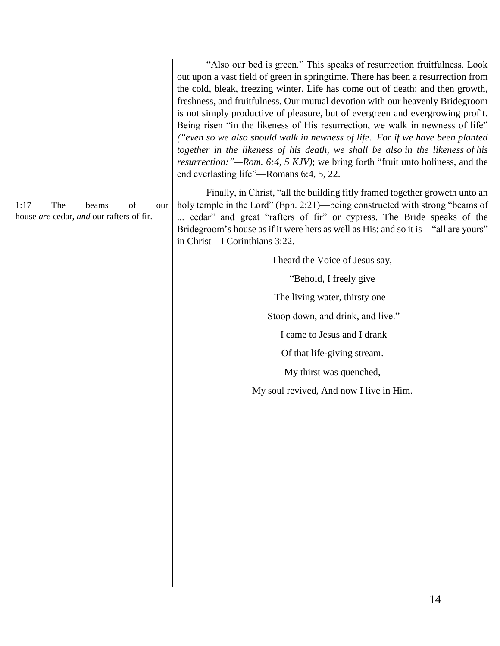out upon a vast field of green in springtime. There has been a resurrection from the cold, bleak, freezing winter. Life has come out of death; and then growth, freshness, and fruitfulness. Our mutual devotion with our heavenly Bridegroom is not simply productive of pleasure, but of evergreen and evergrowing profit. Being risen "in the likeness of His resurrection, we walk in newness of life" *("even so we also should walk in newness of life. For if we have been planted together in the likeness of his death, we shall be also in the likeness of his resurrection:"—Rom. 6:4, 5 KJV)*; we bring forth "fruit unto holiness, and the end everlasting life"—Romans 6:4, 5, 22.

"Also our bed is green." This speaks of resurrection fruitfulness. Look

Finally, in Christ, "all the building fitly framed together groweth unto an holy temple in the Lord" (Eph. 2:21)—being constructed with strong "beams of ... cedar" and great "rafters of fir" or cypress. The Bride speaks of the Bridegroom's house as if it were hers as well as His; and so it is—"all are yours" in Christ—I Corinthians 3:22.

I heard the Voice of Jesus say,

"Behold, I freely give

The living water, thirsty one–

Stoop down, and drink, and live."

I came to Jesus and I drank

Of that life-giving stream.

My thirst was quenched,

My soul revived, And now I live in Him.

1:17 The beams of our house *are* cedar, *and* our rafters of fir.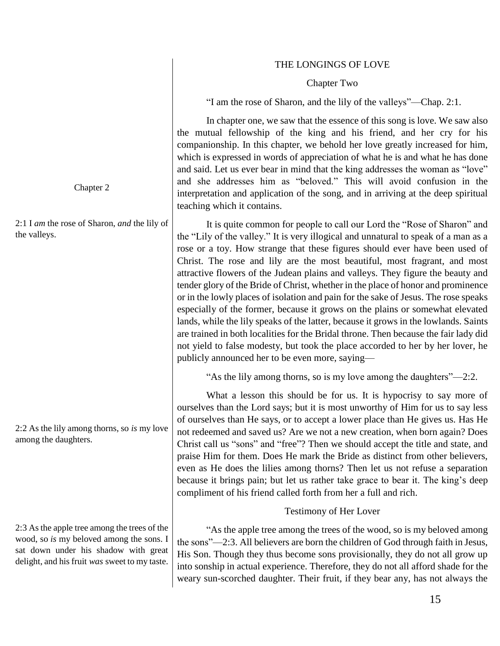# THE LONGINGS OF LOVE

#### Chapter Two

"I am the rose of Sharon, and the lily of the valleys"—Chap. 2:1.

In chapter one, we saw that the essence of this song is love. We saw also the mutual fellowship of the king and his friend, and her cry for his companionship. In this chapter, we behold her love greatly increased for him, which is expressed in words of appreciation of what he is and what he has done and said. Let us ever bear in mind that the king addresses the woman as "love" and she addresses him as "beloved." This will avoid confusion in the interpretation and application of the song, and in arriving at the deep spiritual teaching which it contains.

It is quite common for people to call our Lord the "Rose of Sharon" and the "Lily of the valley." It is very illogical and unnatural to speak of a man as a rose or a toy. How strange that these figures should ever have been used of Christ. The rose and lily are the most beautiful, most fragrant, and most attractive flowers of the Judean plains and valleys. They figure the beauty and tender glory of the Bride of Christ, whether in the place of honor and prominence or in the lowly places of isolation and pain for the sake of Jesus. The rose speaks especially of the former, because it grows on the plains or somewhat elevated lands, while the lily speaks of the latter, because it grows in the lowlands. Saints are trained in both localities for the Bridal throne. Then because the fair lady did not yield to false modesty, but took the place accorded to her by her lover, he publicly announced her to be even more, saying—

"As the lily among thorns, so is my love among the daughters"—2:2.

What a lesson this should be for us. It is hypocrisy to say more of ourselves than the Lord says; but it is most unworthy of Him for us to say less of ourselves than He says, or to accept a lower place than He gives us. Has He not redeemed and saved us? Are we not a new creation, when born again? Does Christ call us "sons" and "free"? Then we should accept the title and state, and praise Him for them. Does He mark the Bride as distinct from other believers, even as He does the lilies among thorns? Then let us not refuse a separation because it brings pain; but let us rather take grace to bear it. The king's deep compliment of his friend called forth from her a full and rich.

# Testimony of Her Lover

"As the apple tree among the trees of the wood, so is my beloved among the sons"—2:3. All believers are born the children of God through faith in Jesus, His Son. Though they thus become sons provisionally, they do not all grow up into sonship in actual experience. Therefore, they do not all afford shade for the weary sun-scorched daughter. Their fruit, if they bear any, has not always the

Chapter 2

2:1 I *am* the rose of Sharon, *and* the lily of the valleys.

2:2 As the lily among thorns, so *is* my love among the daughters.

2:3 As the apple tree among the trees of the wood, so *is* my beloved among the sons. I sat down under his shadow with great delight, and his fruit *was* sweet to my taste.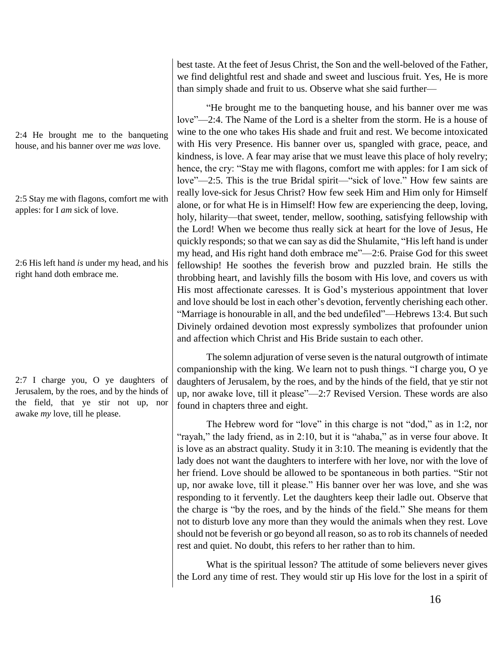2:4 He brought me to the banqueting house, and his banner over me *was* love.

2:5 Stay me with flagons, comfort me with apples: for I *am* sick of love.

2:6 His left hand *is* under my head, and his right hand doth embrace me.

2:7 I charge you, O ye daughters of Jerusalem, by the roes, and by the hinds of the field, that ye stir not up, nor awake *my* love, till he please.

best taste. At the feet of Jesus Christ, the Son and the well-beloved of the Father, we find delightful rest and shade and sweet and luscious fruit. Yes, He is more than simply shade and fruit to us. Observe what she said further—

"He brought me to the banqueting house, and his banner over me was love"—2:4. The Name of the Lord is a shelter from the storm. He is a house of wine to the one who takes His shade and fruit and rest. We become intoxicated with His very Presence. His banner over us, spangled with grace, peace, and kindness, is love. A fear may arise that we must leave this place of holy revelry; hence, the cry: "Stay me with flagons, comfort me with apples: for I am sick of love"—2:5. This is the true Bridal spirit—"sick of love." How few saints are really love-sick for Jesus Christ? How few seek Him and Him only for Himself alone, or for what He is in Himself! How few are experiencing the deep, loving, holy, hilarity—that sweet, tender, mellow, soothing, satisfying fellowship with the Lord! When we become thus really sick at heart for the love of Jesus, He quickly responds; so that we can say as did the Shulamite, "His left hand is under my head, and His right hand doth embrace me"—2:6. Praise God for this sweet fellowship! He soothes the feverish brow and puzzled brain. He stills the throbbing heart, and lavishly fills the bosom with His love, and covers us with His most affectionate caresses. It is God's mysterious appointment that lover and love should be lost in each other's devotion, fervently cherishing each other. "Marriage is honourable in all, and the bed undefiled"—Hebrews 13:4. But such Divinely ordained devotion most expressly symbolizes that profounder union and affection which Christ and His Bride sustain to each other.

The solemn adjuration of verse seven is the natural outgrowth of intimate companionship with the king. We learn not to push things. "I charge you, O ye daughters of Jerusalem, by the roes, and by the hinds of the field, that ye stir not up, nor awake love, till it please"—2:7 Revised Version. These words are also found in chapters three and eight.

The Hebrew word for "love" in this charge is not "dod," as in 1:2, nor "rayah," the lady friend, as in 2:10, but it is "ahaba," as in verse four above. It is love as an abstract quality. Study it in 3:10. The meaning is evidently that the lady does not want the daughters to interfere with her love, nor with the love of her friend. Love should be allowed to be spontaneous in both parties. "Stir not up, nor awake love, till it please." His banner over her was love, and she was responding to it fervently. Let the daughters keep their ladle out. Observe that the charge is "by the roes, and by the hinds of the field." She means for them not to disturb love any more than they would the animals when they rest. Love should not be feverish or go beyond all reason, so as to rob its channels of needed rest and quiet. No doubt, this refers to her rather than to him.

What is the spiritual lesson? The attitude of some believers never gives the Lord any time of rest. They would stir up His love for the lost in a spirit of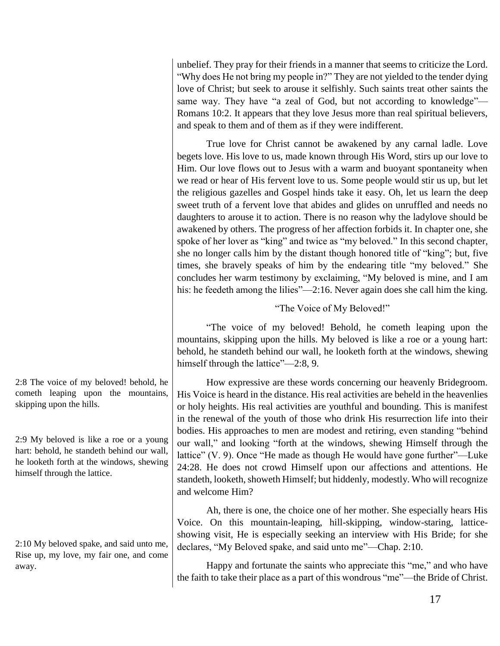unbelief. They pray for their friends in a manner that seems to criticize the Lord. "Why does He not bring my people in?" They are not yielded to the tender dying love of Christ; but seek to arouse it selfishly. Such saints treat other saints the same way. They have "a zeal of God, but not according to knowledge"— Romans 10:2. It appears that they love Jesus more than real spiritual believers, and speak to them and of them as if they were indifferent.

True love for Christ cannot be awakened by any carnal ladle. Love begets love. His love to us, made known through His Word, stirs up our love to Him. Our love flows out to Jesus with a warm and buoyant spontaneity when we read or hear of His fervent love to us. Some people would stir us up, but let the religious gazelles and Gospel hinds take it easy. Oh, let us learn the deep sweet truth of a fervent love that abides and glides on unruffled and needs no daughters to arouse it to action. There is no reason why the ladylove should be awakened by others. The progress of her affection forbids it. In chapter one, she spoke of her lover as "king" and twice as "my beloved." In this second chapter, she no longer calls him by the distant though honored title of "king"; but, five times, she bravely speaks of him by the endearing title "my beloved." She concludes her warm testimony by exclaiming, "My beloved is mine, and I am his: he feedeth among the lilies"—2:16. Never again does she call him the king.

"The Voice of My Beloved!"

"The voice of my beloved! Behold, he cometh leaping upon the mountains, skipping upon the hills. My beloved is like a roe or a young hart: behold, he standeth behind our wall, he looketh forth at the windows, shewing himself through the lattice"—2:8, 9.

How expressive are these words concerning our heavenly Bridegroom. His Voice is heard in the distance. His real activities are beheld in the heavenlies or holy heights. His real activities are youthful and bounding. This is manifest in the renewal of the youth of those who drink His resurrection life into their bodies. His approaches to men are modest and retiring, even standing "behind our wall," and looking "forth at the windows, shewing Himself through the lattice" (V. 9). Once "He made as though He would have gone further"—Luke 24:28. He does not crowd Himself upon our affections and attentions. He standeth, looketh, showeth Himself; but hiddenly, modestly. Who will recognize and welcome Him?

Ah, there is one, the choice one of her mother. She especially hears His Voice. On this mountain-leaping, hill-skipping, window-staring, latticeshowing visit, He is especially seeking an interview with His Bride; for she declares, "My Beloved spake, and said unto me"—Chap. 2:10.

Happy and fortunate the saints who appreciate this "me," and who have the faith to take their place as a part of this wondrous "me"—the Bride of Christ.

2:8 The voice of my beloved! behold, he cometh leaping upon the mountains, skipping upon the hills.

2:9 My beloved is like a roe or a young hart: behold, he standeth behind our wall, he looketh forth at the windows, shewing himself through the lattice.

2:10 My beloved spake, and said unto me, Rise up, my love, my fair one, and come away.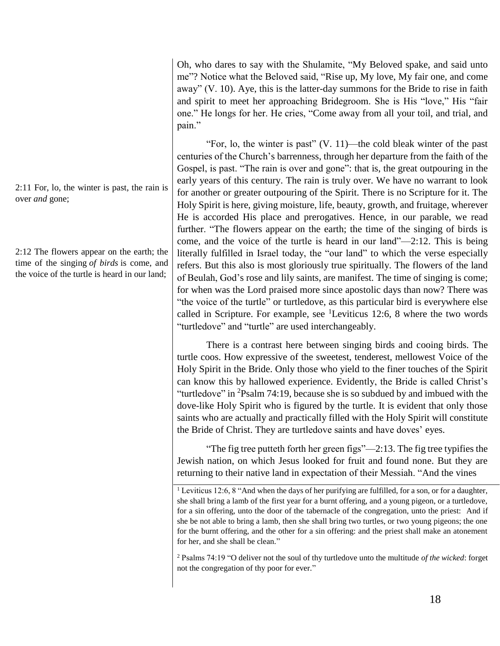Oh, who dares to say with the Shulamite, "My Beloved spake, and said unto me"? Notice what the Beloved said, "Rise up, My love, My fair one, and come away" (V. 10). Aye, this is the latter-day summons for the Bride to rise in faith and spirit to meet her approaching Bridegroom. She is His "love," His "fair one." He longs for her. He cries, "Come away from all your toil, and trial, and pain."

"For, lo, the winter is past" (V. 11)—the cold bleak winter of the past centuries of the Church's barrenness, through her departure from the faith of the Gospel, is past. "The rain is over and gone": that is, the great outpouring in the early years of this century. The rain is truly over. We have no warrant to look for another or greater outpouring of the Spirit. There is no Scripture for it. The Holy Spirit is here, giving moisture, life, beauty, growth, and fruitage, wherever He is accorded His place and prerogatives. Hence, in our parable, we read further. "The flowers appear on the earth; the time of the singing of birds is come, and the voice of the turtle is heard in our land"—2:12. This is being literally fulfilled in Israel today, the "our land" to which the verse especially refers. But this also is most gloriously true spiritually. The flowers of the land of Beulah, God's rose and lily saints, are manifest. The time of singing is come; for when was the Lord praised more since apostolic days than now? There was "the voice of the turtle" or turtledove, as this particular bird is everywhere else called in Scripture. For example, see  $^1$ Leviticus 12:6, 8 where the two words "turtledove" and "turtle" are used interchangeably.

There is a contrast here between singing birds and cooing birds. The turtle coos. How expressive of the sweetest, tenderest, mellowest Voice of the Holy Spirit in the Bride. Only those who yield to the finer touches of the Spirit can know this by hallowed experience. Evidently, the Bride is called Christ's "turtledove" in <sup>2</sup>Psalm 74:19, because she is so subdued by and imbued with the dove-like Holy Spirit who is figured by the turtle. It is evident that only those saints who are actually and practically filled with the Holy Spirit will constitute the Bride of Christ. They are turtledove saints and have doves' eyes.

"The fig tree putteth forth her green figs"—2:13. The fig tree typifies the Jewish nation, on which Jesus looked for fruit and found none. But they are returning to their native land in expectation of their Messiah. "And the vines

<sup>1</sup> Leviticus 12:6, 8 "And when the days of her purifying are fulfilled, for a son, or for a daughter, she shall bring a lamb of the first year for a burnt offering, and a young pigeon, or a turtledove, for a sin offering, unto the door of the tabernacle of the congregation, unto the priest: And if she be not able to bring a lamb, then she shall bring two turtles, or two young pigeons; the one for the burnt offering, and the other for a sin offering: and the priest shall make an atonement for her, and she shall be clean."

<sup>2</sup> Psalms 74:19 "O deliver not the soul of thy turtledove unto the multitude *of the wicked*: forget not the congregation of thy poor for ever."

2:11 For, lo, the winter is past, the rain is over *and* gone;

2:12 The flowers appear on the earth; the time of the singing *of birds* is come, and the voice of the turtle is heard in our land;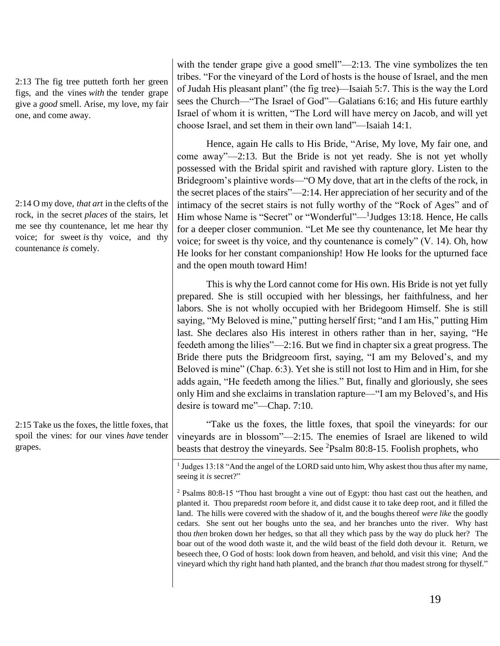2:13 The fig tree putteth forth her green figs, and the vines *with* the tender grape give a *good* smell. Arise, my love, my fair one, and come away.

2:14 O my dove, *that art* in the clefts of the rock, in the secret *places* of the stairs, let me see thy countenance, let me hear thy voice; for sweet *is* thy voice, and thy countenance *is* comely.

2:15 Take us the foxes, the little foxes, that spoil the vines: for our vines *have* tender grapes.

with the tender grape give a good smell"—2:13. The vine symbolizes the ten tribes. "For the vineyard of the Lord of hosts is the house of Israel, and the men of Judah His pleasant plant" (the fig tree)—Isaiah 5:7. This is the way the Lord sees the Church—"The Israel of God"—Galatians 6:16; and His future earthly Israel of whom it is written, "The Lord will have mercy on Jacob, and will yet choose Israel, and set them in their own land"—Isaiah 14:1.

Hence, again He calls to His Bride, "Arise, My love, My fair one, and come away"—2:13. But the Bride is not yet ready. She is not yet wholly possessed with the Bridal spirit and ravished with rapture glory. Listen to the Bridegroom's plaintive words—"O My dove, that art in the clefts of the rock, in the secret places of the stairs"—2:14. Her appreciation of her security and of the intimacy of the secret stairs is not fully worthy of the "Rock of Ages" and of Him whose Name is "Secret" or "Wonderful"—<sup>1</sup>Judges 13:18. Hence, He calls for a deeper closer communion. "Let Me see thy countenance, let Me hear thy voice; for sweet is thy voice, and thy countenance is comely" (V. 14). Oh, how He looks for her constant companionship! How He looks for the upturned face and the open mouth toward Him!

This is why the Lord cannot come for His own. His Bride is not yet fully prepared. She is still occupied with her blessings, her faithfulness, and her labors. She is not wholly occupied with her Bridegoom Himself. She is still saying, "My Beloved is mine," putting herself first; "and I am His," putting Him last. She declares also His interest in others rather than in her, saying, "He feedeth among the lilies"—2:16. But we find in chapter six a great progress. The Bride there puts the Bridgreoom first, saying, "I am my Beloved's, and my Beloved is mine" (Chap. 6:3). Yet she is still not lost to Him and in Him, for she adds again, "He feedeth among the lilies." But, finally and gloriously, she sees only Him and she exclaims in translation rapture—"I am my Beloved's, and His desire is toward me"—Chap. 7:10.

"Take us the foxes, the little foxes, that spoil the vineyards: for our vineyards are in blossom"—2:15. The enemies of Israel are likened to wild beasts that destroy the vineyards. See  ${}^{2}$ Psalm 80:8-15. Foolish prophets, who

<sup>1</sup> Judges 13:18 "And the angel of the LORD said unto him, Why askest thou thus after my name, seeing it *is* secret?"

<sup>2</sup> Psalms 80:8-15 "Thou hast brought a vine out of Egypt: thou hast cast out the heathen, and planted it. Thou preparedst *room* before it, and didst cause it to take deep root, and it filled the land. The hills were covered with the shadow of it, and the boughs thereof *were like* the goodly cedars. She sent out her boughs unto the sea, and her branches unto the river. Why hast thou *then* broken down her hedges, so that all they which pass by the way do pluck her? The boar out of the wood doth waste it, and the wild beast of the field doth devour it. Return, we beseech thee, O God of hosts: look down from heaven, and behold, and visit this vine; And the vineyard which thy right hand hath planted, and the branch *that* thou madest strong for thyself."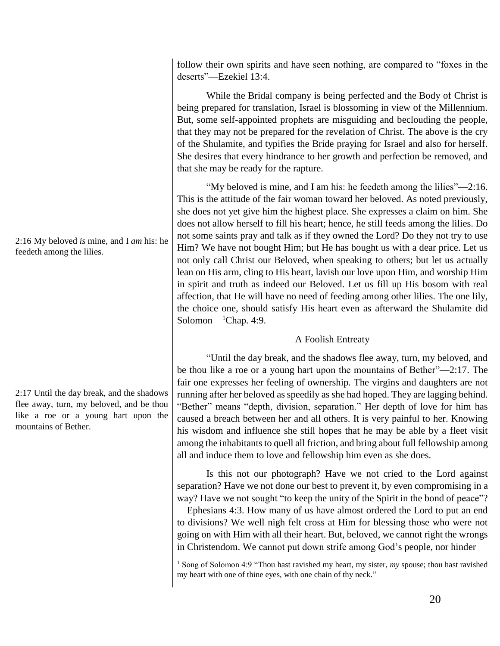follow their own spirits and have seen nothing, are compared to "foxes in the deserts"—Ezekiel 13:4.

While the Bridal company is being perfected and the Body of Christ is being prepared for translation, Israel is blossoming in view of the Millennium. But, some self-appointed prophets are misguiding and beclouding the people, that they may not be prepared for the revelation of Christ. The above is the cry of the Shulamite, and typifies the Bride praying for Israel and also for herself. She desires that every hindrance to her growth and perfection be removed, and that she may be ready for the rapture.

"My beloved is mine, and I am his: he feedeth among the lilies"—2:16. This is the attitude of the fair woman toward her beloved. As noted previously, she does not yet give him the highest place. She expresses a claim on him. She does not allow herself to fill his heart; hence, he still feeds among the lilies. Do not some saints pray and talk as if they owned the Lord? Do they not try to use Him? We have not bought Him; but He has bought us with a dear price. Let us not only call Christ our Beloved, when speaking to others; but let us actually lean on His arm, cling to His heart, lavish our love upon Him, and worship Him in spirit and truth as indeed our Beloved. Let us fill up His bosom with real affection, that He will have no need of feeding among other lilies. The one lily, the choice one, should satisfy His heart even as afterward the Shulamite did Solomon— ${}^1$ Chap. 4:9.

# A Foolish Entreaty

"Until the day break, and the shadows flee away, turn, my beloved, and be thou like a roe or a young hart upon the mountains of Bether"—2:17. The fair one expresses her feeling of ownership. The virgins and daughters are not running after her beloved as speedily as she had hoped. They are lagging behind. "Bether" means "depth, division, separation." Her depth of love for him has caused a breach between her and all others. It is very painful to her. Knowing his wisdom and influence she still hopes that he may be able by a fleet visit among the inhabitants to quell all friction, and bring about full fellowship among all and induce them to love and fellowship him even as she does.

Is this not our photograph? Have we not cried to the Lord against separation? Have we not done our best to prevent it, by even compromising in a way? Have we not sought "to keep the unity of the Spirit in the bond of peace"? —Ephesians 4:3. How many of us have almost ordered the Lord to put an end to divisions? We well nigh felt cross at Him for blessing those who were not going on with Him with all their heart. But, beloved, we cannot right the wrongs in Christendom. We cannot put down strife among God's people, nor hinder

2:16 My beloved *is* mine, and I *am* his: he feedeth among the lilies.

2:17 Until the day break, and the shadows flee away, turn, my beloved, and be thou like a roe or a young hart upon the mountains of Bether.

<sup>&</sup>lt;sup>1</sup> Song of Solomon 4:9 "Thou hast ravished my heart, my sister, my spouse; thou hast ravished my heart with one of thine eyes, with one chain of thy neck."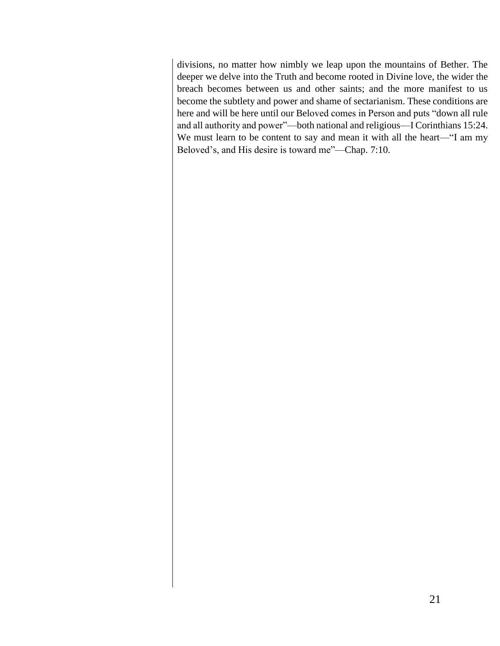divisions, no matter how nimbly we leap upon the mountains of Bether. The deeper we delve into the Truth and become rooted in Divine love, the wider the breach becomes between us and other saints; and the more manifest to us become the subtlety and power and shame of sectarianism. These conditions are here and will be here until our Beloved comes in Person and puts "down all rule and all authority and power"—both national and religious—I Corinthians 15:24. We must learn to be content to say and mean it with all the heart—"I am my Beloved's, and His desire is toward me"—Chap. 7:10.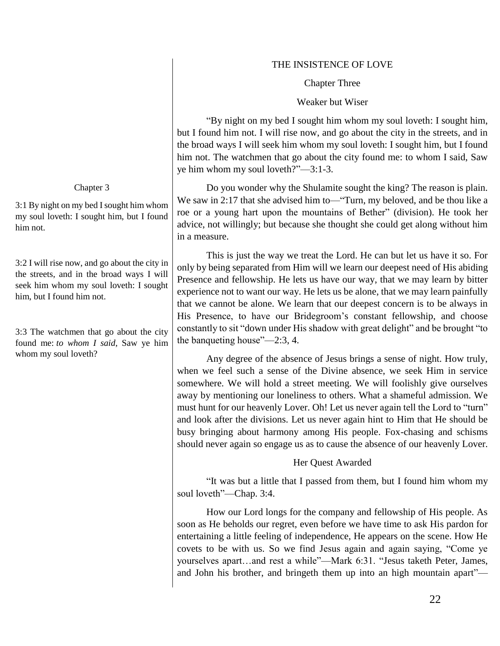# THE INSISTENCE OF LOVE

Chapter Three

Weaker but Wiser

"By night on my bed I sought him whom my soul loveth: I sought him, but I found him not. I will rise now, and go about the city in the streets, and in the broad ways I will seek him whom my soul loveth: I sought him, but I found him not. The watchmen that go about the city found me: to whom I said, Saw ye him whom my soul loveth?"—3:1-3.

Do you wonder why the Shulamite sought the king? The reason is plain. We saw in 2:17 that she advised him to—"Turn, my beloved, and be thou like a roe or a young hart upon the mountains of Bether" (division). He took her advice, not willingly; but because she thought she could get along without him in a measure.

This is just the way we treat the Lord. He can but let us have it so. For only by being separated from Him will we learn our deepest need of His abiding Presence and fellowship. He lets us have our way, that we may learn by bitter experience not to want our way. He lets us be alone, that we may learn painfully that we cannot be alone. We learn that our deepest concern is to be always in His Presence, to have our Bridegroom's constant fellowship, and choose constantly to sit "down under His shadow with great delight" and be brought "to the banqueting house"—2:3, 4.

Any degree of the absence of Jesus brings a sense of night. How truly, when we feel such a sense of the Divine absence, we seek Him in service somewhere. We will hold a street meeting. We will foolishly give ourselves away by mentioning our loneliness to others. What a shameful admission. We must hunt for our heavenly Lover. Oh! Let us never again tell the Lord to "turn" and look after the divisions. Let us never again hint to Him that He should be busy bringing about harmony among His people. Fox-chasing and schisms should never again so engage us as to cause the absence of our heavenly Lover.

# Her Quest Awarded

"It was but a little that I passed from them, but I found him whom my soul loveth"—Chap. 3:4.

How our Lord longs for the company and fellowship of His people. As soon as He beholds our regret, even before we have time to ask His pardon for entertaining a little feeling of independence, He appears on the scene. How He covets to be with us. So we find Jesus again and again saying, "Come ye yourselves apart…and rest a while"—Mark 6:31. "Jesus taketh Peter, James, and John his brother, and bringeth them up into an high mountain apart"—

#### Chapter 3

3:1 By night on my bed I sought him whom my soul loveth: I sought him, but I found him not.

3:2 I will rise now, and go about the city in the streets, and in the broad ways I will seek him whom my soul loveth: I sought him, but I found him not.

3:3 The watchmen that go about the city found me: *to whom I said*, Saw ye him whom my soul loveth?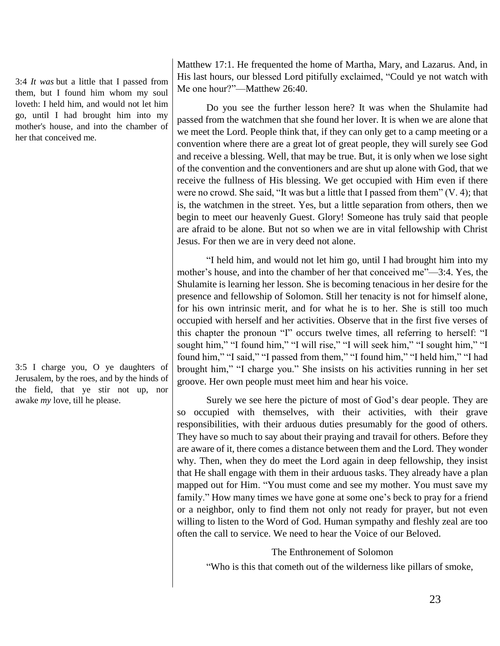3:4 *It was* but a little that I passed from them, but I found him whom my soul loveth: I held him, and would not let him go, until I had brought him into my mother's house, and into the chamber of her that conceived me.

3:5 I charge you, O ye daughters of Jerusalem, by the roes, and by the hinds of the field, that ye stir not up, nor awake *my* love, till he please.

Matthew 17:1. He frequented the home of Martha, Mary, and Lazarus. And, in His last hours, our blessed Lord pitifully exclaimed, "Could ye not watch with Me one hour?"—Matthew 26:40.

Do you see the further lesson here? It was when the Shulamite had passed from the watchmen that she found her lover. It is when we are alone that we meet the Lord. People think that, if they can only get to a camp meeting or a convention where there are a great lot of great people, they will surely see God and receive a blessing. Well, that may be true. But, it is only when we lose sight of the convention and the conventioners and are shut up alone with God, that we receive the fullness of His blessing. We get occupied with Him even if there were no crowd. She said, "It was but a little that I passed from them" (V. 4); that is, the watchmen in the street. Yes, but a little separation from others, then we begin to meet our heavenly Guest. Glory! Someone has truly said that people are afraid to be alone. But not so when we are in vital fellowship with Christ Jesus. For then we are in very deed not alone.

"I held him, and would not let him go, until I had brought him into my mother's house, and into the chamber of her that conceived me"—3:4. Yes, the Shulamite is learning her lesson. She is becoming tenacious in her desire for the presence and fellowship of Solomon. Still her tenacity is not for himself alone, for his own intrinsic merit, and for what he is to her. She is still too much occupied with herself and her activities. Observe that in the first five verses of this chapter the pronoun "I" occurs twelve times, all referring to herself: "I sought him," "I found him," "I will rise," "I will seek him," "I sought him," "I found him," "I said," "I passed from them," "I found him," "I held him," "I had brought him," "I charge you." She insists on his activities running in her set groove. Her own people must meet him and hear his voice.

Surely we see here the picture of most of God's dear people. They are so occupied with themselves, with their activities, with their grave responsibilities, with their arduous duties presumably for the good of others. They have so much to say about their praying and travail for others. Before they are aware of it, there comes a distance between them and the Lord. They wonder why. Then, when they do meet the Lord again in deep fellowship, they insist that He shall engage with them in their arduous tasks. They already have a plan mapped out for Him. "You must come and see my mother. You must save my family." How many times we have gone at some one's beck to pray for a friend or a neighbor, only to find them not only not ready for prayer, but not even willing to listen to the Word of God. Human sympathy and fleshly zeal are too often the call to service. We need to hear the Voice of our Beloved.

The Enthronement of Solomon

"Who is this that cometh out of the wilderness like pillars of smoke,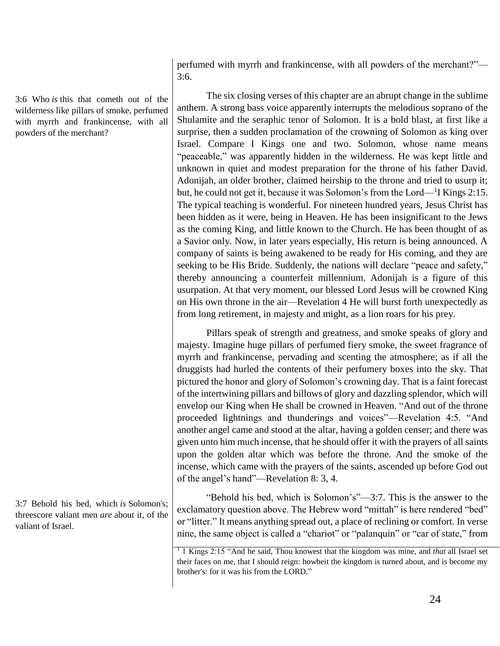3:6 Who *is* this that cometh out of the wilderness like pillars of smoke, perfumed with myrrh and frankincense, with all powders of the merchant?

3:7 Behold his bed, which *is* Solomon's; threescore valiant men *are* about it, of the valiant of Israel.

perfumed with myrrh and frankincense, with all powders of the merchant?"— 3:6.

The six closing verses of this chapter are an abrupt change in the sublime anthem. A strong bass voice apparently interrupts the melodious soprano of the Shulamite and the seraphic tenor of Solomon. It is a bold blast, at first like a surprise, then a sudden proclamation of the crowning of Solomon as king over Israel. Compare I Kings one and two. Solomon, whose name means "peaceable," was apparently hidden in the wilderness. He was kept little and unknown in quiet and modest preparation for the throne of his father David. Adonijah, an older brother, claimed heirship to the throne and tried to usurp it; but, he could not get it, because it was Solomon's from the Lord—<sup>1</sup>I Kings 2:15. The typical teaching is wonderful. For nineteen hundred years, Jesus Christ has been hidden as it were, being in Heaven. He has been insignificant to the Jews as the coming King, and little known to the Church. He has been thought of as a Savior only. Now, in later years especially, His return is being announced. A company of saints is being awakened to be ready for His coming, and they are seeking to be His Bride. Suddenly, the nations will declare "peace and safety," thereby announcing a counterfeit millennium. Adonijah is a figure of this usurpation. At that very moment, our blessed Lord Jesus will be crowned King on His own throne in the air—Revelation 4 He will burst forth unexpectedly as from long retirement, in majesty and might, as a lion roars for his prey.

Pillars speak of strength and greatness, and smoke speaks of glory and majesty. Imagine huge pillars of perfumed fiery smoke, the sweet fragrance of myrrh and frankincense, pervading and scenting the atmosphere; as if all the druggists had hurled the contents of their perfumery boxes into the sky. That pictured the honor and glory of Solomon's crowning day. That is a faint forecast of the intertwining pillars and billows of glory and dazzling splendor, which will envelop our King when He shall be crowned in Heaven. "And out of the throne proceeded lightnings and thunderings and voices"—Revelation 4:5. "And another angel came and stood at the altar, having a golden censer; and there was given unto him much incense, that he should offer it with the prayers of all saints upon the golden altar which was before the throne. And the smoke of the incense, which came with the prayers of the saints, ascended up before God out of the angel's hand"—Revelation 8: 3, 4.

"Behold his bed, which is Solomon's"—3:7. This is the answer to the exclamatory question above. The Hebrew word "mittah" is here rendered "bed" or "litter." It means anything spread out, a place of reclining or comfort. In verse nine, the same object is called a "chariot" or "palanquin" or "car of state," from

<sup>1</sup> 1 Kings 2:15 "And he said, Thou knowest that the kingdom was mine, and *that* all Israel set their faces on me, that I should reign: howbeit the kingdom is turned about, and is become my brother's: for it was his from the LORD."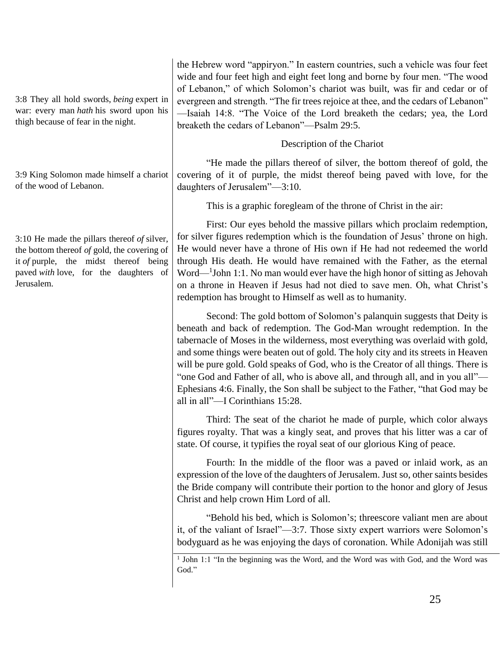3:8 They all hold swords, *being* expert in war: every man *hath* his sword upon his thigh because of fear in the night.

3:9 King Solomon made himself a chariot of the wood of Lebanon.

3:10 He made the pillars thereof *of* silver, the bottom thereof *of* gold, the covering of it *of* purple, the midst thereof being paved *with* love, for the daughters of Jerusalem.

the Hebrew word "appiryon." In eastern countries, such a vehicle was four feet wide and four feet high and eight feet long and borne by four men. "The wood of Lebanon," of which Solomon's chariot was built, was fir and cedar or of evergreen and strength. "The fir trees rejoice at thee, and the cedars of Lebanon" —Isaiah 14:8. "The Voice of the Lord breaketh the cedars; yea, the Lord breaketh the cedars of Lebanon"—Psalm 29:5.

Description of the Chariot

"He made the pillars thereof of silver, the bottom thereof of gold, the covering of it of purple, the midst thereof being paved with love, for the daughters of Jerusalem"—3:10.

This is a graphic foregleam of the throne of Christ in the air:

First: Our eyes behold the massive pillars which proclaim redemption, for silver figures redemption which is the foundation of Jesus' throne on high. He would never have a throne of His own if He had not redeemed the world through His death. He would have remained with the Father, as the eternal Word—<sup>1</sup>John 1:1. No man would ever have the high honor of sitting as Jehovah on a throne in Heaven if Jesus had not died to save men. Oh, what Christ's redemption has brought to Himself as well as to humanity.

Second: The gold bottom of Solomon's palanquin suggests that Deity is beneath and back of redemption. The God-Man wrought redemption. In the tabernacle of Moses in the wilderness, most everything was overlaid with gold, and some things were beaten out of gold. The holy city and its streets in Heaven will be pure gold. Gold speaks of God, who is the Creator of all things. There is "one God and Father of all, who is above all, and through all, and in you all"— Ephesians 4:6. Finally, the Son shall be subject to the Father, "that God may be all in all"—I Corinthians 15:28.

Third: The seat of the chariot he made of purple, which color always figures royalty. That was a kingly seat, and proves that his litter was a car of state. Of course, it typifies the royal seat of our glorious King of peace.

Fourth: In the middle of the floor was a paved or inlaid work, as an expression of the love of the daughters of Jerusalem. Just so, other saints besides the Bride company will contribute their portion to the honor and glory of Jesus Christ and help crown Him Lord of all.

"Behold his bed, which is Solomon's; threescore valiant men are about it, of the valiant of Israel"—3:7. Those sixty expert warriors were Solomon's bodyguard as he was enjoying the days of coronation. While Adonijah was still

<sup>&</sup>lt;sup>1</sup> John 1:1 "In the beginning was the Word, and the Word was with God, and the Word was God."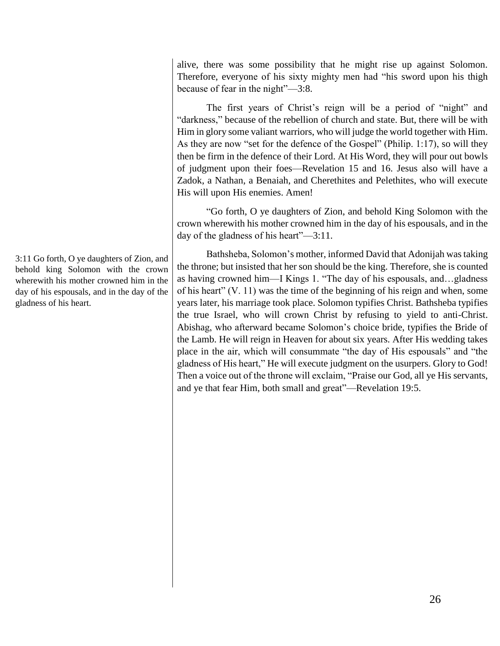alive, there was some possibility that he might rise up against Solomon. Therefore, everyone of his sixty mighty men had "his sword upon his thigh because of fear in the night"—3:8.

The first years of Christ's reign will be a period of "night" and "darkness," because of the rebellion of church and state. But, there will be with Him in glory some valiant warriors, who will judge the world together with Him. As they are now "set for the defence of the Gospel" (Philip. 1:17), so will they then be firm in the defence of their Lord. At His Word, they will pour out bowls of judgment upon their foes—Revelation 15 and 16. Jesus also will have a Zadok, a Nathan, a Benaiah, and Cherethites and Pelethites, who will execute His will upon His enemies. Amen!

"Go forth, O ye daughters of Zion, and behold King Solomon with the crown wherewith his mother crowned him in the day of his espousals, and in the day of the gladness of his heart"—3:11.

Bathsheba, Solomon's mother, informed David that Adonijah was taking the throne; but insisted that her son should be the king. Therefore, she is counted as having crowned him—I Kings 1. "The day of his espousals, and…gladness of his heart" (V. 11) was the time of the beginning of his reign and when, some years later, his marriage took place. Solomon typifies Christ. Bathsheba typifies the true Israel, who will crown Christ by refusing to yield to anti-Christ. Abishag, who afterward became Solomon's choice bride, typifies the Bride of the Lamb. He will reign in Heaven for about six years. After His wedding takes place in the air, which will consummate "the day of His espousals" and "the gladness of His heart," He will execute judgment on the usurpers. Glory to God! Then a voice out of the throne will exclaim, "Praise our God, all ye His servants, and ye that fear Him, both small and great"—Revelation 19:5.

3:11 Go forth, O ye daughters of Zion, and behold king Solomon with the crown wherewith his mother crowned him in the day of his espousals, and in the day of the gladness of his heart.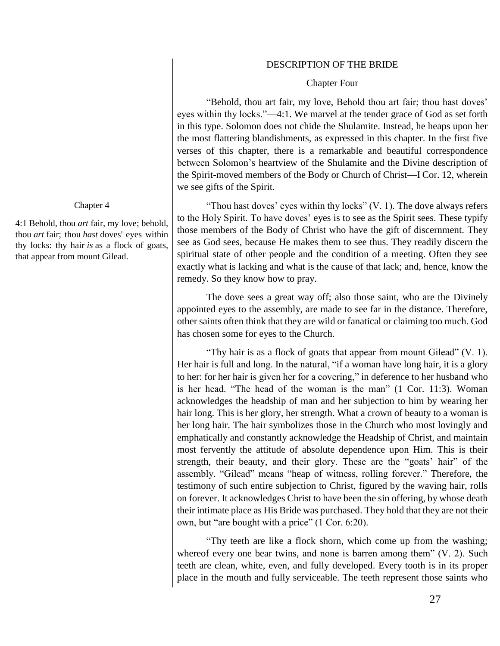#### DESCRIPTION OF THE BRIDE

#### Chapter Four

"Behold, thou art fair, my love, Behold thou art fair; thou hast doves' eyes within thy locks."—4:1. We marvel at the tender grace of God as set forth in this type. Solomon does not chide the Shulamite. Instead, he heaps upon her the most flattering blandishments, as expressed in this chapter. In the first five verses of this chapter, there is a remarkable and beautiful correspondence between Solomon's heartview of the Shulamite and the Divine description of the Spirit-moved members of the Body or Church of Christ—I Cor. 12, wherein we see gifts of the Spirit.

"Thou hast doves' eyes within thy locks"  $(V, 1)$ . The dove always refers to the Holy Spirit. To have doves' eyes is to see as the Spirit sees. These typify those members of the Body of Christ who have the gift of discernment. They see as God sees, because He makes them to see thus. They readily discern the spiritual state of other people and the condition of a meeting. Often they see exactly what is lacking and what is the cause of that lack; and, hence, know the remedy. So they know how to pray.

The dove sees a great way off; also those saint, who are the Divinely appointed eyes to the assembly, are made to see far in the distance. Therefore, other saints often think that they are wild or fanatical or claiming too much. God has chosen some for eyes to the Church.

"Thy hair is as a flock of goats that appear from mount Gilead" (V. 1). Her hair is full and long. In the natural, "if a woman have long hair, it is a glory to her: for her hair is given her for a covering," in deference to her husband who is her head. "The head of the woman is the man" (1 Cor. 11:3). Woman acknowledges the headship of man and her subjection to him by wearing her hair long. This is her glory, her strength. What a crown of beauty to a woman is her long hair. The hair symbolizes those in the Church who most lovingly and emphatically and constantly acknowledge the Headship of Christ, and maintain most fervently the attitude of absolute dependence upon Him. This is their strength, their beauty, and their glory. These are the "goats' hair" of the assembly. "Gilead" means "heap of witness, rolling forever." Therefore, the testimony of such entire subjection to Christ, figured by the waving hair, rolls on forever. It acknowledges Christ to have been the sin offering, by whose death their intimate place as His Bride was purchased. They hold that they are not their own, but "are bought with a price" (1 Cor. 6:20).

"Thy teeth are like a flock shorn, which come up from the washing; whereof every one bear twins, and none is barren among them" (V. 2). Such teeth are clean, white, even, and fully developed. Every tooth is in its proper place in the mouth and fully serviceable. The teeth represent those saints who

#### Chapter 4

4:1 Behold, thou *art* fair, my love; behold, thou *art* fair; thou *hast* doves' eyes within thy locks: thy hair *is* as a flock of goats, that appear from mount Gilead.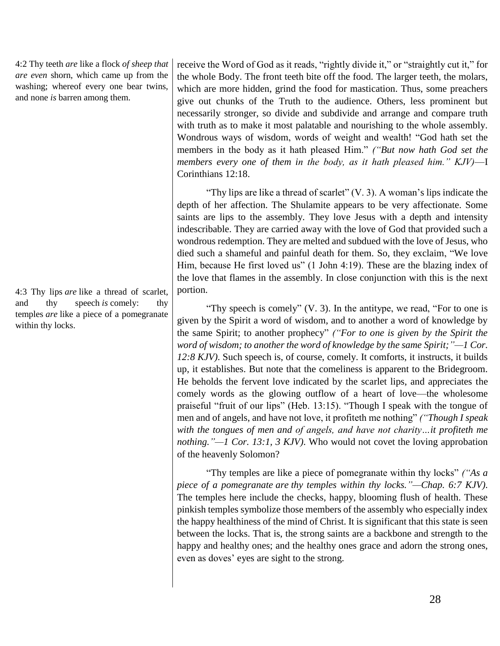4:2 Thy teeth *are* like a flock *of sheep that are even* shorn, which came up from the washing; whereof every one bear twins, and none *is* barren among them.

4:3 Thy lips *are* like a thread of scarlet, and thy speech *is* comely: thy temples *are* like a piece of a pomegranate within thy locks.

receive the Word of God as it reads, "rightly divide it," or "straightly cut it," for the whole Body. The front teeth bite off the food. The larger teeth, the molars, which are more hidden, grind the food for mastication. Thus, some preachers give out chunks of the Truth to the audience. Others, less prominent but necessarily stronger, so divide and subdivide and arrange and compare truth with truth as to make it most palatable and nourishing to the whole assembly. Wondrous ways of wisdom, words of weight and wealth! "God hath set the members in the body as it hath pleased Him." *("But now hath God set the members every one of them in the body, as it hath pleased him." KJV)*—I Corinthians 12:18.

"Thy lips are like a thread of scarlet"  $(V, 3)$ . A woman's lips indicate the depth of her affection. The Shulamite appears to be very affectionate. Some saints are lips to the assembly. They love Jesus with a depth and intensity indescribable. They are carried away with the love of God that provided such a wondrous redemption. They are melted and subdued with the love of Jesus, who died such a shameful and painful death for them. So, they exclaim, "We love Him, because He first loved us" (1 John 4:19). These are the blazing index of the love that flames in the assembly. In close conjunction with this is the next portion.

"Thy speech is comely" (V. 3). In the antitype, we read, "For to one is given by the Spirit a word of wisdom, and to another a word of knowledge by the same Spirit; to another prophecy" *("For to one is given by the Spirit the word of wisdom; to another the word of knowledge by the same Spirit;"—1 Cor. 12:8 KJV)*. Such speech is, of course, comely. It comforts, it instructs, it builds up, it establishes. But note that the comeliness is apparent to the Bridegroom. He beholds the fervent love indicated by the scarlet lips, and appreciates the comely words as the glowing outflow of a heart of love—the wholesome praiseful "fruit of our lips" (Heb. 13:15). "Though I speak with the tongue of men and of angels, and have not love, it profiteth me nothing" *("Though I speak with the tongues of men and of angels, and have not charity…it profiteth me nothing."—1 Cor. 13:1, 3 KJV)*. Who would not covet the loving approbation of the heavenly Solomon?

"Thy temples are like a piece of pomegranate within thy locks" *("As a piece of a pomegranate are thy temples within thy locks."—Chap. 6:7 KJV)*. The temples here include the checks, happy, blooming flush of health. These pinkish temples symbolize those members of the assembly who especially index the happy healthiness of the mind of Christ. It is significant that this state is seen between the locks. That is, the strong saints are a backbone and strength to the happy and healthy ones; and the healthy ones grace and adorn the strong ones, even as doves' eyes are sight to the strong.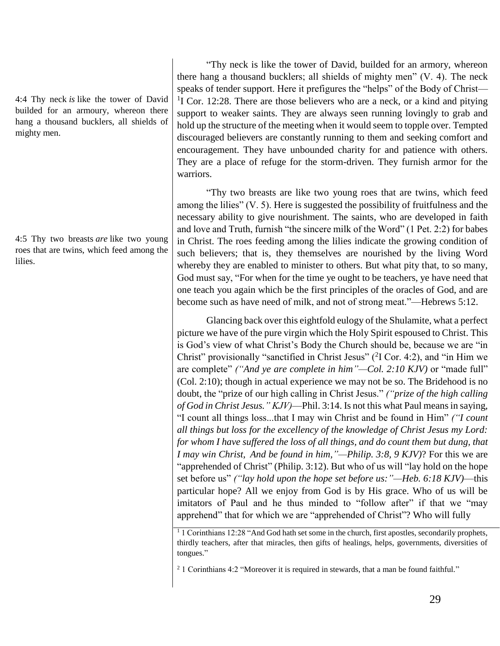4:4 Thy neck *is* like the tower of David builded for an armoury, whereon there hang a thousand bucklers, all shields of mighty men.

4:5 Thy two breasts *are* like two young roes that are twins, which feed among the lilies.

"Thy neck is like the tower of David, builded for an armory, whereon there hang a thousand bucklers; all shields of mighty men" (V. 4). The neck speaks of tender support. Here it prefigures the "helps" of the Body of Christ— <sup>1</sup>I Cor. 12:28. There are those believers who are a neck, or a kind and pitying support to weaker saints. They are always seen running lovingly to grab and hold up the structure of the meeting when it would seem to topple over. Tempted discouraged believers are constantly running to them and seeking comfort and encouragement. They have unbounded charity for and patience with others. They are a place of refuge for the storm-driven. They furnish armor for the warriors.

"Thy two breasts are like two young roes that are twins, which feed among the lilies" (V. 5). Here is suggested the possibility of fruitfulness and the necessary ability to give nourishment. The saints, who are developed in faith and love and Truth, furnish "the sincere milk of the Word" (1 Pet. 2:2) for babes in Christ. The roes feeding among the lilies indicate the growing condition of such believers; that is, they themselves are nourished by the living Word whereby they are enabled to minister to others. But what pity that, to so many, God must say, "For when for the time ye ought to be teachers, ye have need that one teach you again which be the first principles of the oracles of God, and are become such as have need of milk, and not of strong meat."—Hebrews 5:12.

Glancing back over this eightfold eulogy of the Shulamite, what a perfect picture we have of the pure virgin which the Holy Spirit espoused to Christ. This is God's view of what Christ's Body the Church should be, because we are "in Christ" provisionally "sanctified in Christ Jesus"  $(^{2}I$  Cor. 4:2), and "in Him we are complete" *("And ye are complete in him"—Col. 2:10 KJV)* or "made full" (Col. 2:10); though in actual experience we may not be so. The Bridehood is no doubt, the "prize of our high calling in Christ Jesus." *("prize of the high calling of God in Christ Jesus." KJV)*—Phil. 3:14. Is not this what Paul means in saying, "I count all things loss...that I may win Christ and be found in Him" *("I count all things but loss for the excellency of the knowledge of Christ Jesus my Lord: for whom I have suffered the loss of all things, and do count them but dung, that I may win Christ, And be found in him,"—Philip. 3:8, 9 KJV)*? For this we are "apprehended of Christ" (Philip. 3:12). But who of us will "lay hold on the hope set before us" *("lay hold upon the hope set before us:"—Heb. 6:18 KJV)*—this particular hope? All we enjoy from God is by His grace. Who of us will be imitators of Paul and he thus minded to "follow after" if that we "may apprehend" that for which we are "apprehended of Christ"? Who will fully

<sup>1</sup> 1 Corinthians 12:28 "And God hath set some in the church, first apostles, secondarily prophets, thirdly teachers, after that miracles, then gifts of healings, helps, governments, diversities of tongues."

<sup>2</sup> 1 Corinthians 4:2 "Moreover it is required in stewards, that a man be found faithful."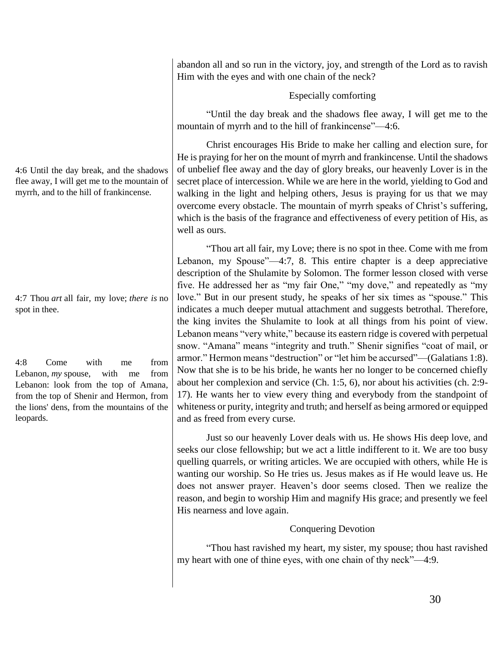4:6 Until the day break, and the shadows flee away, I will get me to the mountain of myrrh, and to the hill of frankincense.

4:7 Thou *art* all fair, my love; *there is* no spot in thee.

4:8 Come with me from Lebanon, *my* spouse, with me from Lebanon: look from the top of Amana, from the top of Shenir and Hermon, from the lions' dens, from the mountains of the leopards.

abandon all and so run in the victory, joy, and strength of the Lord as to ravish Him with the eyes and with one chain of the neck?

# Especially comforting

"Until the day break and the shadows flee away, I will get me to the mountain of myrrh and to the hill of frankincense"—4:6.

Christ encourages His Bride to make her calling and election sure, for He is praying for her on the mount of myrrh and frankincense. Until the shadows of unbelief flee away and the day of glory breaks, our heavenly Lover is in the secret place of intercession. While we are here in the world, yielding to God and walking in the light and helping others, Jesus is praying for us that we may overcome every obstacle. The mountain of myrrh speaks of Christ's suffering, which is the basis of the fragrance and effectiveness of every petition of His, as well as ours.

"Thou art all fair, my Love; there is no spot in thee. Come with me from Lebanon, my Spouse"—4:7, 8. This entire chapter is a deep appreciative description of the Shulamite by Solomon. The former lesson closed with verse five. He addressed her as "my fair One," "my dove," and repeatedly as "my love." But in our present study, he speaks of her six times as "spouse." This indicates a much deeper mutual attachment and suggests betrothal. Therefore, the king invites the Shulamite to look at all things from his point of view. Lebanon means "very white," because its eastern ridge is covered with perpetual snow. "Amana" means "integrity and truth." Shenir signifies "coat of mail, or armor." Hermon means "destruction" or "let him be accursed"—(Galatians 1:8). Now that she is to be his bride, he wants her no longer to be concerned chiefly about her complexion and service (Ch. 1:5, 6), nor about his activities (ch. 2:9- 17). He wants her to view every thing and everybody from the standpoint of whiteness or purity, integrity and truth; and herself as being armored or equipped and as freed from every curse.

Just so our heavenly Lover deals with us. He shows His deep love, and seeks our close fellowship; but we act a little indifferent to it. We are too busy quelling quarrels, or writing articles. We are occupied with others, while He is wanting our worship. So He tries us. Jesus makes as if He would leave us. He does not answer prayer. Heaven's door seems closed. Then we realize the reason, and begin to worship Him and magnify His grace; and presently we feel His nearness and love again.

# Conquering Devotion

"Thou hast ravished my heart, my sister, my spouse; thou hast ravished my heart with one of thine eyes, with one chain of thy neck"—4:9.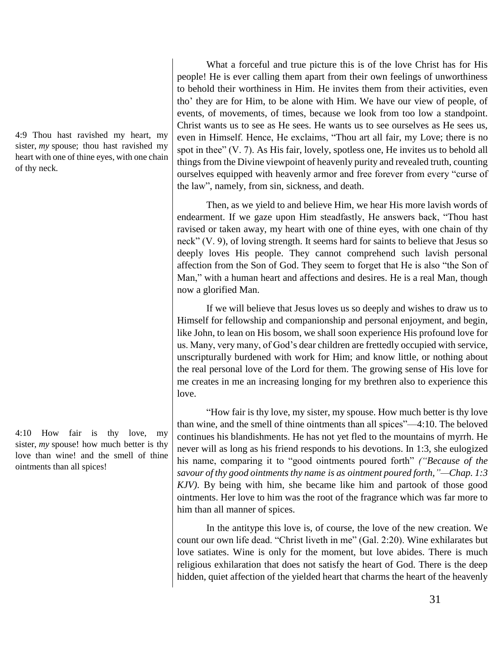4:9 Thou hast ravished my heart, my sister, *my* spouse; thou hast ravished my heart with one of thine eyes, with one chain of thy neck.

4:10 How fair is thy love, my sister, *my* spouse! how much better is thy love than wine! and the smell of thine ointments than all spices!

What a forceful and true picture this is of the love Christ has for His people! He is ever calling them apart from their own feelings of unworthiness to behold their worthiness in Him. He invites them from their activities, even tho' they are for Him, to be alone with Him. We have our view of people, of events, of movements, of times, because we look from too low a standpoint. Christ wants us to see as He sees. He wants us to see ourselves as He sees us, even in Himself. Hence, He exclaims, "Thou art all fair, my Love; there is no spot in thee" (V. 7). As His fair, lovely, spotless one, He invites us to behold all things from the Divine viewpoint of heavenly purity and revealed truth, counting ourselves equipped with heavenly armor and free forever from every "curse of the law", namely, from sin, sickness, and death.

Then, as we yield to and believe Him, we hear His more lavish words of endearment. If we gaze upon Him steadfastly, He answers back, "Thou hast ravised or taken away, my heart with one of thine eyes, with one chain of thy neck" (V. 9), of loving strength. It seems hard for saints to believe that Jesus so deeply loves His people. They cannot comprehend such lavish personal affection from the Son of God. They seem to forget that He is also "the Son of Man," with a human heart and affections and desires. He is a real Man, though now a glorified Man.

If we will believe that Jesus loves us so deeply and wishes to draw us to Himself for fellowship and companionship and personal enjoyment, and begin, like John, to lean on His bosom, we shall soon experience His profound love for us. Many, very many, of God's dear children are frettedly occupied with service, unscripturally burdened with work for Him; and know little, or nothing about the real personal love of the Lord for them. The growing sense of His love for me creates in me an increasing longing for my brethren also to experience this love.

"How fair is thy love, my sister, my spouse. How much better is thy love than wine, and the smell of thine ointments than all spices"—4:10. The beloved continues his blandishments. He has not yet fled to the mountains of myrrh. He never will as long as his friend responds to his devotions. In 1:3, she eulogized his name, comparing it to "good ointments poured forth" *("Because of the savour of thy good ointments thy name is as ointment poured forth,"—Chap. 1:3 KJV)*. By being with him, she became like him and partook of those good ointments. Her love to him was the root of the fragrance which was far more to him than all manner of spices.

In the antitype this love is, of course, the love of the new creation. We count our own life dead. "Christ liveth in me" (Gal. 2:20). Wine exhilarates but love satiates. Wine is only for the moment, but love abides. There is much religious exhilaration that does not satisfy the heart of God. There is the deep hidden, quiet affection of the yielded heart that charms the heart of the heavenly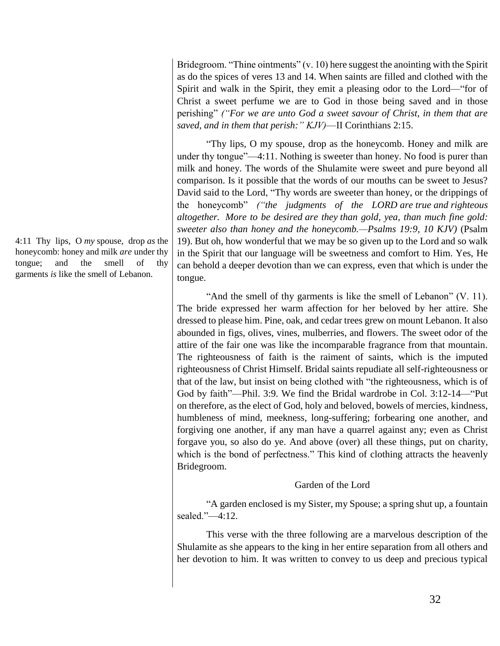Bridegroom. "Thine ointments" (v. 10) here suggest the anointing with the Spirit as do the spices of veres 13 and 14. When saints are filled and clothed with the Spirit and walk in the Spirit, they emit a pleasing odor to the Lord—"for of Christ a sweet perfume we are to God in those being saved and in those perishing" *("For we are unto God a sweet savour of Christ, in them that are saved, and in them that perish:" KJV)*—II Corinthians 2:15.

"Thy lips, O my spouse, drop as the honeycomb. Honey and milk are under thy tongue"—4:11. Nothing is sweeter than honey. No food is purer than milk and honey. The words of the Shulamite were sweet and pure beyond all comparison. Is it possible that the words of our mouths can be sweet to Jesus? David said to the Lord, "Thy words are sweeter than honey, or the drippings of the honeycomb" *("the judgments of the LORD are true and righteous altogether. More to be desired are they than gold, yea, than much fine gold: sweeter also than honey and the honeycomb.—Psalms 19:9, 10 KJV)* (Psalm 19). But oh, how wonderful that we may be so given up to the Lord and so walk in the Spirit that our language will be sweetness and comfort to Him. Yes, He can behold a deeper devotion than we can express, even that which is under the tongue.

"And the smell of thy garments is like the smell of Lebanon" (V. 11). The bride expressed her warm affection for her beloved by her attire. She dressed to please him. Pine, oak, and cedar trees grew on mount Lebanon. It also abounded in figs, olives, vines, mulberries, and flowers. The sweet odor of the attire of the fair one was like the incomparable fragrance from that mountain. The righteousness of faith is the raiment of saints, which is the imputed righteousness of Christ Himself. Bridal saints repudiate all self-righteousness or that of the law, but insist on being clothed with "the righteousness, which is of God by faith"—Phil. 3:9. We find the Bridal wardrobe in Col. 3:12-14—"Put on therefore, as the elect of God, holy and beloved, bowels of mercies, kindness, humbleness of mind, meekness, long-suffering; forbearing one another, and forgiving one another, if any man have a quarrel against any; even as Christ forgave you, so also do ye. And above (over) all these things, put on charity, which is the bond of perfectness." This kind of clothing attracts the heavenly Bridegroom.

# Garden of the Lord

"A garden enclosed is my Sister, my Spouse; a spring shut up, a fountain sealed."—4:12.

This verse with the three following are a marvelous description of the Shulamite as she appears to the king in her entire separation from all others and her devotion to him. It was written to convey to us deep and precious typical

4:11 Thy lips, O *my* spouse, drop *as* the honeycomb: honey and milk *are* under thy tongue; and the smell of thy garments *is* like the smell of Lebanon.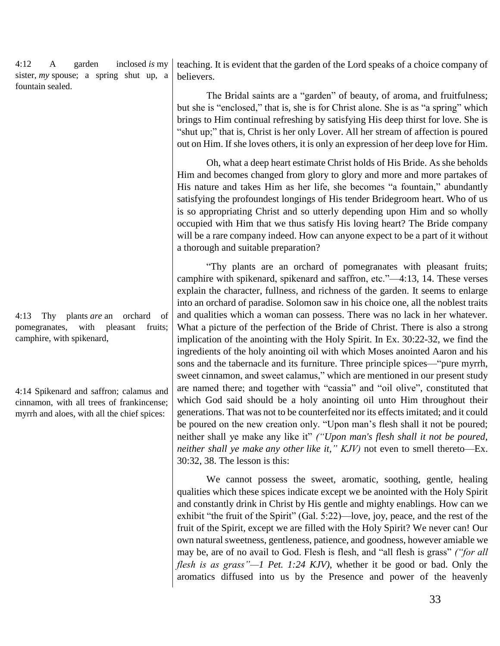4:12 A garden inclosed *is* my sister, *my* spouse; a spring shut up, a fountain sealed.

4:13 Thy plants *are* an orchard of pomegranates, with pleasant fruits; camphire, with spikenard,

4:14 Spikenard and saffron; calamus and cinnamon, with all trees of frankincense; myrrh and aloes, with all the chief spices:

teaching. It is evident that the garden of the Lord speaks of a choice company of believers.

The Bridal saints are a "garden" of beauty, of aroma, and fruitfulness; but she is "enclosed," that is, she is for Christ alone. She is as "a spring" which brings to Him continual refreshing by satisfying His deep thirst for love. She is "shut up;" that is, Christ is her only Lover. All her stream of affection is poured out on Him. If she loves others, it is only an expression of her deep love for Him.

Oh, what a deep heart estimate Christ holds of His Bride. As she beholds Him and becomes changed from glory to glory and more and more partakes of His nature and takes Him as her life, she becomes "a fountain," abundantly satisfying the profoundest longings of His tender Bridegroom heart. Who of us is so appropriating Christ and so utterly depending upon Him and so wholly occupied with Him that we thus satisfy His loving heart? The Bride company will be a rare company indeed. How can anyone expect to be a part of it without a thorough and suitable preparation?

"Thy plants are an orchard of pomegranates with pleasant fruits; camphire with spikenard, spikenard and saffron, etc."—4:13, 14. These verses explain the character, fullness, and richness of the garden. It seems to enlarge into an orchard of paradise. Solomon saw in his choice one, all the noblest traits and qualities which a woman can possess. There was no lack in her whatever. What a picture of the perfection of the Bride of Christ. There is also a strong implication of the anointing with the Holy Spirit. In Ex. 30:22-32, we find the ingredients of the holy anointing oil with which Moses anointed Aaron and his sons and the tabernacle and its furniture. Three principle spices—"pure myrrh, sweet cinnamon, and sweet calamus," which are mentioned in our present study are named there; and together with "cassia" and "oil olive", constituted that which God said should be a holy anointing oil unto Him throughout their generations. That was not to be counterfeited nor its effects imitated; and it could be poured on the new creation only. "Upon man's flesh shall it not be poured; neither shall ye make any like it" *("Upon man's flesh shall it not be poured, neither shall ye make any other like it," KJV)* not even to smell thereto—Ex. 30:32, 38. The lesson is this:

We cannot possess the sweet, aromatic, soothing, gentle, healing qualities which these spices indicate except we be anointed with the Holy Spirit and constantly drink in Christ by His gentle and mighty enablings. How can we exhibit "the fruit of the Spirit" (Gal. 5:22)—love, joy, peace, and the rest of the fruit of the Spirit, except we are filled with the Holy Spirit? We never can! Our own natural sweetness, gentleness, patience, and goodness, however amiable we may be, are of no avail to God. Flesh is flesh, and "all flesh is grass" *("for all flesh is as grass"—1 Pet. 1:24 KJV)*, whether it be good or bad. Only the aromatics diffused into us by the Presence and power of the heavenly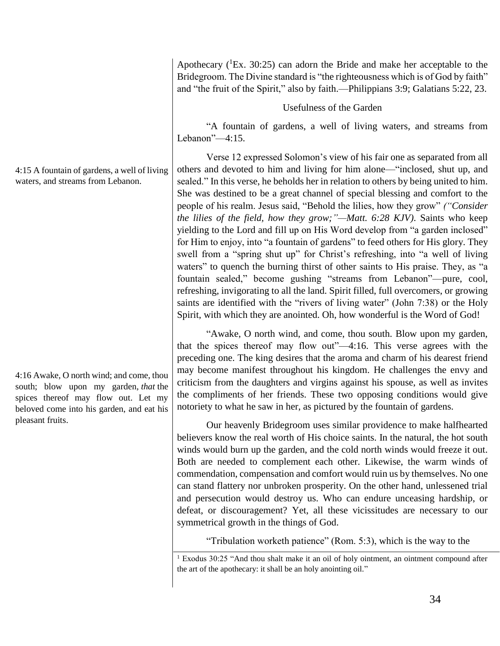Apothecary  $(^1Ex. 30:25)$  can adorn the Bride and make her acceptable to the Bridegroom. The Divine standard is "the righteousness which is of God by faith" and "the fruit of the Spirit," also by faith.—Philippians 3:9; Galatians 5:22, 23.

# Usefulness of the Garden

"A fountain of gardens, a well of living waters, and streams from Lebanon"—4:15.

Verse 12 expressed Solomon's view of his fair one as separated from all others and devoted to him and living for him alone—"inclosed, shut up, and sealed." In this verse, he beholds her in relation to others by being united to him. She was destined to be a great channel of special blessing and comfort to the people of his realm. Jesus said, "Behold the lilies, how they grow" *("Consider the lilies of the field, how they grow;"—Matt. 6:28 KJV)*. Saints who keep yielding to the Lord and fill up on His Word develop from "a garden inclosed" for Him to enjoy, into "a fountain of gardens" to feed others for His glory. They swell from a "spring shut up" for Christ's refreshing, into "a well of living waters" to quench the burning thirst of other saints to His praise. They, as "a fountain sealed," become gushing "streams from Lebanon"—pure, cool, refreshing, invigorating to all the land. Spirit filled, full overcomers, or growing saints are identified with the "rivers of living water" (John 7:38) or the Holy Spirit, with which they are anointed. Oh, how wonderful is the Word of God!

"Awake, O north wind, and come, thou south. Blow upon my garden, that the spices thereof may flow out"—4:16. This verse agrees with the preceding one. The king desires that the aroma and charm of his dearest friend may become manifest throughout his kingdom. He challenges the envy and criticism from the daughters and virgins against his spouse, as well as invites the compliments of her friends. These two opposing conditions would give notoriety to what he saw in her, as pictured by the fountain of gardens.

Our heavenly Bridegroom uses similar providence to make halfhearted believers know the real worth of His choice saints. In the natural, the hot south winds would burn up the garden, and the cold north winds would freeze it out. Both are needed to complement each other. Likewise, the warm winds of commendation, compensation and comfort would ruin us by themselves. No one can stand flattery nor unbroken prosperity. On the other hand, unlessened trial and persecution would destroy us. Who can endure unceasing hardship, or defeat, or discouragement? Yet, all these vicissitudes are necessary to our symmetrical growth in the things of God.

"Tribulation worketh patience" (Rom. 5:3), which is the way to the

<sup>1</sup> Exodus 30:25 "And thou shalt make it an oil of holy ointment, an ointment compound after the art of the apothecary: it shall be an holy anointing oil."

4:15 A fountain of gardens, a well of living waters, and streams from Lebanon.

4:16 Awake, O north wind; and come, thou south; blow upon my garden, *that* the spices thereof may flow out. Let my beloved come into his garden, and eat his pleasant fruits.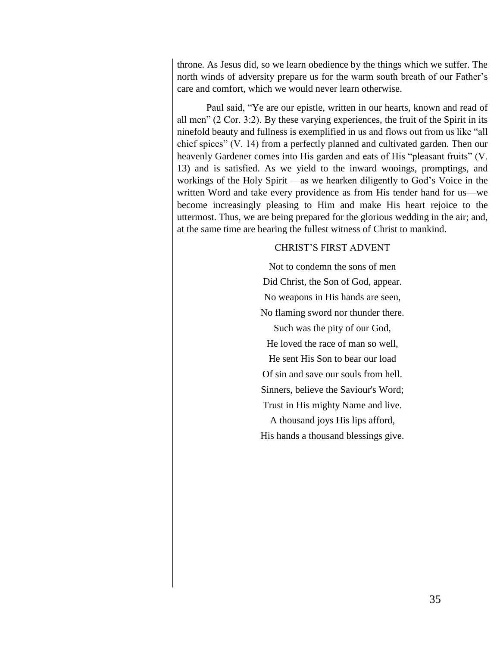throne. As Jesus did, so we learn obedience by the things which we suffer. The north winds of adversity prepare us for the warm south breath of our Father's care and comfort, which we would never learn otherwise.

Paul said, "Ye are our epistle, written in our hearts, known and read of all men" (2 Cor. 3:2). By these varying experiences, the fruit of the Spirit in its ninefold beauty and fullness is exemplified in us and flows out from us like "all chief spices" (V. 14) from a perfectly planned and cultivated garden. Then our heavenly Gardener comes into His garden and eats of His "pleasant fruits" (V. 13) and is satisfied. As we yield to the inward wooings, promptings, and workings of the Holy Spirit —as we hearken diligently to God's Voice in the written Word and take every providence as from His tender hand for us—we become increasingly pleasing to Him and make His heart rejoice to the uttermost. Thus, we are being prepared for the glorious wedding in the air; and, at the same time are bearing the fullest witness of Christ to mankind.

# CHRIST'S FIRST ADVENT

Not to condemn the sons of men Did Christ, the Son of God, appear. No weapons in His hands are seen, No flaming sword nor thunder there.

Such was the pity of our God, He loved the race of man so well, He sent His Son to bear our load Of sin and save our souls from hell. Sinners, believe the Saviour's Word; Trust in His mighty Name and live.

A thousand joys His lips afford, His hands a thousand blessings give.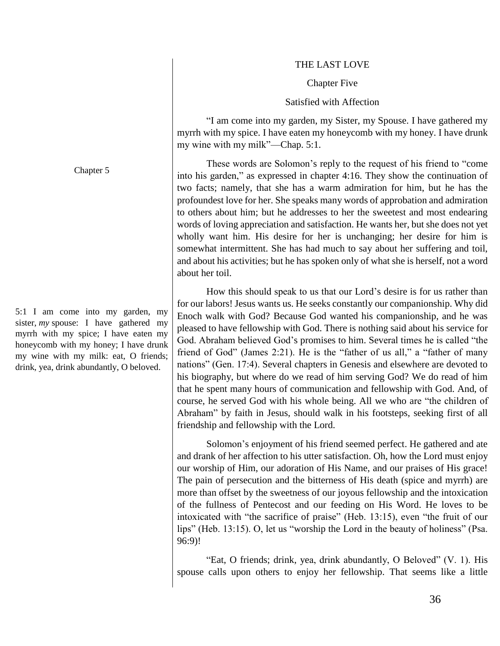#### THE LAST LOVE

#### Chapter Five

#### Satisfied with Affection

"I am come into my garden, my Sister, my Spouse. I have gathered my myrrh with my spice. I have eaten my honeycomb with my honey. I have drunk my wine with my milk"—Chap. 5:1.

These words are Solomon's reply to the request of his friend to "come into his garden," as expressed in chapter 4:16. They show the continuation of two facts; namely, that she has a warm admiration for him, but he has the profoundest love for her. She speaks many words of approbation and admiration to others about him; but he addresses to her the sweetest and most endearing words of loving appreciation and satisfaction. He wants her, but she does not yet wholly want him. His desire for her is unchanging; her desire for him is somewhat intermittent. She has had much to say about her suffering and toil, and about his activities; but he has spoken only of what she is herself, not a word about her toil.

How this should speak to us that our Lord's desire is for us rather than for our labors! Jesus wants us. He seeks constantly our companionship. Why did Enoch walk with God? Because God wanted his companionship, and he was pleased to have fellowship with God. There is nothing said about his service for God. Abraham believed God's promises to him. Several times he is called "the friend of God" (James 2:21). He is the "father of us all," a "father of many nations" (Gen. 17:4). Several chapters in Genesis and elsewhere are devoted to his biography, but where do we read of him serving God? We do read of him that he spent many hours of communication and fellowship with God. And, of course, he served God with his whole being. All we who are "the children of Abraham" by faith in Jesus, should walk in his footsteps, seeking first of all friendship and fellowship with the Lord.

Solomon's enjoyment of his friend seemed perfect. He gathered and ate and drank of her affection to his utter satisfaction. Oh, how the Lord must enjoy our worship of Him, our adoration of His Name, and our praises of His grace! The pain of persecution and the bitterness of His death (spice and myrrh) are more than offset by the sweetness of our joyous fellowship and the intoxication of the fullness of Pentecost and our feeding on His Word. He loves to be intoxicated with "the sacrifice of praise" (Heb. 13:15), even "the fruit of our lips" (Heb. 13:15). O, let us "worship the Lord in the beauty of holiness" (Psa. 96:9)!

"Eat, O friends; drink, yea, drink abundantly, O Beloved" (V. 1). His spouse calls upon others to enjoy her fellowship. That seems like a little

Chapter 5

5:1 I am come into my garden, my sister, *my* spouse: I have gathered my myrrh with my spice; I have eaten my honeycomb with my honey; I have drunk my wine with my milk: eat, O friends; drink, yea, drink abundantly, O beloved.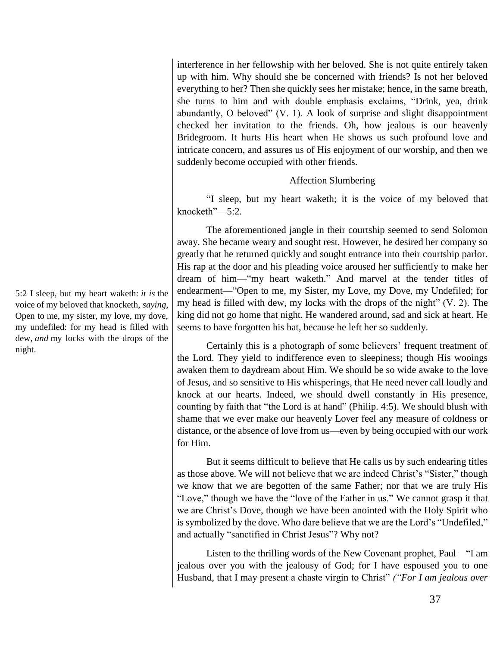interference in her fellowship with her beloved. She is not quite entirely taken up with him. Why should she be concerned with friends? Is not her beloved everything to her? Then she quickly sees her mistake; hence, in the same breath, she turns to him and with double emphasis exclaims, "Drink, yea, drink abundantly, O beloved" (V. 1). A look of surprise and slight disappointment checked her invitation to the friends. Oh, how jealous is our heavenly Bridegroom. It hurts His heart when He shows us such profound love and intricate concern, and assures us of His enjoyment of our worship, and then we suddenly become occupied with other friends.

### Affection Slumbering

"I sleep, but my heart waketh; it is the voice of my beloved that knocketh"—5:2.

The aforementioned jangle in their courtship seemed to send Solomon away. She became weary and sought rest. However, he desired her company so greatly that he returned quickly and sought entrance into their courtship parlor. His rap at the door and his pleading voice aroused her sufficiently to make her dream of him—"my heart waketh." And marvel at the tender titles of endearment—"Open to me, my Sister, my Love, my Dove, my Undefiled; for my head is filled with dew, my locks with the drops of the night" (V. 2). The king did not go home that night. He wandered around, sad and sick at heart. He seems to have forgotten his hat, because he left her so suddenly.

Certainly this is a photograph of some believers' frequent treatment of the Lord. They yield to indifference even to sleepiness; though His wooings awaken them to daydream about Him. We should be so wide awake to the love of Jesus, and so sensitive to His whisperings, that He need never call loudly and knock at our hearts. Indeed, we should dwell constantly in His presence, counting by faith that "the Lord is at hand" (Philip. 4:5). We should blush with shame that we ever make our heavenly Lover feel any measure of coldness or distance, or the absence of love from us—even by being occupied with our work for Him.

But it seems difficult to believe that He calls us by such endearing titles as those above. We will not believe that we are indeed Christ's "Sister," though we know that we are begotten of the same Father; nor that we are truly His "Love," though we have the "love of the Father in us." We cannot grasp it that we are Christ's Dove, though we have been anointed with the Holy Spirit who is symbolized by the dove. Who dare believe that we are the Lord's "Undefiled," and actually "sanctified in Christ Jesus"? Why not?

Listen to the thrilling words of the New Covenant prophet, Paul—"I am jealous over you with the jealousy of God; for I have espoused you to one Husband, that I may present a chaste virgin to Christ" *("For I am jealous over* 

5:2 I sleep, but my heart waketh: *it is* the voice of my beloved that knocketh, *saying*, Open to me, my sister, my love, my dove, my undefiled: for my head is filled with dew, *and* my locks with the drops of the night.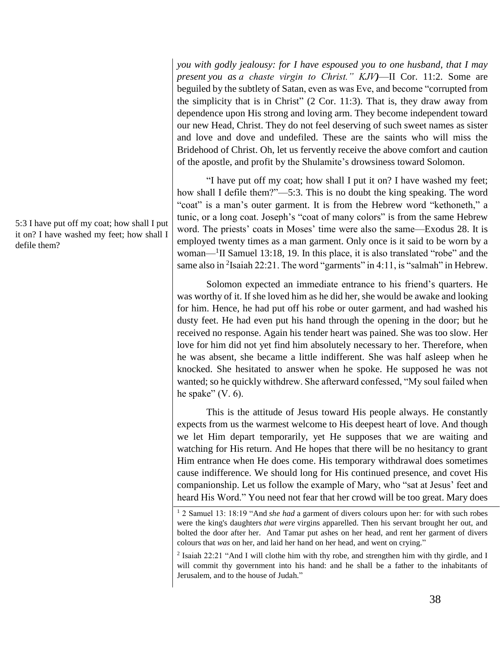*you with godly jealousy: for I have espoused you to one husband, that I may present you as a chaste virgin to Christ." KJV)*—II Cor. 11:2. Some are beguiled by the subtlety of Satan, even as was Eve, and become "corrupted from the simplicity that is in Christ" (2 Cor. 11:3). That is, they draw away from dependence upon His strong and loving arm. They become independent toward our new Head, Christ. They do not feel deserving of such sweet names as sister and love and dove and undefiled. These are the saints who will miss the Bridehood of Christ. Oh, let us fervently receive the above comfort and caution of the apostle, and profit by the Shulamite's drowsiness toward Solomon.

"I have put off my coat; how shall I put it on? I have washed my feet; how shall I defile them?"—5:3. This is no doubt the king speaking. The word "coat" is a man's outer garment. It is from the Hebrew word "kethoneth," a tunic, or a long coat. Joseph's "coat of many colors" is from the same Hebrew word. The priests' coats in Moses' time were also the same—Exodus 28. It is employed twenty times as a man garment. Only once is it said to be worn by a woman—<sup>1</sup> II Samuel 13:18, 19. In this place, it is also translated "robe" and the same also in  $2$ Isaiah 22:21. The word "garments" in 4:11, is "salmah" in Hebrew.

Solomon expected an immediate entrance to his friend's quarters. He was worthy of it. If she loved him as he did her, she would be awake and looking for him. Hence, he had put off his robe or outer garment, and had washed his dusty feet. He had even put his hand through the opening in the door; but he received no response. Again his tender heart was pained. She was too slow. Her love for him did not yet find him absolutely necessary to her. Therefore, when he was absent, she became a little indifferent. She was half asleep when he knocked. She hesitated to answer when he spoke. He supposed he was not wanted; so he quickly withdrew. She afterward confessed, "My soul failed when he spake"  $(V. 6)$ .

This is the attitude of Jesus toward His people always. He constantly expects from us the warmest welcome to His deepest heart of love. And though we let Him depart temporarily, yet He supposes that we are waiting and watching for His return. And He hopes that there will be no hesitancy to grant Him entrance when He does come. His temporary withdrawal does sometimes cause indifference. We should long for His continued presence, and covet His companionship. Let us follow the example of Mary, who "sat at Jesus' feet and heard His Word." You need not fear that her crowd will be too great. Mary does

<sup>1</sup> 2 Samuel 13: 18:19 "And *she had* a garment of divers colours upon her: for with such robes were the king's daughters *that were* virgins apparelled. Then his servant brought her out, and bolted the door after her. And Tamar put ashes on her head, and rent her garment of divers colours that *was* on her, and laid her hand on her head, and went on crying."

<sup>2</sup> Isaiah 22:21 "And I will clothe him with thy robe, and strengthen him with thy girdle, and I will commit thy government into his hand: and he shall be a father to the inhabitants of Jerusalem, and to the house of Judah."

5:3 I have put off my coat; how shall I put it on? I have washed my feet; how shall I defile them?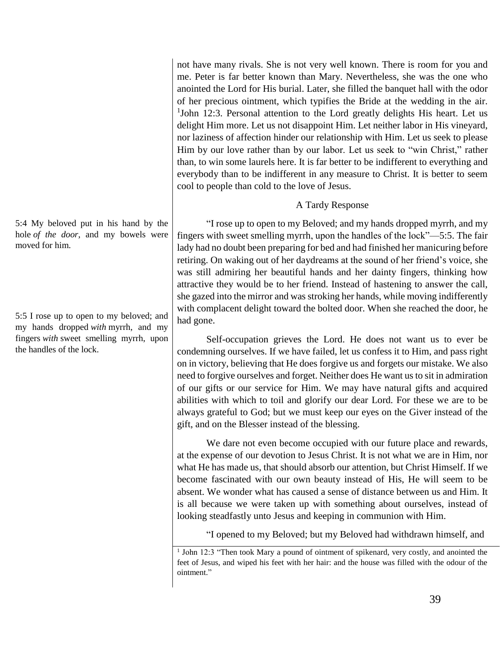not have many rivals. She is not very well known. There is room for you and me. Peter is far better known than Mary. Nevertheless, she was the one who anointed the Lord for His burial. Later, she filled the banquet hall with the odor of her precious ointment, which typifies the Bride at the wedding in the air. <sup>1</sup>John 12:3. Personal attention to the Lord greatly delights His heart. Let us delight Him more. Let us not disappoint Him. Let neither labor in His vineyard, nor laziness of affection hinder our relationship with Him. Let us seek to please Him by our love rather than by our labor. Let us seek to "win Christ," rather than, to win some laurels here. It is far better to be indifferent to everything and everybody than to be indifferent in any measure to Christ. It is better to seem cool to people than cold to the love of Jesus.

# A Tardy Response

"I rose up to open to my Beloved; and my hands dropped myrrh, and my fingers with sweet smelling myrrh, upon the handles of the lock"—5:5. The fair lady had no doubt been preparing for bed and had finished her manicuring before retiring. On waking out of her daydreams at the sound of her friend's voice, she was still admiring her beautiful hands and her dainty fingers, thinking how attractive they would be to her friend. Instead of hastening to answer the call, she gazed into the mirror and was stroking her hands, while moving indifferently with complacent delight toward the bolted door. When she reached the door, he had gone.

Self-occupation grieves the Lord. He does not want us to ever be condemning ourselves. If we have failed, let us confess it to Him, and pass right on in victory, believing that He does forgive us and forgets our mistake. We also need to forgive ourselves and forget. Neither does He want us to sit in admiration of our gifts or our service for Him. We may have natural gifts and acquired abilities with which to toil and glorify our dear Lord. For these we are to be always grateful to God; but we must keep our eyes on the Giver instead of the gift, and on the Blesser instead of the blessing.

We dare not even become occupied with our future place and rewards, at the expense of our devotion to Jesus Christ. It is not what we are in Him, nor what He has made us, that should absorb our attention, but Christ Himself. If we become fascinated with our own beauty instead of His, He will seem to be absent. We wonder what has caused a sense of distance between us and Him. It is all because we were taken up with something about ourselves, instead of looking steadfastly unto Jesus and keeping in communion with Him.

"I opened to my Beloved; but my Beloved had withdrawn himself, and

5:4 My beloved put in his hand by the hole *of the door*, and my bowels were moved for him.

5:5 I rose up to open to my beloved; and my hands dropped *with* myrrh, and my fingers *with* sweet smelling myrrh, upon the handles of the lock.

<sup>&</sup>lt;sup>1</sup> John 12:3 "Then took Mary a pound of ointment of spikenard, very costly, and anointed the feet of Jesus, and wiped his feet with her hair: and the house was filled with the odour of the ointment."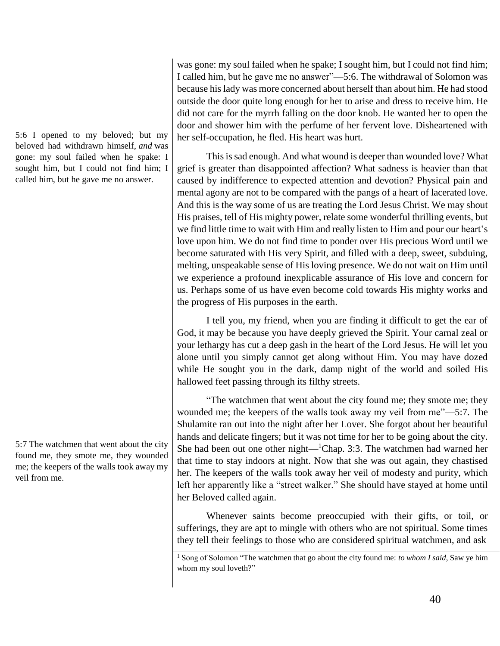5:6 I opened to my beloved; but my beloved had withdrawn himself, *and* was gone: my soul failed when he spake: I sought him, but I could not find him; I called him, but he gave me no answer.

5:7 The watchmen that went about the city found me, they smote me, they wounded me; the keepers of the walls took away my veil from me.

was gone: my soul failed when he spake; I sought him, but I could not find him; I called him, but he gave me no answer"—5:6. The withdrawal of Solomon was because his lady was more concerned about herself than about him. He had stood outside the door quite long enough for her to arise and dress to receive him. He did not care for the myrrh falling on the door knob. He wanted her to open the door and shower him with the perfume of her fervent love. Disheartened with her self-occupation, he fled. His heart was hurt.

This is sad enough. And what wound is deeper than wounded love? What grief is greater than disappointed affection? What sadness is heavier than that caused by indifference to expected attention and devotion? Physical pain and mental agony are not to be compared with the pangs of a heart of lacerated love. And this is the way some of us are treating the Lord Jesus Christ. We may shout His praises, tell of His mighty power, relate some wonderful thrilling events, but we find little time to wait with Him and really listen to Him and pour our heart's love upon him. We do not find time to ponder over His precious Word until we become saturated with His very Spirit, and filled with a deep, sweet, subduing, melting, unspeakable sense of His loving presence. We do not wait on Him until we experience a profound inexplicable assurance of His love and concern for us. Perhaps some of us have even become cold towards His mighty works and the progress of His purposes in the earth.

I tell you, my friend, when you are finding it difficult to get the ear of God, it may be because you have deeply grieved the Spirit. Your carnal zeal or your lethargy has cut a deep gash in the heart of the Lord Jesus. He will let you alone until you simply cannot get along without Him. You may have dozed while He sought you in the dark, damp night of the world and soiled His hallowed feet passing through its filthy streets.

"The watchmen that went about the city found me; they smote me; they wounded me; the keepers of the walls took away my veil from me"—5:7. The Shulamite ran out into the night after her Lover. She forgot about her beautiful hands and delicate fingers; but it was not time for her to be going about the city. She had been out one other night—<sup>1</sup>Chap. 3:3. The watchmen had warned her that time to stay indoors at night. Now that she was out again, they chastised her. The keepers of the walls took away her veil of modesty and purity, which left her apparently like a "street walker." She should have stayed at home until her Beloved called again.

Whenever saints become preoccupied with their gifts, or toil, or sufferings, they are apt to mingle with others who are not spiritual. Some times they tell their feelings to those who are considered spiritual watchmen, and ask

<sup>1</sup> Song of Solomon "The watchmen that go about the city found me: *to whom I said*, Saw ye him whom my soul loveth?"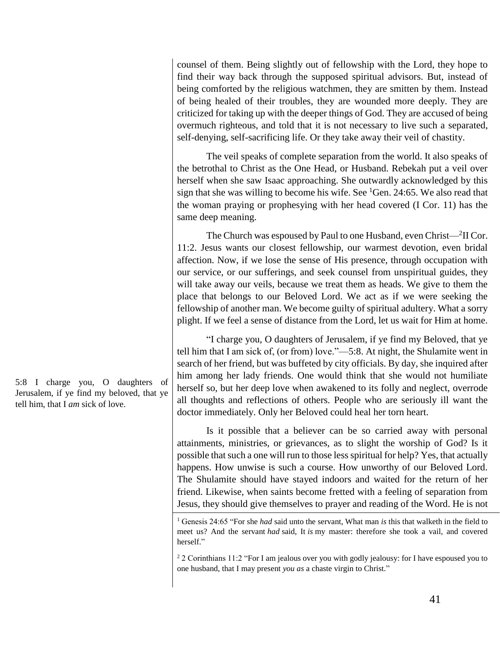counsel of them. Being slightly out of fellowship with the Lord, they hope to find their way back through the supposed spiritual advisors. But, instead of being comforted by the religious watchmen, they are smitten by them. Instead of being healed of their troubles, they are wounded more deeply. They are criticized for taking up with the deeper things of God. They are accused of being overmuch righteous, and told that it is not necessary to live such a separated, self-denying, self-sacrificing life. Or they take away their veil of chastity.

The veil speaks of complete separation from the world. It also speaks of the betrothal to Christ as the One Head, or Husband. Rebekah put a veil over herself when she saw Isaac approaching. She outwardly acknowledged by this sign that she was willing to become his wife. See  ${}^{1}$ Gen. 24:65. We also read that the woman praying or prophesying with her head covered (I Cor. 11) has the same deep meaning.

The Church was espoused by Paul to one Husband, even Christ—<sup>2</sup>II Cor. 11:2. Jesus wants our closest fellowship, our warmest devotion, even bridal affection. Now, if we lose the sense of His presence, through occupation with our service, or our sufferings, and seek counsel from unspiritual guides, they will take away our veils, because we treat them as heads. We give to them the place that belongs to our Beloved Lord. We act as if we were seeking the fellowship of another man. We become guilty of spiritual adultery. What a sorry plight. If we feel a sense of distance from the Lord, let us wait for Him at home.

"I charge you, O daughters of Jerusalem, if ye find my Beloved, that ye tell him that I am sick of, (or from) love."—5:8. At night, the Shulamite went in search of her friend, but was buffeted by city officials. By day, she inquired after him among her lady friends. One would think that she would not humiliate herself so, but her deep love when awakened to its folly and neglect, overrode all thoughts and reflections of others. People who are seriously ill want the doctor immediately. Only her Beloved could heal her torn heart.

Is it possible that a believer can be so carried away with personal attainments, ministries, or grievances, as to slight the worship of God? Is it possible that such a one will run to those less spiritual for help? Yes, that actually happens. How unwise is such a course. How unworthy of our Beloved Lord. The Shulamite should have stayed indoors and waited for the return of her friend. Likewise, when saints become fretted with a feeling of separation from Jesus, they should give themselves to prayer and reading of the Word. He is not

5:8 I charge you, O daughters of Jerusalem, if ye find my beloved, that ye tell him, that I *am* sick of love.

<sup>1</sup> Genesis 24:65 "For she *had* said unto the servant, What man *is* this that walketh in the field to meet us? And the servant *had* said, It *is* my master: therefore she took a vail, and covered herself."

<sup>&</sup>lt;sup>2</sup> 2 Corinthians 11:2 "For I am jealous over you with godly jealousy: for I have espoused you to one husband, that I may present *you as* a chaste virgin to Christ."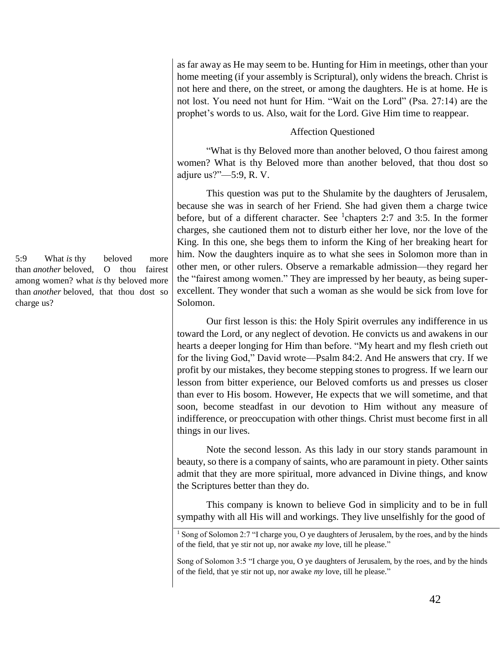as far away as He may seem to be. Hunting for Him in meetings, other than your home meeting (if your assembly is Scriptural), only widens the breach. Christ is not here and there, on the street, or among the daughters. He is at home. He is not lost. You need not hunt for Him. "Wait on the Lord" (Psa. 27:14) are the prophet's words to us. Also, wait for the Lord. Give Him time to reappear.

### Affection Questioned

"What is thy Beloved more than another beloved, O thou fairest among women? What is thy Beloved more than another beloved, that thou dost so adjure us?"—5:9, R. V.

This question was put to the Shulamite by the daughters of Jerusalem, because she was in search of her Friend. She had given them a charge twice before, but of a different character. See  $^1$ chapters 2:7 and 3:5. In the former charges, she cautioned them not to disturb either her love, nor the love of the King. In this one, she begs them to inform the King of her breaking heart for him. Now the daughters inquire as to what she sees in Solomon more than in other men, or other rulers. Observe a remarkable admission—they regard her the "fairest among women." They are impressed by her beauty, as being superexcellent. They wonder that such a woman as she would be sick from love for Solomon.

Our first lesson is this: the Holy Spirit overrules any indifference in us toward the Lord, or any neglect of devotion. He convicts us and awakens in our hearts a deeper longing for Him than before. "My heart and my flesh crieth out for the living God," David wrote—Psalm 84:2. And He answers that cry. If we profit by our mistakes, they become stepping stones to progress. If we learn our lesson from bitter experience, our Beloved comforts us and presses us closer than ever to His bosom. However, He expects that we will sometime, and that soon, become steadfast in our devotion to Him without any measure of indifference, or preoccupation with other things. Christ must become first in all things in our lives.

Note the second lesson. As this lady in our story stands paramount in beauty, so there is a company of saints, who are paramount in piety. Other saints admit that they are more spiritual, more advanced in Divine things, and know the Scriptures better than they do.

This company is known to believe God in simplicity and to be in full sympathy with all His will and workings. They live unselfishly for the good of

5:9 What *is* thy beloved more than *another* beloved, O thou fairest among women? what *is* thy beloved more than *another* beloved, that thou dost so charge us?

<sup>&</sup>lt;sup>1</sup> Song of Solomon 2:7 "I charge you, O ye daughters of Jerusalem, by the roes, and by the hinds of the field, that ye stir not up, nor awake *my* love, till he please."

Song of Solomon 3:5 "I charge you, O ye daughters of Jerusalem, by the roes, and by the hinds of the field, that ye stir not up, nor awake *my* love, till he please."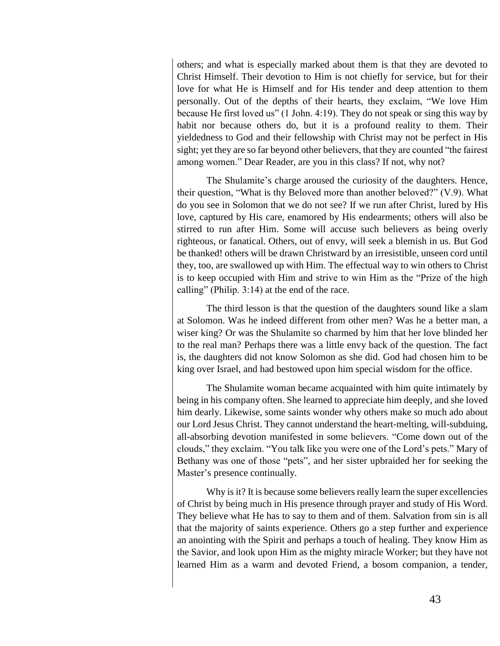others; and what is especially marked about them is that they are devoted to Christ Himself. Their devotion to Him is not chiefly for service, but for their love for what He is Himself and for His tender and deep attention to them personally. Out of the depths of their hearts, they exclaim, "We love Him because He first loved us" (1 John. 4:19). They do not speak or sing this way by habit nor because others do, but it is a profound reality to them. Their yieldedness to God and their fellowship with Christ may not be perfect in His sight; yet they are so far beyond other believers, that they are counted "the fairest among women." Dear Reader, are you in this class? If not, why not?

The Shulamite's charge aroused the curiosity of the daughters. Hence, their question, "What is thy Beloved more than another beloved?" (V.9). What do you see in Solomon that we do not see? If we run after Christ, lured by His love, captured by His care, enamored by His endearments; others will also be stirred to run after Him. Some will accuse such believers as being overly righteous, or fanatical. Others, out of envy, will seek a blemish in us. But God be thanked! others will be drawn Christward by an irresistible, unseen cord until they, too, are swallowed up with Him. The effectual way to win others to Christ is to keep occupied with Him and strive to win Him as the "Prize of the high calling" (Philip. 3:14) at the end of the race.

The third lesson is that the question of the daughters sound like a slam at Solomon. Was he indeed different from other men? Was he a better man, a wiser king? Or was the Shulamite so charmed by him that her love blinded her to the real man? Perhaps there was a little envy back of the question. The fact is, the daughters did not know Solomon as she did. God had chosen him to be king over Israel, and had bestowed upon him special wisdom for the office.

The Shulamite woman became acquainted with him quite intimately by being in his company often. She learned to appreciate him deeply, and she loved him dearly. Likewise, some saints wonder why others make so much ado about our Lord Jesus Christ. They cannot understand the heart-melting, will-subduing, all-absorbing devotion manifested in some believers. "Come down out of the clouds," they exclaim. "You talk like you were one of the Lord's pets." Mary of Bethany was one of those "pets", and her sister upbraided her for seeking the Master's presence continually.

Why is it? It is because some believers really learn the super excellencies of Christ by being much in His presence through prayer and study of His Word. They believe what He has to say to them and of them. Salvation from sin is all that the majority of saints experience. Others go a step further and experience an anointing with the Spirit and perhaps a touch of healing. They know Him as the Savior, and look upon Him as the mighty miracle Worker; but they have not learned Him as a warm and devoted Friend, a bosom companion, a tender,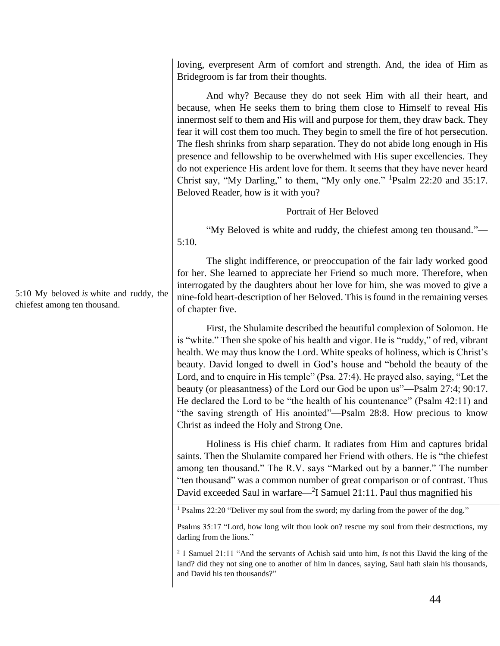loving, everpresent Arm of comfort and strength. And, the idea of Him as Bridegroom is far from their thoughts.

And why? Because they do not seek Him with all their heart, and because, when He seeks them to bring them close to Himself to reveal His innermost self to them and His will and purpose for them, they draw back. They fear it will cost them too much. They begin to smell the fire of hot persecution. The flesh shrinks from sharp separation. They do not abide long enough in His presence and fellowship to be overwhelmed with His super excellencies. They do not experience His ardent love for them. It seems that they have never heard Christ say, "My Darling," to them, "My only one." <sup>1</sup>Psalm 22:20 and 35:17. Beloved Reader, how is it with you?

# Portrait of Her Beloved

"My Beloved is white and ruddy, the chiefest among ten thousand."— 5:10.

The slight indifference, or preoccupation of the fair lady worked good for her. She learned to appreciate her Friend so much more. Therefore, when interrogated by the daughters about her love for him, she was moved to give a nine-fold heart-description of her Beloved. This is found in the remaining verses of chapter five.

First, the Shulamite described the beautiful complexion of Solomon. He is "white." Then she spoke of his health and vigor. He is "ruddy," of red, vibrant health. We may thus know the Lord. White speaks of holiness, which is Christ's beauty. David longed to dwell in God's house and "behold the beauty of the Lord, and to enquire in His temple" (Psa. 27:4). He prayed also, saying, "Let the beauty (or pleasantness) of the Lord our God be upon us"—Psalm 27:4; 90:17. He declared the Lord to be "the health of his countenance" (Psalm 42:11) and "the saving strength of His anointed"—Psalm 28:8. How precious to know Christ as indeed the Holy and Strong One.

Holiness is His chief charm. It radiates from Him and captures bridal saints. Then the Shulamite compared her Friend with others. He is "the chiefest among ten thousand." The R.V. says "Marked out by a banner." The number "ten thousand" was a common number of great comparison or of contrast. Thus David exceeded Saul in warfare—<sup>2</sup>I Samuel 21:11. Paul thus magnified his

<sup>1</sup> Psalms 22:20 "Deliver my soul from the sword; my darling from the power of the dog."

5:10 My beloved *is* white and ruddy, the chiefest among ten thousand.

Psalms 35:17 "Lord, how long wilt thou look on? rescue my soul from their destructions, my darling from the lions."

<sup>2</sup> 1 Samuel 21:11 "And the servants of Achish said unto him, *Is* not this David the king of the land? did they not sing one to another of him in dances, saying, Saul hath slain his thousands, and David his ten thousands?"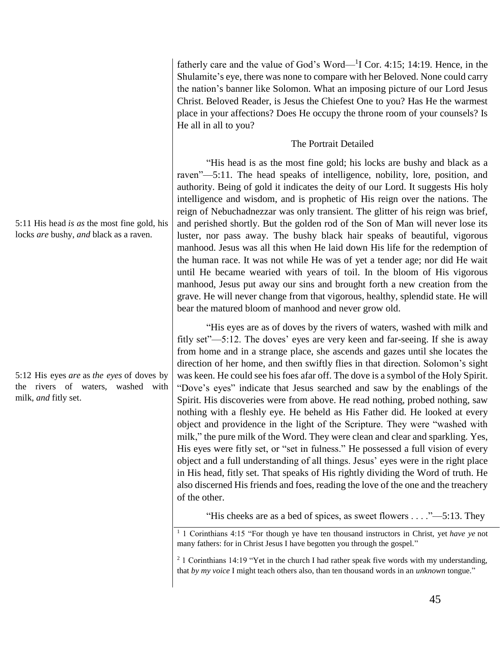fatherly care and the value of God's Word— $1$ I Cor. 4:15; 14:19. Hence, in the Shulamite's eye, there was none to compare with her Beloved. None could carry the nation's banner like Solomon. What an imposing picture of our Lord Jesus Christ. Beloved Reader, is Jesus the Chiefest One to you? Has He the warmest place in your affections? Does He occupy the throne room of your counsels? Is He all in all to you?

### The Portrait Detailed

"His head is as the most fine gold; his locks are bushy and black as a raven"—5:11. The head speaks of intelligence, nobility, lore, position, and authority. Being of gold it indicates the deity of our Lord. It suggests His holy intelligence and wisdom, and is prophetic of His reign over the nations. The reign of Nebuchadnezzar was only transient. The glitter of his reign was brief, and perished shortly. But the golden rod of the Son of Man will never lose its luster, nor pass away. The bushy black hair speaks of beautiful, vigorous manhood. Jesus was all this when He laid down His life for the redemption of the human race. It was not while He was of yet a tender age; nor did He wait until He became wearied with years of toil. In the bloom of His vigorous manhood, Jesus put away our sins and brought forth a new creation from the grave. He will never change from that vigorous, healthy, splendid state. He will bear the matured bloom of manhood and never grow old.

"His eyes are as of doves by the rivers of waters, washed with milk and fitly set"—5:12. The doves' eyes are very keen and far-seeing. If she is away from home and in a strange place, she ascends and gazes until she locates the direction of her home, and then swiftly flies in that direction. Solomon's sight was keen. He could see his foes afar off. The dove is a symbol of the Holy Spirit. "Dove's eyes" indicate that Jesus searched and saw by the enablings of the Spirit. His discoveries were from above. He read nothing, probed nothing, saw nothing with a fleshly eye. He beheld as His Father did. He looked at every object and providence in the light of the Scripture. They were "washed with milk," the pure milk of the Word. They were clean and clear and sparkling. Yes, His eyes were fitly set, or "set in fulness." He possessed a full vision of every object and a full understanding of all things. Jesus' eyes were in the right place in His head, fitly set. That speaks of His rightly dividing the Word of truth. He also discerned His friends and foes, reading the love of the one and the treachery of the other.

"His cheeks are as a bed of spices, as sweet flowers . . . ."—5:13. They

<sup>1</sup> 1 Corinthians 4:15 "For though ye have ten thousand instructors in Christ, yet *have ye* not many fathers: for in Christ Jesus I have begotten you through the gospel."

<sup>2</sup> 1 Corinthians 14:19 "Yet in the church I had rather speak five words with my understanding, that *by my voice* I might teach others also, than ten thousand words in an *unknown* tongue."

5:11 His head *is as* the most fine gold, his locks *are* bushy, *and* black as a raven.

5:12 His eyes *are* as *the eyes* of doves by the rivers of waters, washed with milk, *and* fitly set.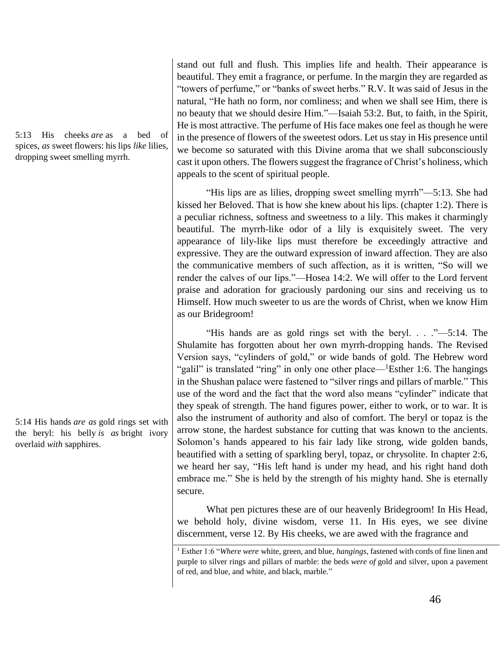5:13 His cheeks *are* as a bed of spices, *as* sweet flowers: his lips *like* lilies, dropping sweet smelling myrrh.

5:14 His hands *are as* gold rings set with the beryl: his belly *is as* bright ivory overlaid *with* sapphires.

stand out full and flush. This implies life and health. Their appearance is beautiful. They emit a fragrance, or perfume. In the margin they are regarded as "towers of perfume," or "banks of sweet herbs." R.V. It was said of Jesus in the natural, "He hath no form, nor comliness; and when we shall see Him, there is no beauty that we should desire Him."—Isaiah 53:2. But, to faith, in the Spirit, He is most attractive. The perfume of His face makes one feel as though he were in the presence of flowers of the sweetest odors. Let us stay in His presence until we become so saturated with this Divine aroma that we shall subconsciously cast it upon others. The flowers suggest the fragrance of Christ's holiness, which appeals to the scent of spiritual people.

"His lips are as lilies, dropping sweet smelling myrrh"—5:13. She had kissed her Beloved. That is how she knew about his lips. (chapter 1:2). There is a peculiar richness, softness and sweetness to a lily. This makes it charmingly beautiful. The myrrh-like odor of a lily is exquisitely sweet. The very appearance of lily-like lips must therefore be exceedingly attractive and expressive. They are the outward expression of inward affection. They are also the communicative members of such affection, as it is written, "So will we render the calves of our lips."—Hosea 14:2. We will offer to the Lord fervent praise and adoration for graciously pardoning our sins and receiving us to Himself. How much sweeter to us are the words of Christ, when we know Him as our Bridegroom!

"His hands are as gold rings set with the beryl. . . ."—5:14. The Shulamite has forgotten about her own myrrh-dropping hands. The Revised Version says, "cylinders of gold," or wide bands of gold. The Hebrew word "galil" is translated "ring" in only one other place—<sup>1</sup>Esther 1:6. The hangings in the Shushan palace were fastened to "silver rings and pillars of marble." This use of the word and the fact that the word also means "cylinder" indicate that they speak of strength. The hand figures power, either to work, or to war. It is also the instrument of authority and also of comfort. The beryl or topaz is the arrow stone, the hardest substance for cutting that was known to the ancients. Solomon's hands appeared to his fair lady like strong, wide golden bands, beautified with a setting of sparkling beryl, topaz, or chrysolite. In chapter 2:6, we heard her say, "His left hand is under my head, and his right hand doth embrace me." She is held by the strength of his mighty hand. She is eternally secure.

What pen pictures these are of our heavenly Bridegroom! In His Head, we behold holy, divine wisdom, verse 11. In His eyes, we see divine discernment, verse 12. By His cheeks, we are awed with the fragrance and

<sup>1</sup> Esther 1:6 "*Where were* white, green, and blue, *hangings*, fastened with cords of fine linen and purple to silver rings and pillars of marble: the beds *were of* gold and silver, upon a pavement of red, and blue, and white, and black, marble."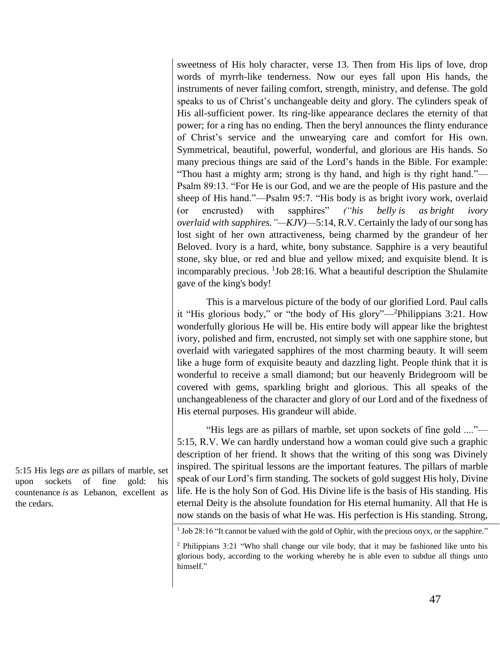sweetness of His holy character, verse 13. Then from His lips of love, drop words of myrrh-like tenderness. Now our eyes fall upon His hands, the instruments of never failing comfort, strength, ministry, and defense. The gold speaks to us of Christ's unchangeable deity and glory. The cylinders speak of His all-sufficient power. Its ring-like appearance declares the eternity of that power; for a ring has no ending. Then the beryl announces the flinty endurance of Christ's service and the unwearying care and comfort for His own. Symmetrical, beautiful, powerful, wonderful, and glorious are His hands. So many precious things are said of the Lord's hands in the Bible. For example: "Thou hast a mighty arm; strong is thy hand, and high is thy right hand."— Psalm 89:13. "For He is our God, and we are the people of His pasture and the sheep of His hand."—Psalm 95:7. "His body is as bright ivory work, overlaid (or encrusted) with sapphires" *("his belly is as bright ivory overlaid with sapphires."—KJV)*—5:14, R.V. Certainly the lady of our song has lost sight of her own attractiveness, being charmed by the grandeur of her Beloved. Ivory is a hard, white, bony substance. Sapphire is a very beautiful stone, sky blue, or red and blue and yellow mixed; and exquisite blend. It is incomparably precious.  $1$ Job 28:16. What a beautiful description the Shulamite gave of the king's body!

This is a marvelous picture of the body of our glorified Lord. Paul calls it "His glorious body," or "the body of His glory"—<sup>2</sup>Philippians 3:21. How wonderfully glorious He will be. His entire body will appear like the brightest ivory, polished and firm, encrusted, not simply set with one sapphire stone, but overlaid with variegated sapphires of the most charming beauty. It will seem like a huge form of exquisite beauty and dazzling light. People think that it is wonderful to receive a small diamond; but our heavenly Bridegroom will be covered with gems, sparkling bright and glorious. This all speaks of the unchangeableness of the character and glory of our Lord and of the fixedness of His eternal purposes. His grandeur will abide.

"His legs are as pillars of marble, set upon sockets of fine gold ...."— 5:15, R.V. We can hardly understand how a woman could give such a graphic description of her friend. It shows that the writing of this song was Divinely inspired. The spiritual lessons are the important features. The pillars of marble speak of our Lord's firm standing. The sockets of gold suggest His holy, Divine life. He is the holy Son of God. His Divine life is the basis of His standing. His eternal Deity is the absolute foundation for His eternal humanity. All that He is now stands on the basis of what He was. His perfection is His standing. Strong,

5:15 His legs *are as* pillars of marble, set upon sockets of fine gold: his countenance *is* as Lebanon, excellent as the cedars.

<sup>&</sup>lt;sup>1</sup> Job 28:16 "It cannot be valued with the gold of Ophir, with the precious onyx, or the sapphire."

<sup>2</sup> Philippians 3:21 "Who shall change our vile body, that it may be fashioned like unto his glorious body, according to the working whereby he is able even to subdue all things unto himself."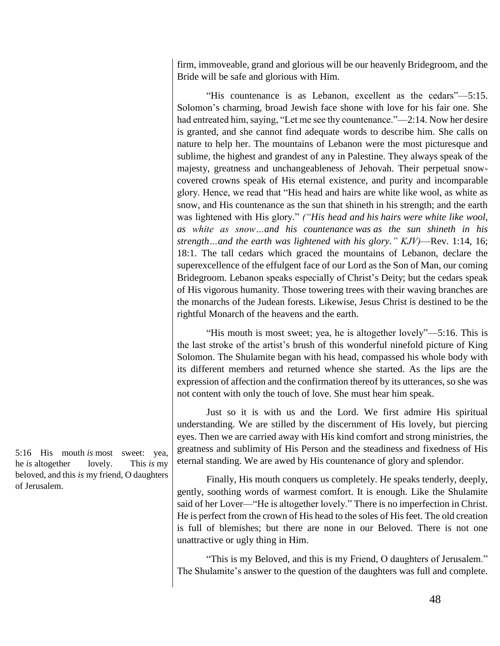firm, immoveable, grand and glorious will be our heavenly Bridegroom, and the Bride will be safe and glorious with Him.

"His countenance is as Lebanon, excellent as the cedars"—5:15. Solomon's charming, broad Jewish face shone with love for his fair one. She had entreated him, saying, "Let me see thy countenance."—2:14. Now her desire is granted, and she cannot find adequate words to describe him. She calls on nature to help her. The mountains of Lebanon were the most picturesque and sublime, the highest and grandest of any in Palestine. They always speak of the majesty, greatness and unchangeableness of Jehovah. Their perpetual snowcovered crowns speak of His eternal existence, and purity and incomparable glory. Hence, we read that "His head and hairs are white like wool, as white as snow, and His countenance as the sun that shineth in his strength; and the earth was lightened with His glory." *("His head and his hairs were white like wool, as white as snow…and his countenance was as the sun shineth in his strength…and the earth was lightened with his glory." KJV)*—Rev. 1:14, 16; 18:1. The tall cedars which graced the mountains of Lebanon, declare the superexcellence of the effulgent face of our Lord as the Son of Man, our coming Bridegroom. Lebanon speaks especially of Christ's Deity; but the cedars speak of His vigorous humanity. Those towering trees with their waving branches are the monarchs of the Judean forests. Likewise, Jesus Christ is destined to be the rightful Monarch of the heavens and the earth.

"His mouth is most sweet; yea, he is altogether lovely"—5:16. This is the last stroke of the artist's brush of this wonderful ninefold picture of King Solomon. The Shulamite began with his head, compassed his whole body with its different members and returned whence she started. As the lips are the expression of affection and the confirmation thereof by its utterances, so she was not content with only the touch of love. She must hear him speak.

Just so it is with us and the Lord. We first admire His spiritual understanding. We are stilled by the discernment of His lovely, but piercing eyes. Then we are carried away with His kind comfort and strong ministries, the greatness and sublimity of His Person and the steadiness and fixedness of His eternal standing. We are awed by His countenance of glory and splendor.

Finally, His mouth conquers us completely. He speaks tenderly, deeply, gently, soothing words of warmest comfort. It is enough. Like the Shulamite said of her Lover—"He is altogether lovely." There is no imperfection in Christ. He is perfect from the crown of His head to the soles of His feet. The old creation is full of blemishes; but there are none in our Beloved. There is not one unattractive or ugly thing in Him.

"This is my Beloved, and this is my Friend, O daughters of Jerusalem." The Shulamite's answer to the question of the daughters was full and complete.

5:16 His mouth *is* most sweet: yea, he *is* altogether lovely. This *is* my beloved, and this *is* my friend, O daughters of Jerusalem.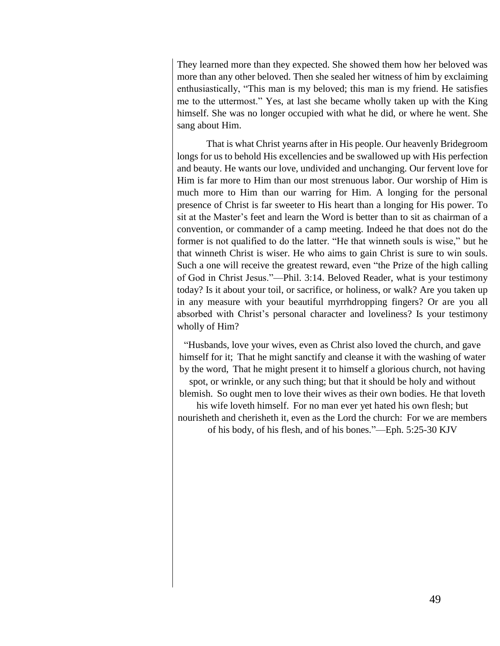They learned more than they expected. She showed them how her beloved was more than any other beloved. Then she sealed her witness of him by exclaiming enthusiastically, "This man is my beloved; this man is my friend. He satisfies me to the uttermost." Yes, at last she became wholly taken up with the King himself. She was no longer occupied with what he did, or where he went. She sang about Him.

That is what Christ yearns after in His people. Our heavenly Bridegroom longs for us to behold His excellencies and be swallowed up with His perfection and beauty. He wants our love, undivided and unchanging. Our fervent love for Him is far more to Him than our most strenuous labor. Our worship of Him is much more to Him than our warring for Him. A longing for the personal presence of Christ is far sweeter to His heart than a longing for His power. To sit at the Master's feet and learn the Word is better than to sit as chairman of a convention, or commander of a camp meeting. Indeed he that does not do the former is not qualified to do the latter. "He that winneth souls is wise," but he that winneth Christ is wiser. He who aims to gain Christ is sure to win souls. Such a one will receive the greatest reward, even "the Prize of the high calling of God in Christ Jesus."—Phil. 3:14. Beloved Reader, what is your testimony today? Is it about your toil, or sacrifice, or holiness, or walk? Are you taken up in any measure with your beautiful myrrhdropping fingers? Or are you all absorbed with Christ's personal character and loveliness? Is your testimony wholly of Him?

"Husbands, love your wives, even as Christ also loved the church, and gave himself for it; That he might sanctify and cleanse it with the washing of water by the word, That he might present it to himself a glorious church, not having spot, or wrinkle, or any such thing; but that it should be holy and without blemish. So ought men to love their wives as their own bodies. He that loveth his wife loveth himself. For no man ever yet hated his own flesh; but nourisheth and cherisheth it, even as the Lord the church: For we are members of his body, of his flesh, and of his bones."—Eph. 5:25-30 KJV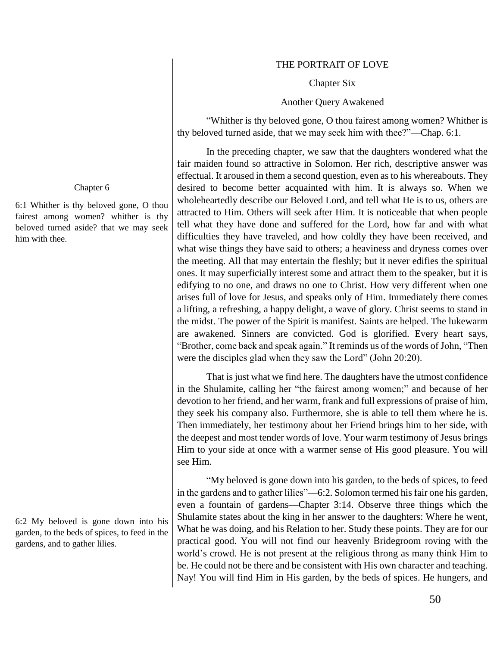#### THE PORTRAIT OF LOVE

#### Chapter Six

#### Another Query Awakened

"Whither is thy beloved gone, O thou fairest among women? Whither is thy beloved turned aside, that we may seek him with thee?"—Chap. 6:1.

In the preceding chapter, we saw that the daughters wondered what the fair maiden found so attractive in Solomon. Her rich, descriptive answer was effectual. It aroused in them a second question, even as to his whereabouts. They desired to become better acquainted with him. It is always so. When we wholeheartedly describe our Beloved Lord, and tell what He is to us, others are attracted to Him. Others will seek after Him. It is noticeable that when people tell what they have done and suffered for the Lord, how far and with what difficulties they have traveled, and how coldly they have been received, and what wise things they have said to others; a heaviness and dryness comes over the meeting. All that may entertain the fleshly; but it never edifies the spiritual ones. It may superficially interest some and attract them to the speaker, but it is edifying to no one, and draws no one to Christ. How very different when one arises full of love for Jesus, and speaks only of Him. Immediately there comes a lifting, a refreshing, a happy delight, a wave of glory. Christ seems to stand in the midst. The power of the Spirit is manifest. Saints are helped. The lukewarm are awakened. Sinners are convicted. God is glorified. Every heart says, "Brother, come back and speak again." It reminds us of the words of John, "Then were the disciples glad when they saw the Lord" (John 20:20).

That is just what we find here. The daughters have the utmost confidence in the Shulamite, calling her "the fairest among women;" and because of her devotion to her friend, and her warm, frank and full expressions of praise of him, they seek his company also. Furthermore, she is able to tell them where he is. Then immediately, her testimony about her Friend brings him to her side, with the deepest and most tender words of love. Your warm testimony of Jesus brings Him to your side at once with a warmer sense of His good pleasure. You will see Him.

"My beloved is gone down into his garden, to the beds of spices, to feed in the gardens and to gather lilies"—6:2. Solomon termed his fair one his garden, even a fountain of gardens—Chapter 3:14. Observe three things which the Shulamite states about the king in her answer to the daughters: Where he went, What he was doing, and his Relation to her. Study these points. They are for our practical good. You will not find our heavenly Bridegroom roving with the world's crowd. He is not present at the religious throng as many think Him to be. He could not be there and be consistent with His own character and teaching. Nay! You will find Him in His garden, by the beds of spices. He hungers, and

### Chapter 6

6:1 Whither is thy beloved gone, O thou fairest among women? whither is thy beloved turned aside? that we may seek him with thee.

6:2 My beloved is gone down into his garden, to the beds of spices, to feed in the gardens, and to gather lilies.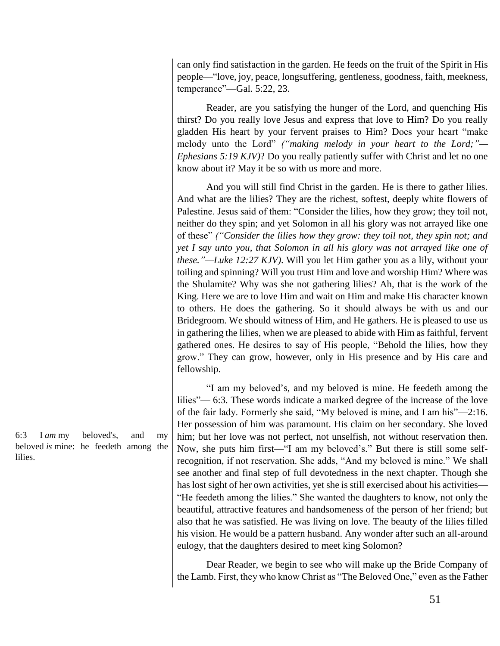can only find satisfaction in the garden. He feeds on the fruit of the Spirit in His people—"love, joy, peace, longsuffering, gentleness, goodness, faith, meekness, temperance"—Gal. 5:22, 23.

Reader, are you satisfying the hunger of the Lord, and quenching His thirst? Do you really love Jesus and express that love to Him? Do you really gladden His heart by your fervent praises to Him? Does your heart "make melody unto the Lord" *("making melody in your heart to the Lord;"— Ephesians 5:19 KJV)*? Do you really patiently suffer with Christ and let no one know about it? May it be so with us more and more.

And you will still find Christ in the garden. He is there to gather lilies. And what are the lilies? They are the richest, softest, deeply white flowers of Palestine. Jesus said of them: "Consider the lilies, how they grow; they toil not, neither do they spin; and yet Solomon in all his glory was not arrayed like one of these" *("Consider the lilies how they grow: they toil not, they spin not; and yet I say unto you, that Solomon in all his glory was not arrayed like one of these."—Luke 12:27 KJV)*. Will you let Him gather you as a lily, without your toiling and spinning? Will you trust Him and love and worship Him? Where was the Shulamite? Why was she not gathering lilies? Ah, that is the work of the King. Here we are to love Him and wait on Him and make His character known to others. He does the gathering. So it should always be with us and our Bridegroom. We should witness of Him, and He gathers. He is pleased to use us in gathering the lilies, when we are pleased to abide with Him as faithful, fervent gathered ones. He desires to say of His people, "Behold the lilies, how they grow." They can grow, however, only in His presence and by His care and fellowship.

"I am my beloved's, and my beloved is mine. He feedeth among the lilies"— 6:3. These words indicate a marked degree of the increase of the love of the fair lady. Formerly she said, "My beloved is mine, and I am his"—2:16. Her possession of him was paramount. His claim on her secondary. She loved him; but her love was not perfect, not unselfish, not without reservation then. Now, she puts him first—"I am my beloved's." But there is still some selfrecognition, if not reservation. She adds, "And my beloved is mine." We shall see another and final step of full devotedness in the next chapter. Though she has lost sight of her own activities, yet she is still exercised about his activities— "He feedeth among the lilies." She wanted the daughters to know, not only the beautiful, attractive features and handsomeness of the person of her friend; but also that he was satisfied. He was living on love. The beauty of the lilies filled his vision. He would be a pattern husband. Any wonder after such an all-around eulogy, that the daughters desired to meet king Solomon?

Dear Reader, we begin to see who will make up the Bride Company of the Lamb. First, they who know Christ as "The Beloved One," even as the Father

6:3 I *am* my beloved's, and my beloved *is* mine: he feedeth among the lilies.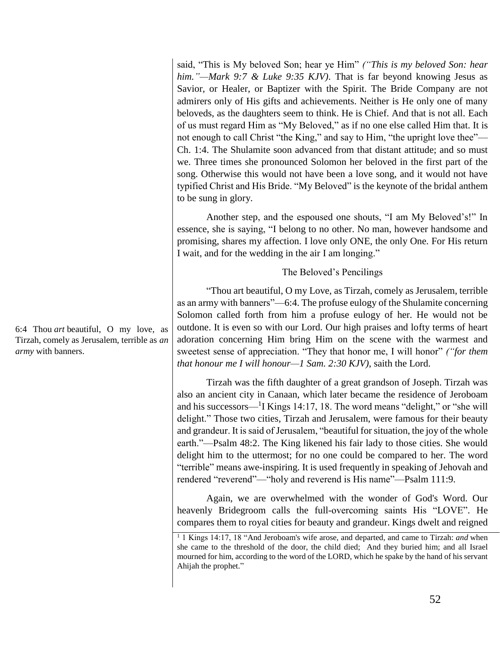said, "This is My beloved Son; hear ye Him" *("This is my beloved Son: hear him."—Mark 9:7 & Luke 9:35 KJV)*. That is far beyond knowing Jesus as Savior, or Healer, or Baptizer with the Spirit. The Bride Company are not admirers only of His gifts and achievements. Neither is He only one of many beloveds, as the daughters seem to think. He is Chief. And that is not all. Each of us must regard Him as "My Beloved," as if no one else called Him that. It is not enough to call Christ "the King," and say to Him, "the upright love thee"— Ch. 1:4. The Shulamite soon advanced from that distant attitude; and so must we. Three times she pronounced Solomon her beloved in the first part of the song. Otherwise this would not have been a love song, and it would not have typified Christ and His Bride. "My Beloved" is the keynote of the bridal anthem to be sung in glory.

Another step, and the espoused one shouts, "I am My Beloved's!" In essence, she is saying, "I belong to no other. No man, however handsome and promising, shares my affection. I love only ONE, the only One. For His return I wait, and for the wedding in the air I am longing."

### The Beloved's Pencilings

"Thou art beautiful, O my Love, as Tirzah, comely as Jerusalem, terrible as an army with banners"—6:4. The profuse eulogy of the Shulamite concerning Solomon called forth from him a profuse eulogy of her. He would not be outdone. It is even so with our Lord. Our high praises and lofty terms of heart adoration concerning Him bring Him on the scene with the warmest and sweetest sense of appreciation. "They that honor me, I will honor" *("for them that honour me I will honour—1 Sam. 2:30 KJV)*, saith the Lord.

Tirzah was the fifth daughter of a great grandson of Joseph. Tirzah was also an ancient city in Canaan, which later became the residence of Jeroboam and his successors—<sup>1</sup> I Kings 14:17, 18. The word means "delight," or "she will delight." Those two cities, Tirzah and Jerusalem, were famous for their beauty and grandeur. It is said of Jerusalem, "beautiful for situation, the joy of the whole earth."—Psalm 48:2. The King likened his fair lady to those cities. She would delight him to the uttermost; for no one could be compared to her. The word "terrible" means awe-inspiring. It is used frequently in speaking of Jehovah and rendered "reverend"—"holy and reverend is His name"—Psalm 111:9.

Again, we are overwhelmed with the wonder of God's Word. Our heavenly Bridegroom calls the full-overcoming saints His "LOVE". He compares them to royal cities for beauty and grandeur. Kings dwelt and reigned

6:4 Thou *art* beautiful, O my love, as Tirzah, comely as Jerusalem, terrible as *an army* with banners.

<sup>&</sup>lt;sup>1</sup> 1 Kings 14:17, 18 "And Jeroboam's wife arose, and departed, and came to Tirzah: *and* when she came to the threshold of the door, the child died; And they buried him; and all Israel mourned for him, according to the word of the LORD, which he spake by the hand of his servant Ahijah the prophet."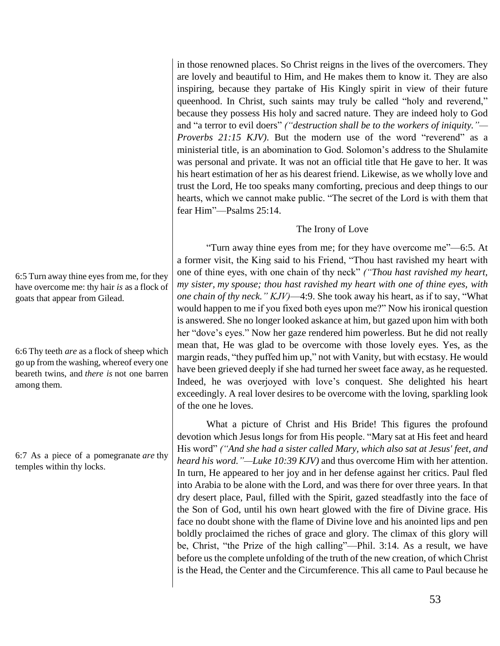in those renowned places. So Christ reigns in the lives of the overcomers. They are lovely and beautiful to Him, and He makes them to know it. They are also inspiring, because they partake of His Kingly spirit in view of their future queenhood. In Christ, such saints may truly be called "holy and reverend," because they possess His holy and sacred nature. They are indeed holy to God and "a terror to evil doers" *("destruction shall be to the workers of iniquity."— Proverbs 21:15 KJV)*. But the modern use of the word "reverend" as a ministerial title, is an abomination to God. Solomon's address to the Shulamite was personal and private. It was not an official title that He gave to her. It was his heart estimation of her as his dearest friend. Likewise, as we wholly love and trust the Lord, He too speaks many comforting, precious and deep things to our hearts, which we cannot make public. "The secret of the Lord is with them that fear Him"—Psalms 25:14.

# The Irony of Love

"Turn away thine eyes from me; for they have overcome me"—6:5. At a former visit, the King said to his Friend, "Thou hast ravished my heart with one of thine eyes, with one chain of thy neck" *("Thou hast ravished my heart, my sister, my spouse; thou hast ravished my heart with one of thine eyes, with one chain of thy neck." KJV)*—4:9. She took away his heart, as if to say, "What would happen to me if you fixed both eyes upon me?" Now his ironical question is answered. She no longer looked askance at him, but gazed upon him with both her "dove's eyes." Now her gaze rendered him powerless. But he did not really mean that, He was glad to be overcome with those lovely eyes. Yes, as the margin reads, "they puffed him up," not with Vanity, but with ecstasy. He would have been grieved deeply if she had turned her sweet face away, as he requested. Indeed, he was overjoyed with love's conquest. She delighted his heart exceedingly. A real lover desires to be overcome with the loving, sparkling look of the one he loves.

What a picture of Christ and His Bride! This figures the profound devotion which Jesus longs for from His people. "Mary sat at His feet and heard His word" *("And she had a sister called Mary, which also sat at Jesus' feet, and heard his word."—Luke 10:39 KJV)* and thus overcome Him with her attention. In turn, He appeared to her joy and in her defense against her critics. Paul fled into Arabia to be alone with the Lord, and was there for over three years. In that dry desert place, Paul, filled with the Spirit, gazed steadfastly into the face of the Son of God, until his own heart glowed with the fire of Divine grace. His face no doubt shone with the flame of Divine love and his anointed lips and pen boldly proclaimed the riches of grace and glory. The climax of this glory will be, Christ, "the Prize of the high calling"—Phil. 3:14. As a result, we have before us the complete unfolding of the truth of the new creation, of which Christ is the Head, the Center and the Circumference. This all came to Paul because he

6:5 Turn away thine eyes from me, for they have overcome me: thy hair *is* as a flock of goats that appear from Gilead.

6:6 Thy teeth *are* as a flock of sheep which go up from the washing, whereof every one beareth twins, and *there is* not one barren among them.

6:7 As a piece of a pomegranate *are* thy temples within thy locks.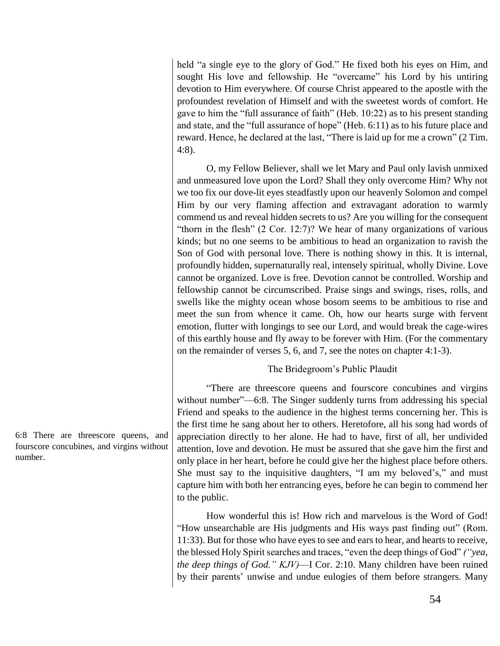held "a single eye to the glory of God." He fixed both his eyes on Him, and sought His love and fellowship. He "overcame" his Lord by his untiring devotion to Him everywhere. Of course Christ appeared to the apostle with the profoundest revelation of Himself and with the sweetest words of comfort. He gave to him the "full assurance of faith" (Heb. 10:22) as to his present standing and state, and the "full assurance of hope" (Heb. 6:11) as to his future place and reward. Hence, he declared at the last, "There is laid up for me a crown" (2 Tim. 4:8).

O, my Fellow Believer, shall we let Mary and Paul only lavish unmixed and unmeasured love upon the Lord? Shall they only overcome Him? Why not we too fix our dove-lit eyes steadfastly upon our heavenly Solomon and compel Him by our very flaming affection and extravagant adoration to warmly commend us and reveal hidden secrets to us? Are you willing for the consequent "thorn in the flesh" (2 Cor. 12:7)? We hear of many organizations of various kinds; but no one seems to be ambitious to head an organization to ravish the Son of God with personal love. There is nothing showy in this. It is internal, profoundly hidden, supernaturally real, intensely spiritual, wholly Divine. Love cannot be organized. Love is free. Devotion cannot be controlled. Worship and fellowship cannot be circumscribed. Praise sings and swings, rises, rolls, and swells like the mighty ocean whose bosom seems to be ambitious to rise and meet the sun from whence it came. Oh, how our hearts surge with fervent emotion, flutter with longings to see our Lord, and would break the cage-wires of this earthly house and fly away to be forever with Him. (For the commentary on the remainder of verses 5, 6, and 7, see the notes on chapter 4:1-3).

# The Bridegroom's Public Plaudit

"There are threescore queens and fourscore concubines and virgins without number"—6:8. The Singer suddenly turns from addressing his special Friend and speaks to the audience in the highest terms concerning her. This is the first time he sang about her to others. Heretofore, all his song had words of appreciation directly to her alone. He had to have, first of all, her undivided attention, love and devotion. He must be assured that she gave him the first and only place in her heart, before he could give her the highest place before others. She must say to the inquisitive daughters, "I am my beloved's," and must capture him with both her entrancing eyes, before he can begin to commend her to the public.

How wonderful this is! How rich and marvelous is the Word of God! "How unsearchable are His judgments and His ways past finding out" (Rom. 11:33). But for those who have eyes to see and ears to hear, and hearts to receive, the blessed Holy Spirit searches and traces, "even the deep things of God" *("yea, the deep things of God." KJV)*—I Cor. 2:10. Many children have been ruined by their parents' unwise and undue eulogies of them before strangers. Many

6:8 There are threescore queens, and fourscore concubines, and virgins without number.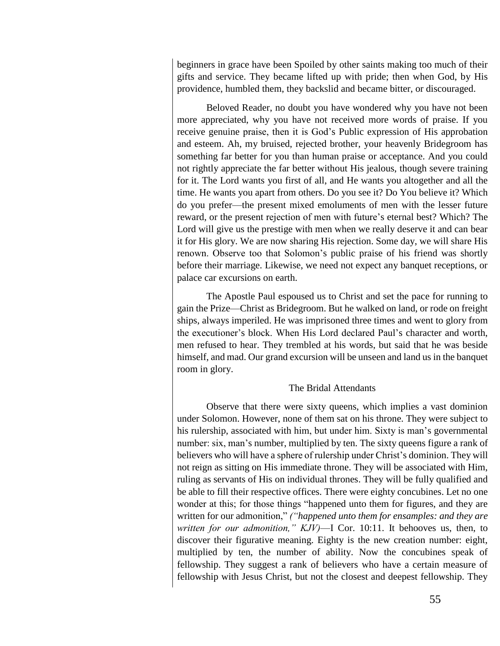beginners in grace have been Spoiled by other saints making too much of their gifts and service. They became lifted up with pride; then when God, by His providence, humbled them, they backslid and became bitter, or discouraged.

Beloved Reader, no doubt you have wondered why you have not been more appreciated, why you have not received more words of praise. If you receive genuine praise, then it is God's Public expression of His approbation and esteem. Ah, my bruised, rejected brother, your heavenly Bridegroom has something far better for you than human praise or acceptance. And you could not rightly appreciate the far better without His jealous, though severe training for it. The Lord wants you first of all, and He wants you altogether and all the time. He wants you apart from others. Do you see it? Do You believe it? Which do you prefer—the present mixed emoluments of men with the lesser future reward, or the present rejection of men with future's eternal best? Which? The Lord will give us the prestige with men when we really deserve it and can bear it for His glory. We are now sharing His rejection. Some day, we will share His renown. Observe too that Solomon's public praise of his friend was shortly before their marriage. Likewise, we need not expect any banquet receptions, or palace car excursions on earth.

The Apostle Paul espoused us to Christ and set the pace for running to gain the Prize—Christ as Bridegroom. But he walked on land, or rode on freight ships, always imperiled. He was imprisoned three times and went to glory from the executioner's block. When His Lord declared Paul's character and worth, men refused to hear. They trembled at his words, but said that he was beside himself, and mad. Our grand excursion will be unseen and land us in the banquet room in glory.

### The Bridal Attendants

Observe that there were sixty queens, which implies a vast dominion under Solomon. However, none of them sat on his throne. They were subject to his rulership, associated with him, but under him. Sixty is man's governmental number: six, man's number, multiplied by ten. The sixty queens figure a rank of believers who will have a sphere of rulership under Christ's dominion. They will not reign as sitting on His immediate throne. They will be associated with Him, ruling as servants of His on individual thrones. They will be fully qualified and be able to fill their respective offices. There were eighty concubines. Let no one wonder at this; for those things "happened unto them for figures, and they are written for our admonition," *("happened unto them for ensamples: and they are written for our admonition," KJV)*—I Cor. 10:11. It behooves us, then, to discover their figurative meaning. Eighty is the new creation number: eight, multiplied by ten, the number of ability. Now the concubines speak of fellowship. They suggest a rank of believers who have a certain measure of fellowship with Jesus Christ, but not the closest and deepest fellowship. They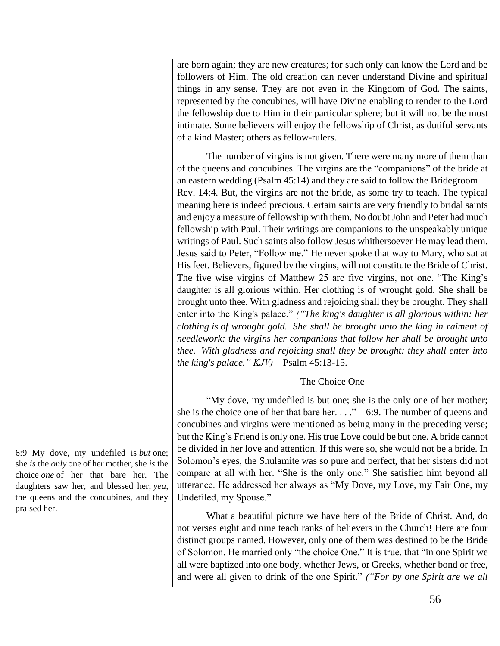are born again; they are new creatures; for such only can know the Lord and be followers of Him. The old creation can never understand Divine and spiritual things in any sense. They are not even in the Kingdom of God. The saints, represented by the concubines, will have Divine enabling to render to the Lord the fellowship due to Him in their particular sphere; but it will not be the most intimate. Some believers will enjoy the fellowship of Christ, as dutiful servants of a kind Master; others as fellow-rulers.

The number of virgins is not given. There were many more of them than of the queens and concubines. The virgins are the "companions" of the bride at an eastern wedding (Psalm 45:14) and they are said to follow the Bridegroom— Rev. 14:4. But, the virgins are not the bride, as some try to teach. The typical meaning here is indeed precious. Certain saints are very friendly to bridal saints and enjoy a measure of fellowship with them. No doubt John and Peter had much fellowship with Paul. Their writings are companions to the unspeakably unique writings of Paul. Such saints also follow Jesus whithersoever He may lead them. Jesus said to Peter, "Follow me." He never spoke that way to Mary, who sat at His feet. Believers, figured by the virgins, will not constitute the Bride of Christ. The five wise virgins of Matthew 25 are five virgins, not one. "The King's daughter is all glorious within. Her clothing is of wrought gold. She shall be brought unto thee. With gladness and rejoicing shall they be brought. They shall enter into the King's palace." *("The king's daughter is all glorious within: her clothing is of wrought gold. She shall be brought unto the king in raiment of needlework: the virgins her companions that follow her shall be brought unto thee. With gladness and rejoicing shall they be brought: they shall enter into the king's palace." KJV)*—Psalm 45:13-15.

#### The Choice One

"My dove, my undefiled is but one; she is the only one of her mother; she is the choice one of her that bare her. . . ."—6:9. The number of queens and concubines and virgins were mentioned as being many in the preceding verse; but the King's Friend is only one. His true Love could be but one. A bride cannot be divided in her love and attention. If this were so, she would not be a bride. In Solomon's eyes, the Shulamite was so pure and perfect, that her sisters did not compare at all with her. "She is the only one." She satisfied him beyond all utterance. He addressed her always as "My Dove, my Love, my Fair One, my Undefiled, my Spouse."

What a beautiful picture we have here of the Bride of Christ. And, do not verses eight and nine teach ranks of believers in the Church! Here are four distinct groups named. However, only one of them was destined to be the Bride of Solomon. He married only "the choice One." It is true, that "in one Spirit we all were baptized into one body, whether Jews, or Greeks, whether bond or free, and were all given to drink of the one Spirit." *("For by one Spirit are we all* 

6:9 My dove, my undefiled is *but* one; she *is* the *only* one of her mother, she *is* the choice *one* of her that bare her. The daughters saw her, and blessed her; *yea*, the queens and the concubines, and they praised her.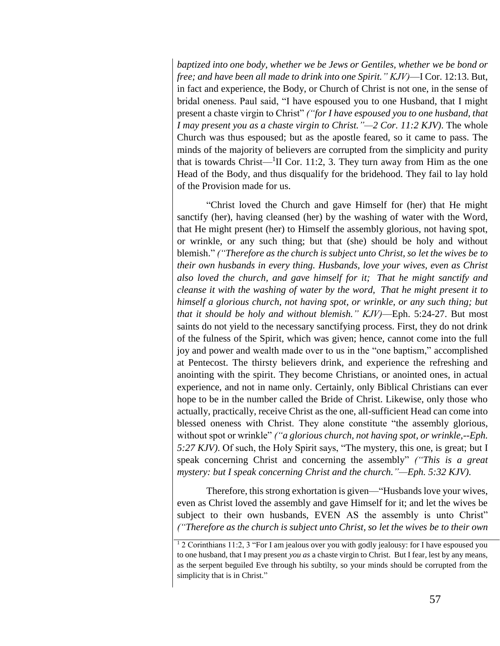*baptized into one body, whether we be Jews or Gentiles, whether we be bond or free; and have been all made to drink into one Spirit." KJV)*—I Cor. 12:13. But, in fact and experience, the Body, or Church of Christ is not one, in the sense of bridal oneness. Paul said, "I have espoused you to one Husband, that I might present a chaste virgin to Christ" *("for I have espoused you to one husband, that I may present you as a chaste virgin to Christ."—2 Cor. 11:2 KJV)*. The whole Church was thus espoused; but as the apostle feared, so it came to pass. The minds of the majority of believers are corrupted from the simplicity and purity that is towards Christ— $\rm{^1II}$  Cor. 11:2, 3. They turn away from Him as the one Head of the Body, and thus disqualify for the bridehood. They fail to lay hold of the Provision made for us.

"Christ loved the Church and gave Himself for (her) that He might sanctify (her), having cleansed (her) by the washing of water with the Word, that He might present (her) to Himself the assembly glorious, not having spot, or wrinkle, or any such thing; but that (she) should be holy and without blemish." *("Therefore as the church is subject unto Christ, so let the wives be to their own husbands in every thing. Husbands, love your wives, even as Christ also loved the church, and gave himself for it; That he might sanctify and cleanse it with the washing of water by the word, That he might present it to himself a glorious church, not having spot, or wrinkle, or any such thing; but that it should be holy and without blemish." KJV)*—Eph. 5:24-27. But most saints do not yield to the necessary sanctifying process. First, they do not drink of the fulness of the Spirit, which was given; hence, cannot come into the full joy and power and wealth made over to us in the "one baptism," accomplished at Pentecost. The thirsty believers drink, and experience the refreshing and anointing with the spirit. They become Christians, or anointed ones, in actual experience, and not in name only. Certainly, only Biblical Christians can ever hope to be in the number called the Bride of Christ. Likewise, only those who actually, practically, receive Christ as the one, all-sufficient Head can come into blessed oneness with Christ. They alone constitute "the assembly glorious, without spot or wrinkle" *("a glorious church, not having spot, or wrinkle,--Eph. 5:27 KJV)*. Of such, the Holy Spirit says, "The mystery, this one, is great; but I speak concerning Christ and concerning the assembly" *("This is a great mystery: but I speak concerning Christ and the church."—Eph. 5:32 KJV)*.

Therefore, this strong exhortation is given—"Husbands love your wives, even as Christ loved the assembly and gave Himself for it; and let the wives be subject to their own husbands, EVEN AS the assembly is unto Christ" *("Therefore as the church is subject unto Christ, so let the wives be to their own*

<sup>1</sup> 2 Corinthians 11:2, 3 "For I am jealous over you with godly jealousy: for I have espoused you to one husband, that I may present *you as* a chaste virgin to Christ. But I fear, lest by any means, as the serpent beguiled Eve through his subtilty, so your minds should be corrupted from the simplicity that is in Christ."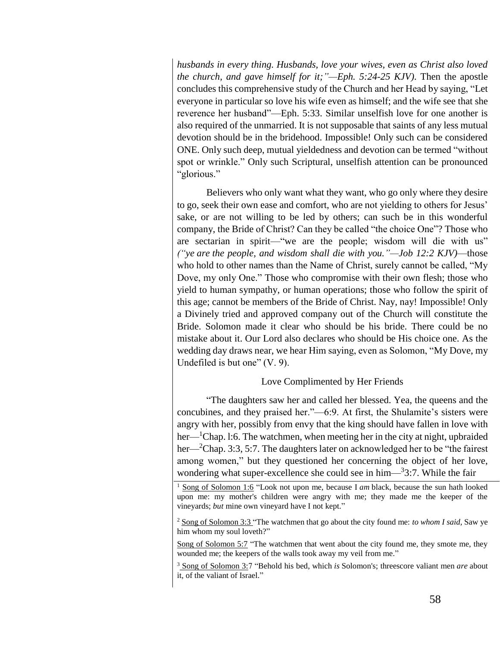*husbands in every thing. Husbands, love your wives, even as Christ also loved the church, and gave himself for it;"—Eph. 5:24-25 KJV)*. Then the apostle concludes this comprehensive study of the Church and her Head by saying, "Let everyone in particular so love his wife even as himself; and the wife see that she reverence her husband"—Eph. 5:33. Similar unselfish love for one another is also required of the unmarried. It is not supposable that saints of any less mutual devotion should be in the bridehood. Impossible! Only such can be considered ONE. Only such deep, mutual yieldedness and devotion can be termed "without spot or wrinkle." Only such Scriptural, unselfish attention can be pronounced "glorious."

Believers who only want what they want, who go only where they desire to go, seek their own ease and comfort, who are not yielding to others for Jesus' sake, or are not willing to be led by others; can such be in this wonderful company, the Bride of Christ? Can they be called "the choice One"? Those who are sectarian in spirit—"we are the people; wisdom will die with us" *("ye are the people, and wisdom shall die with you."—Job 12:2 KJV)*—those who hold to other names than the Name of Christ, surely cannot be called, "My Dove, my only One." Those who compromise with their own flesh; those who yield to human sympathy, or human operations; those who follow the spirit of this age; cannot be members of the Bride of Christ. Nay, nay! Impossible! Only a Divinely tried and approved company out of the Church will constitute the Bride. Solomon made it clear who should be his bride. There could be no mistake about it. Our Lord also declares who should be His choice one. As the wedding day draws near, we hear Him saying, even as Solomon, "My Dove, my Undefiled is but one" (V. 9).

# Love Complimented by Her Friends

"The daughters saw her and called her blessed. Yea, the queens and the concubines, and they praised her."—6:9. At first, the Shulamite's sisters were angry with her, possibly from envy that the king should have fallen in love with her—<sup>1</sup>Chap. 1:6. The watchmen, when meeting her in the city at night, upbraided her—<sup>2</sup>Chap. 3:3, 5:7. The daughters later on acknowledged her to be "the fairest" among women," but they questioned her concerning the object of her love, wondering what super-excellence she could see in him—<sup>3</sup>3:7. While the fair

<sup>2</sup> Song of Solomon 3:3 "The watchmen that go about the city found me: *to whom I said*, Saw ye him whom my soul loveth?"

Song of Solomon 5:7 "The watchmen that went about the city found me, they smote me, they wounded me; the keepers of the walls took away my veil from me."

<sup>3</sup> Song of Solomon 3:7 "Behold his bed, which *is* Solomon's; threescore valiant men *are* about it, of the valiant of Israel."

<sup>&</sup>lt;sup>1</sup> Song of Solomon 1:6 "Look not upon me, because I am black, because the sun hath looked upon me: my mother's children were angry with me; they made me the keeper of the vineyards; *but* mine own vineyard have I not kept."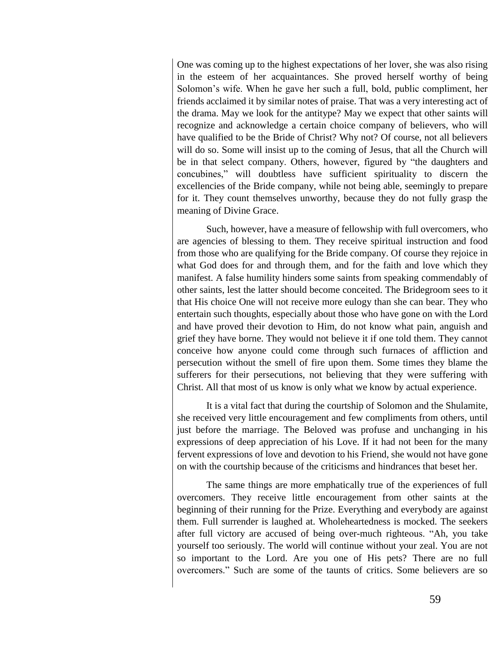One was coming up to the highest expectations of her lover, she was also rising in the esteem of her acquaintances. She proved herself worthy of being Solomon's wife. When he gave her such a full, bold, public compliment, her friends acclaimed it by similar notes of praise. That was a very interesting act of the drama. May we look for the antitype? May we expect that other saints will recognize and acknowledge a certain choice company of believers, who will have qualified to be the Bride of Christ? Why not? Of course, not all believers will do so. Some will insist up to the coming of Jesus, that all the Church will be in that select company. Others, however, figured by "the daughters and concubines," will doubtless have sufficient spirituality to discern the excellencies of the Bride company, while not being able, seemingly to prepare for it. They count themselves unworthy, because they do not fully grasp the meaning of Divine Grace.

Such, however, have a measure of fellowship with full overcomers, who are agencies of blessing to them. They receive spiritual instruction and food from those who are qualifying for the Bride company. Of course they rejoice in what God does for and through them, and for the faith and love which they manifest. A false humility hinders some saints from speaking commendably of other saints, lest the latter should become conceited. The Bridegroom sees to it that His choice One will not receive more eulogy than she can bear. They who entertain such thoughts, especially about those who have gone on with the Lord and have proved their devotion to Him, do not know what pain, anguish and grief they have borne. They would not believe it if one told them. They cannot conceive how anyone could come through such furnaces of affliction and persecution without the smell of fire upon them. Some times they blame the sufferers for their persecutions, not believing that they were suffering with Christ. All that most of us know is only what we know by actual experience.

It is a vital fact that during the courtship of Solomon and the Shulamite, she received very little encouragement and few compliments from others, until just before the marriage. The Beloved was profuse and unchanging in his expressions of deep appreciation of his Love. If it had not been for the many fervent expressions of love and devotion to his Friend, she would not have gone on with the courtship because of the criticisms and hindrances that beset her.

The same things are more emphatically true of the experiences of full overcomers. They receive little encouragement from other saints at the beginning of their running for the Prize. Everything and everybody are against them. Full surrender is laughed at. Wholeheartedness is mocked. The seekers after full victory are accused of being over-much righteous. "Ah, you take yourself too seriously. The world will continue without your zeal. You are not so important to the Lord. Are you one of His pets? There are no full overcomers." Such are some of the taunts of critics. Some believers are so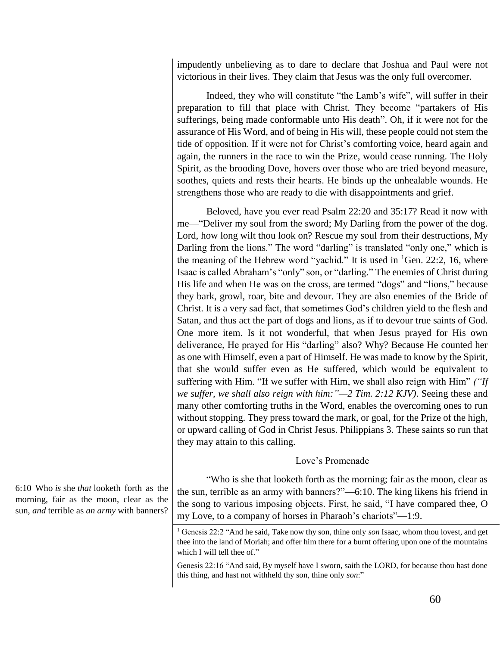impudently unbelieving as to dare to declare that Joshua and Paul were not victorious in their lives. They claim that Jesus was the only full overcomer.

Indeed, they who will constitute "the Lamb's wife", will suffer in their preparation to fill that place with Christ. They become "partakers of His sufferings, being made conformable unto His death". Oh, if it were not for the assurance of His Word, and of being in His will, these people could not stem the tide of opposition. If it were not for Christ's comforting voice, heard again and again, the runners in the race to win the Prize, would cease running. The Holy Spirit, as the brooding Dove, hovers over those who are tried beyond measure, soothes, quiets and rests their hearts. He binds up the unhealable wounds. He strengthens those who are ready to die with disappointments and grief.

Beloved, have you ever read Psalm 22:20 and 35:17? Read it now with me—"Deliver my soul from the sword; My Darling from the power of the dog. Lord, how long wilt thou look on? Rescue my soul from their destructions, My Darling from the lions." The word "darling" is translated "only one," which is the meaning of the Hebrew word "yachid." It is used in  ${}^{1}$ Gen. 22:2, 16, where Isaac is called Abraham's "only" son, or "darling." The enemies of Christ during His life and when He was on the cross, are termed "dogs" and "lions," because they bark, growl, roar, bite and devour. They are also enemies of the Bride of Christ. It is a very sad fact, that sometimes God's children yield to the flesh and Satan, and thus act the part of dogs and lions, as if to devour true saints of God. One more item. Is it not wonderful, that when Jesus prayed for His own deliverance, He prayed for His "darling" also? Why? Because He counted her as one with Himself, even a part of Himself. He was made to know by the Spirit, that she would suffer even as He suffered, which would be equivalent to suffering with Him. "If we suffer with Him, we shall also reign with Him" *("If we suffer, we shall also reign with him:"—2 Tim. 2:12 KJV)*. Seeing these and many other comforting truths in the Word, enables the overcoming ones to run without stopping. They press toward the mark, or goal, for the Prize of the high, or upward calling of God in Christ Jesus. Philippians 3. These saints so run that they may attain to this calling.

# Love's Promenade

"Who is she that looketh forth as the morning; fair as the moon, clear as the sun, terrible as an army with banners?"—6:10. The king likens his friend in the song to various imposing objects. First, he said, "I have compared thee, O my Love, to a company of horses in Pharaoh's chariots"—1:9.

6:10 Who *is* she *that* looketh forth as the morning, fair as the moon, clear as the sun, *and* terrible as *an army* with banners?

<sup>1</sup> Genesis 22:2 "And he said, Take now thy son, thine only *son* Isaac, whom thou lovest, and get thee into the land of Moriah; and offer him there for a burnt offering upon one of the mountains which I will tell thee of."

Genesis 22:16 "And said, By myself have I sworn, saith the LORD, for because thou hast done this thing, and hast not withheld thy son, thine only *son*:"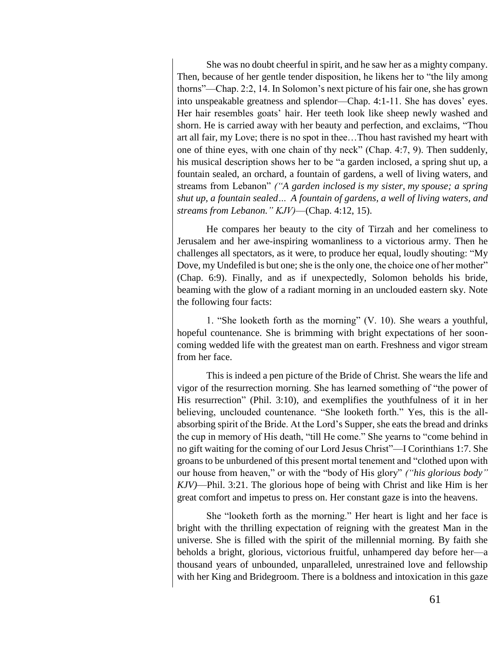She was no doubt cheerful in spirit, and he saw her as a mighty company. Then, because of her gentle tender disposition, he likens her to "the lily among thorns"—Chap. 2:2, 14. In Solomon's next picture of his fair one, she has grown into unspeakable greatness and splendor—Chap. 4:1-11. She has doves' eyes. Her hair resembles goats' hair. Her teeth look like sheep newly washed and shorn. He is carried away with her beauty and perfection, and exclaims, "Thou art all fair, my Love; there is no spot in thee…Thou hast ravished my heart with one of thine eyes, with one chain of thy neck" (Chap. 4:7, 9). Then suddenly, his musical description shows her to be "a garden inclosed, a spring shut up, a fountain sealed, an orchard, a fountain of gardens, a well of living waters, and streams from Lebanon" *("A garden inclosed is my sister, my spouse; a spring shut up, a fountain sealed… A fountain of gardens, a well of living waters, and streams from Lebanon." KJV)*—(Chap. 4:12, 15).

He compares her beauty to the city of Tirzah and her comeliness to Jerusalem and her awe-inspiring womanliness to a victorious army. Then he challenges all spectators, as it were, to produce her equal, loudly shouting: "My Dove, my Undefiled is but one; she is the only one, the choice one of her mother" (Chap. 6:9). Finally, and as if unexpectedly, Solomon beholds his bride, beaming with the glow of a radiant morning in an unclouded eastern sky. Note the following four facts:

1. "She looketh forth as the morning" (V. 10). She wears a youthful, hopeful countenance. She is brimming with bright expectations of her sooncoming wedded life with the greatest man on earth. Freshness and vigor stream from her face.

This is indeed a pen picture of the Bride of Christ. She wears the life and vigor of the resurrection morning. She has learned something of "the power of His resurrection" (Phil. 3:10), and exemplifies the youthfulness of it in her believing, unclouded countenance. "She looketh forth." Yes, this is the allabsorbing spirit of the Bride. At the Lord's Supper, she eats the bread and drinks the cup in memory of His death, "till He come." She yearns to "come behind in no gift waiting for the coming of our Lord Jesus Christ"—I Corinthians 1:7. She groans to be unburdened of this present mortal tenement and "clothed upon with our house from heaven," or with the "body of His glory" *("his glorious body" KJV)*—Phil. 3:21. The glorious hope of being with Christ and like Him is her great comfort and impetus to press on. Her constant gaze is into the heavens.

She "looketh forth as the morning." Her heart is light and her face is bright with the thrilling expectation of reigning with the greatest Man in the universe. She is filled with the spirit of the millennial morning. By faith she beholds a bright, glorious, victorious fruitful, unhampered day before her—a thousand years of unbounded, unparalleled, unrestrained love and fellowship with her King and Bridegroom. There is a boldness and intoxication in this gaze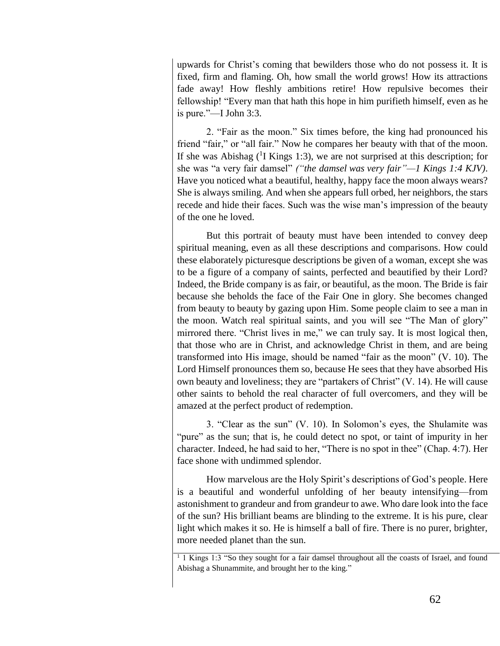upwards for Christ's coming that bewilders those who do not possess it. It is fixed, firm and flaming. Oh, how small the world grows! How its attractions fade away! How fleshly ambitions retire! How repulsive becomes their fellowship! "Every man that hath this hope in him purifieth himself, even as he is pure."—I John 3:3.

2. "Fair as the moon." Six times before, the king had pronounced his friend "fair," or "all fair." Now he compares her beauty with that of the moon. If she was Abishag  $($ <sup>1</sup>I Kings 1:3), we are not surprised at this description; for she was "a very fair damsel" *("the damsel was very fair"—1 Kings 1:4 KJV)*. Have you noticed what a beautiful, healthy, happy face the moon always wears? She is always smiling. And when she appears full orbed, her neighbors, the stars recede and hide their faces. Such was the wise man's impression of the beauty of the one he loved.

But this portrait of beauty must have been intended to convey deep spiritual meaning, even as all these descriptions and comparisons. How could these elaborately picturesque descriptions be given of a woman, except she was to be a figure of a company of saints, perfected and beautified by their Lord? Indeed, the Bride company is as fair, or beautiful, as the moon. The Bride is fair because she beholds the face of the Fair One in glory. She becomes changed from beauty to beauty by gazing upon Him. Some people claim to see a man in the moon. Watch real spiritual saints, and you will see "The Man of glory" mirrored there. "Christ lives in me," we can truly say. It is most logical then, that those who are in Christ, and acknowledge Christ in them, and are being transformed into His image, should be named "fair as the moon" (V. 10). The Lord Himself pronounces them so, because He sees that they have absorbed His own beauty and loveliness; they are "partakers of Christ" (V. 14). He will cause other saints to behold the real character of full overcomers, and they will be amazed at the perfect product of redemption.

3. "Clear as the sun" (V. 10). In Solomon's eyes, the Shulamite was "pure" as the sun; that is, he could detect no spot, or taint of impurity in her character. Indeed, he had said to her, "There is no spot in thee" (Chap. 4:7). Her face shone with undimmed splendor.

How marvelous are the Holy Spirit's descriptions of God's people. Here is a beautiful and wonderful unfolding of her beauty intensifying—from astonishment to grandeur and from grandeur to awe. Who dare look into the face of the sun? His brilliant beams are blinding to the extreme. It is his pure, clear light which makes it so. He is himself a ball of fire. There is no purer, brighter, more needed planet than the sun.

<sup>&</sup>lt;sup>1</sup> 1 Kings 1:3 "So they sought for a fair damsel throughout all the coasts of Israel, and found Abishag a Shunammite, and brought her to the king."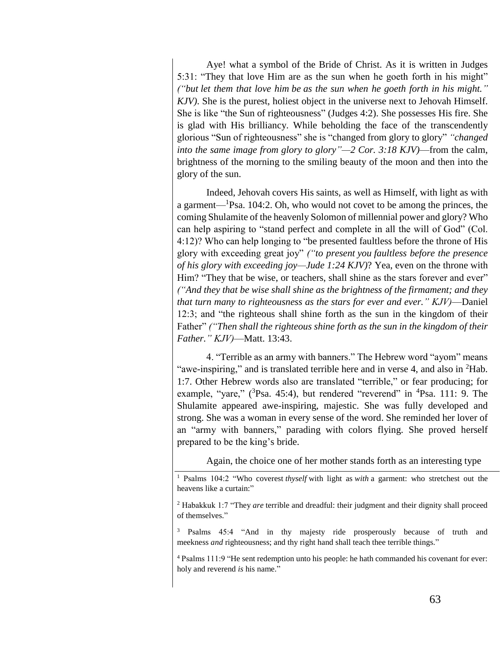Aye! what a symbol of the Bride of Christ. As it is written in Judges 5:31: "They that love Him are as the sun when he goeth forth in his might" *("but let them that love him be as the sun when he goeth forth in his might." KJV)*. She is the purest, holiest object in the universe next to Jehovah Himself. She is like "the Sun of righteousness" (Judges 4:2). She possesses His fire. She is glad with His brilliancy. While beholding the face of the transcendently glorious "Sun of righteousness" she is "changed from glory to glory" *"changed into the same image from glory to glory"—2 Cor. 3:18 KJV)*—from the calm, brightness of the morning to the smiling beauty of the moon and then into the glory of the sun.

Indeed, Jehovah covers His saints, as well as Himself, with light as with a garment—<sup>1</sup>Psa. 104:2. Oh, who would not covet to be among the princes, the coming Shulamite of the heavenly Solomon of millennial power and glory? Who can help aspiring to "stand perfect and complete in all the will of God" (Col. 4:12)? Who can help longing to "be presented faultless before the throne of His glory with exceeding great joy" *("to present you faultless before the presence of his glory with exceeding joy—Jude 1:24 KJV)*? Yea, even on the throne with Him? "They that be wise, or teachers, shall shine as the stars forever and ever" *("And they that be wise shall shine as the brightness of the firmament; and they that turn many to righteousness as the stars for ever and ever." KJV)*—Daniel 12:3; and "the righteous shall shine forth as the sun in the kingdom of their Father" *("Then shall the righteous shine forth as the sun in the kingdom of their Father." KJV)*—Matt. 13:43.

4. "Terrible as an army with banners." The Hebrew word "ayom" means "awe-inspiring," and is translated terrible here and in verse 4, and also in <sup>2</sup>Hab. 1:7. Other Hebrew words also are translated "terrible," or fear producing; for example, "yare,"  $(^{3}Psa. 45:4)$ , but rendered "reverend" in  $^{4}Psa. 111: 9$ . The Shulamite appeared awe-inspiring, majestic. She was fully developed and strong. She was a woman in every sense of the word. She reminded her lover of an "army with banners," parading with colors flying. She proved herself prepared to be the king's bride.

Again, the choice one of her mother stands forth as an interesting type

<sup>1</sup> Psalms 104:2 "Who coverest *thyself* with light as *with* a garment: who stretchest out the heavens like a curtain:"

<sup>2</sup> Habakkuk 1:7 "They *are* terrible and dreadful: their judgment and their dignity shall proceed of themselves."

<sup>3</sup> Psalms 45:4 "And in thy majesty ride prosperously because of truth and meekness *and* righteousness; and thy right hand shall teach thee terrible things."

<sup>4</sup> Psalms 111:9 "He sent redemption unto his people: he hath commanded his covenant for ever: holy and reverend *is* his name."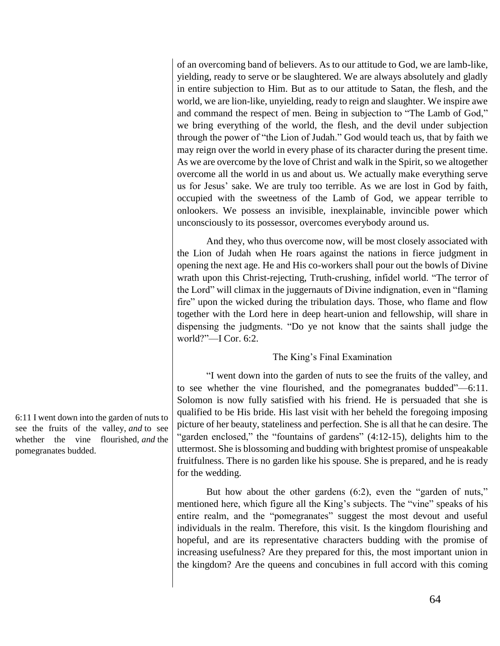of an overcoming band of believers. As to our attitude to God, we are lamb-like, yielding, ready to serve or be slaughtered. We are always absolutely and gladly in entire subjection to Him. But as to our attitude to Satan, the flesh, and the world, we are lion-like, unyielding, ready to reign and slaughter. We inspire awe and command the respect of men. Being in subjection to "The Lamb of God," we bring everything of the world, the flesh, and the devil under subjection through the power of "the Lion of Judah." God would teach us, that by faith we may reign over the world in every phase of its character during the present time. As we are overcome by the love of Christ and walk in the Spirit, so we altogether overcome all the world in us and about us. We actually make everything serve us for Jesus' sake. We are truly too terrible. As we are lost in God by faith, occupied with the sweetness of the Lamb of God, we appear terrible to onlookers. We possess an invisible, inexplainable, invincible power which unconsciously to its possessor, overcomes everybody around us.

And they, who thus overcome now, will be most closely associated with the Lion of Judah when He roars against the nations in fierce judgment in opening the next age. He and His co-workers shall pour out the bowls of Divine wrath upon this Christ-rejecting, Truth-crushing, infidel world. "The terror of the Lord" will climax in the juggernauts of Divine indignation, even in "flaming fire" upon the wicked during the tribulation days. Those, who flame and flow together with the Lord here in deep heart-union and fellowship, will share in dispensing the judgments. "Do ye not know that the saints shall judge the world?"—I Cor.  $6:2$ .

# The King's Final Examination

"I went down into the garden of nuts to see the fruits of the valley, and to see whether the vine flourished, and the pomegranates budded"—6:11. Solomon is now fully satisfied with his friend. He is persuaded that she is qualified to be His bride. His last visit with her beheld the foregoing imposing picture of her beauty, stateliness and perfection. She is all that he can desire. The "garden enclosed," the "fountains of gardens" (4:12-15), delights him to the uttermost. She is blossoming and budding with brightest promise of unspeakable fruitfulness. There is no garden like his spouse. She is prepared, and he is ready for the wedding.

But how about the other gardens (6:2), even the "garden of nuts," mentioned here, which figure all the King's subjects. The "vine" speaks of his entire realm, and the "pomegranates" suggest the most devout and useful individuals in the realm. Therefore, this visit. Is the kingdom flourishing and hopeful, and are its representative characters budding with the promise of increasing usefulness? Are they prepared for this, the most important union in the kingdom? Are the queens and concubines in full accord with this coming

6:11 I went down into the garden of nuts to see the fruits of the valley, *and* to see whether the vine flourished, *and* the pomegranates budded.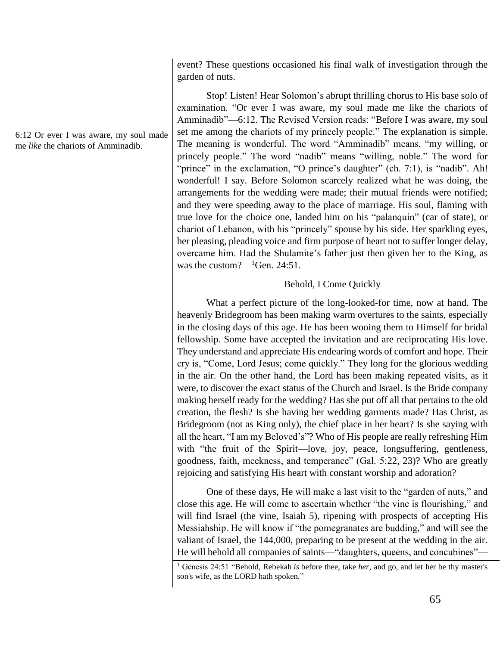event? These questions occasioned his final walk of investigation through the garden of nuts.

Stop! Listen! Hear Solomon's abrupt thrilling chorus to His base solo of examination. "Or ever I was aware, my soul made me like the chariots of Amminadib"—6:12. The Revised Version reads: "Before I was aware, my soul set me among the chariots of my princely people." The explanation is simple. The meaning is wonderful. The word "Amminadib" means, "my willing, or princely people." The word "nadib" means "willing, noble." The word for "prince" in the exclamation, "O prince's daughter" (ch. 7:1), is "nadib". Ah! wonderful! I say. Before Solomon scarcely realized what he was doing, the arrangements for the wedding were made; their mutual friends were notified; and they were speeding away to the place of marriage. His soul, flaming with true love for the choice one, landed him on his "palanquin" (car of state), or chariot of Lebanon, with his "princely" spouse by his side. Her sparkling eyes, her pleasing, pleading voice and firm purpose of heart not to suffer longer delay, overcame him. Had the Shulamite's father just then given her to the King, as was the custom?— ${}^{1}$ Gen. 24:51.

# Behold, I Come Quickly

What a perfect picture of the long-looked-for time, now at hand. The heavenly Bridegroom has been making warm overtures to the saints, especially in the closing days of this age. He has been wooing them to Himself for bridal fellowship. Some have accepted the invitation and are reciprocating His love. They understand and appreciate His endearing words of comfort and hope. Their cry is, "Come, Lord Jesus; come quickly." They long for the glorious wedding in the air. On the other hand, the Lord has been making repeated visits, as it were, to discover the exact status of the Church and Israel. Is the Bride company making herself ready for the wedding? Has she put off all that pertains to the old creation, the flesh? Is she having her wedding garments made? Has Christ, as Bridegroom (not as King only), the chief place in her heart? Is she saying with all the heart, "I am my Beloved's"? Who of His people are really refreshing Him with "the fruit of the Spirit—love, joy, peace, longsuffering, gentleness, goodness, faith, meekness, and temperance" (Gal. 5:22, 23)? Who are greatly rejoicing and satisfying His heart with constant worship and adoration?

One of these days, He will make a last visit to the "garden of nuts," and close this age. He will come to ascertain whether "the vine is flourishing," and will find Israel (the vine, Isaiah 5), ripening with prospects of accepting His Messiahship. He will know if "the pomegranates are budding," and will see the valiant of Israel, the 144,000, preparing to be present at the wedding in the air. He will behold all companies of saints—"daughters, queens, and concubines"—

6:12 Or ever I was aware, my soul made me *like* the chariots of Amminadib.

<sup>1</sup> Genesis 24:51 "Behold, Rebekah *is* before thee, take *her*, and go, and let her be thy master's son's wife, as the LORD hath spoken."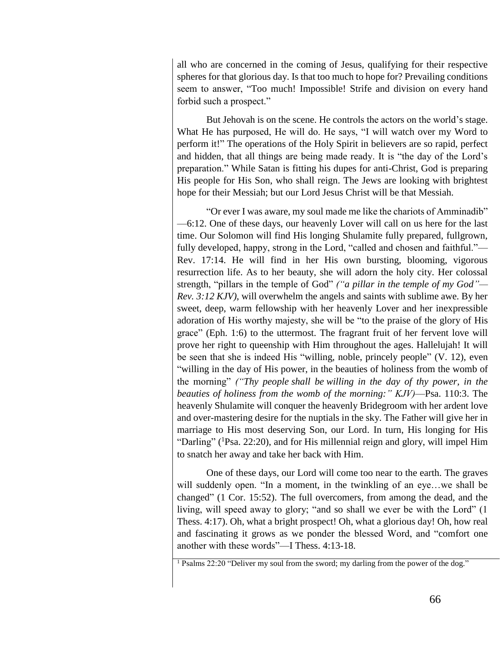all who are concerned in the coming of Jesus, qualifying for their respective spheres for that glorious day. Is that too much to hope for? Prevailing conditions seem to answer, "Too much! Impossible! Strife and division on every hand forbid such a prospect."

But Jehovah is on the scene. He controls the actors on the world's stage. What He has purposed, He will do. He says, "I will watch over my Word to perform it!" The operations of the Holy Spirit in believers are so rapid, perfect and hidden, that all things are being made ready. It is "the day of the Lord's preparation." While Satan is fitting his dupes for anti-Christ, God is preparing His people for His Son, who shall reign. The Jews are looking with brightest hope for their Messiah; but our Lord Jesus Christ will be that Messiah.

"Or ever I was aware, my soul made me like the chariots of Amminadib" —6:12. One of these days, our heavenly Lover will call on us here for the last time. Our Solomon will find His longing Shulamite fully prepared, fullgrown, fully developed, happy, strong in the Lord, "called and chosen and faithful."— Rev. 17:14. He will find in her His own bursting, blooming, vigorous resurrection life. As to her beauty, she will adorn the holy city. Her colossal strength, "pillars in the temple of God" *("a pillar in the temple of my God"— Rev. 3:12 KJV)*, will overwhelm the angels and saints with sublime awe. By her sweet, deep, warm fellowship with her heavenly Lover and her inexpressible adoration of His worthy majesty, she will be "to the praise of the glory of His grace" (Eph. 1:6) to the uttermost. The fragrant fruit of her fervent love will prove her right to queenship with Him throughout the ages. Hallelujah! It will be seen that she is indeed His "willing, noble, princely people" (V. 12), even "willing in the day of His power, in the beauties of holiness from the womb of the morning" *("Thy people shall be willing in the day of thy power, in the beauties of holiness from the womb of the morning:" KJV)*—Psa. 110:3. The heavenly Shulamite will conquer the heavenly Bridegroom with her ardent love and over-mastering desire for the nuptials in the sky. The Father will give her in marriage to His most deserving Son, our Lord. In turn, His longing for His "Darling" (<sup>1</sup>Psa. 22:20), and for His millennial reign and glory, will impel Him to snatch her away and take her back with Him.

One of these days, our Lord will come too near to the earth. The graves will suddenly open. "In a moment, in the twinkling of an eye…we shall be changed" (1 Cor. 15:52). The full overcomers, from among the dead, and the living, will speed away to glory; "and so shall we ever be with the Lord" (1 Thess. 4:17). Oh, what a bright prospect! Oh, what a glorious day! Oh, how real and fascinating it grows as we ponder the blessed Word, and "comfort one another with these words"—I Thess. 4:13-18.

<sup>1</sup> Psalms 22:20 "Deliver my soul from the sword; my darling from the power of the dog."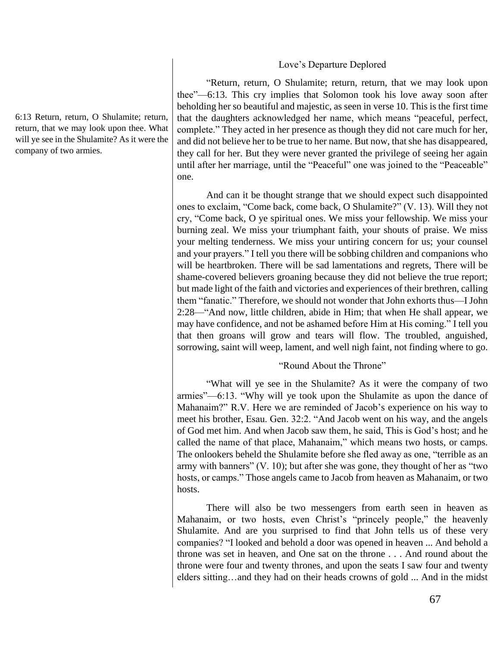### Love's Departure Deplored

"Return, return, O Shulamite; return, return, that we may look upon thee"—6:13. This cry implies that Solomon took his love away soon after beholding her so beautiful and majestic, as seen in verse 10. This is the first time that the daughters acknowledged her name, which means "peaceful, perfect, complete." They acted in her presence as though they did not care much for her, and did not believe her to be true to her name. But now, that she has disappeared, they call for her. But they were never granted the privilege of seeing her again until after her marriage, until the "Peaceful" one was joined to the "Peaceable" one.

And can it be thought strange that we should expect such disappointed ones to exclaim, "Come back, come back, O Shulamite?" (V. 13). Will they not cry, "Come back, O ye spiritual ones. We miss your fellowship. We miss your burning zeal. We miss your triumphant faith, your shouts of praise. We miss your melting tenderness. We miss your untiring concern for us; your counsel and your prayers." I tell you there will be sobbing children and companions who will be heartbroken. There will be sad lamentations and regrets, There will be shame-covered believers groaning because they did not believe the true report; but made light of the faith and victories and experiences of their brethren, calling them "fanatic." Therefore, we should not wonder that John exhorts thus—I John 2:28—"And now, little children, abide in Him; that when He shall appear, we may have confidence, and not be ashamed before Him at His coming." I tell you that then groans will grow and tears will flow. The troubled, anguished, sorrowing, saint will weep, lament, and well nigh faint, not finding where to go.

# "Round About the Throne"

"What will ye see in the Shulamite? As it were the company of two armies"—6:13. "Why will ye took upon the Shulamite as upon the dance of Mahanaim?" R.V. Here we are reminded of Jacob's experience on his way to meet his brother, Esau. Gen. 32:2. "And Jacob went on his way, and the angels of God met him. And when Jacob saw them, he said, This is God's host; and he called the name of that place, Mahanaim," which means two hosts, or camps. The onlookers beheld the Shulamite before she fled away as one, "terrible as an army with banners" (V. 10); but after she was gone, they thought of her as "two hosts, or camps." Those angels came to Jacob from heaven as Mahanaim, or two hosts.

There will also be two messengers from earth seen in heaven as Mahanaim, or two hosts, even Christ's "princely people," the heavenly Shulamite. And are you surprised to find that John tells us of these very companies? "I looked and behold a door was opened in heaven ... And behold a throne was set in heaven, and One sat on the throne . . . And round about the throne were four and twenty thrones, and upon the seats I saw four and twenty elders sitting…and they had on their heads crowns of gold ... And in the midst

6:13 Return, return, O Shulamite; return, return, that we may look upon thee. What will ye see in the Shulamite? As it were the company of two armies.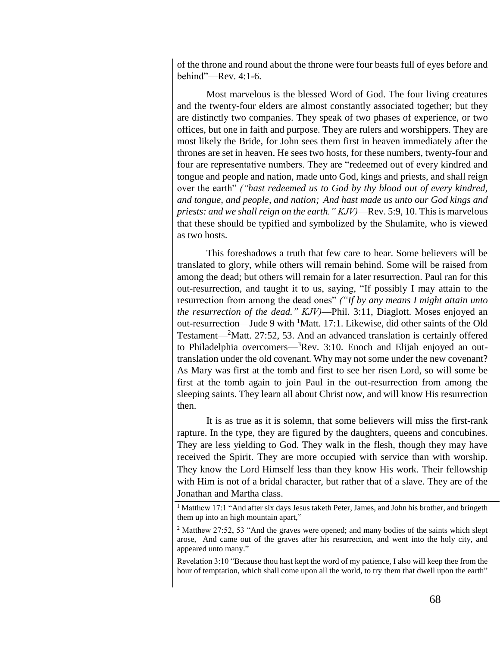of the throne and round about the throne were four beasts full of eyes before and behind"—Rev. 4:1-6.

Most marvelous is the blessed Word of God. The four living creatures and the twenty-four elders are almost constantly associated together; but they are distinctly two companies. They speak of two phases of experience, or two offices, but one in faith and purpose. They are rulers and worshippers. They are most likely the Bride, for John sees them first in heaven immediately after the thrones are set in heaven. He sees two hosts, for these numbers, twenty-four and four are representative numbers. They are "redeemed out of every kindred and tongue and people and nation, made unto God, kings and priests, and shall reign over the earth" *("hast redeemed us to God by thy blood out of every kindred, and tongue, and people, and nation; And hast made us unto our God kings and priests: and we shall reign on the earth." KJV)*—Rev. 5:9, 10. This is marvelous that these should be typified and symbolized by the Shulamite, who is viewed as two hosts.

This foreshadows a truth that few care to hear. Some believers will be translated to glory, while others will remain behind. Some will be raised from among the dead; but others will remain for a later resurrection. Paul ran for this out-resurrection, and taught it to us, saying, "If possibly I may attain to the resurrection from among the dead ones" *("If by any means I might attain unto the resurrection of the dead." KJV)*—Phil. 3:11, Diaglott. Moses enjoyed an out-resurrection—Jude 9 with <sup>1</sup>Matt. 17:1. Likewise, did other saints of the Old Testament—<sup>2</sup>Matt. 27:52, 53. And an advanced translation is certainly offered to Philadelphia overcomers— ${}^{3}$ Rev. 3:10. Enoch and Elijah enjoyed an outtranslation under the old covenant. Why may not some under the new covenant? As Mary was first at the tomb and first to see her risen Lord, so will some be first at the tomb again to join Paul in the out-resurrection from among the sleeping saints. They learn all about Christ now, and will know His resurrection then.

It is as true as it is solemn, that some believers will miss the first-rank rapture. In the type, they are figured by the daughters, queens and concubines. They are less yielding to God. They walk in the flesh, though they may have received the Spirit. They are more occupied with service than with worship. They know the Lord Himself less than they know His work. Their fellowship with Him is not of a bridal character, but rather that of a slave. They are of the Jonathan and Martha class.

Revelation 3:10 "Because thou hast kept the word of my patience, I also will keep thee from the hour of temptation, which shall come upon all the world, to try them that dwell upon the earth"

<sup>&</sup>lt;sup>1</sup> Matthew 17:1 "And after six days Jesus taketh Peter, James, and John his brother, and bringeth them up into an high mountain apart,"

<sup>2</sup> Matthew 27:52, 53 "And the graves were opened; and many bodies of the saints which slept arose, And came out of the graves after his resurrection, and went into the holy city, and appeared unto many."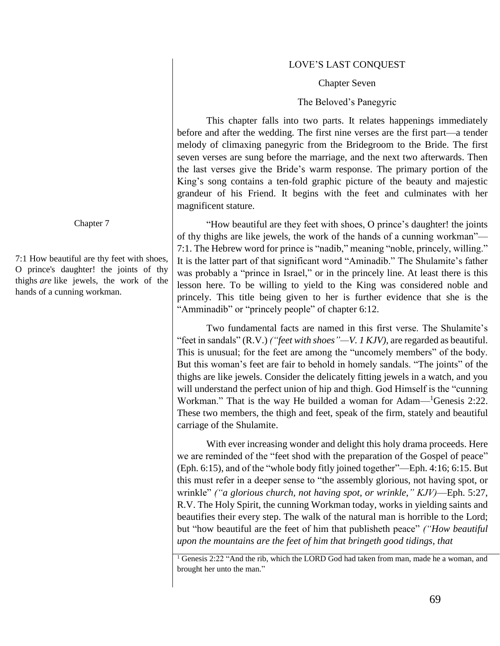### LOVE'S LAST CONQUEST

#### Chapter Seven

#### The Beloved's Panegyric

This chapter falls into two parts. It relates happenings immediately before and after the wedding. The first nine verses are the first part—a tender melody of climaxing panegyric from the Bridegroom to the Bride. The first seven verses are sung before the marriage, and the next two afterwards. Then the last verses give the Bride's warm response. The primary portion of the King's song contains a ten-fold graphic picture of the beauty and majestic grandeur of his Friend. It begins with the feet and culminates with her magnificent stature.

"How beautiful are they feet with shoes, O prince's daughter! the joints of thy thighs are like jewels, the work of the hands of a cunning workman"— 7:1. The Hebrew word for prince is "nadib," meaning "noble, princely, willing." It is the latter part of that significant word "Aminadib." The Shulamite's father was probably a "prince in Israel," or in the princely line. At least there is this lesson here. To be willing to yield to the King was considered noble and princely. This title being given to her is further evidence that she is the "Amminadib" or "princely people" of chapter 6:12.

Two fundamental facts are named in this first verse. The Shulamite's "feet in sandals" (R.V.) *("feet with shoes"—V. 1 KJV)*, are regarded as beautiful. This is unusual; for the feet are among the "uncomely members" of the body. But this woman's feet are fair to behold in homely sandals. "The joints" of the thighs are like jewels. Consider the delicately fitting jewels in a watch, and you will understand the perfect union of hip and thigh. God Himself is the "cunning Workman." That is the way He builded a woman for Adam—<sup>1</sup>Genesis 2:22. These two members, the thigh and feet, speak of the firm, stately and beautiful carriage of the Shulamite.

With ever increasing wonder and delight this holy drama proceeds. Here we are reminded of the "feet shod with the preparation of the Gospel of peace" (Eph. 6:15), and of the "whole body fitly joined together"—Eph. 4:16; 6:15. But this must refer in a deeper sense to "the assembly glorious, not having spot, or wrinkle" *("a glorious church, not having spot, or wrinkle," KJV)*—Eph. 5:27, R.V. The Holy Spirit, the cunning Workman today, works in yielding saints and beautifies their every step. The walk of the natural man is horrible to the Lord; but "how beautiful are the feet of him that publisheth peace" *("How beautiful upon the mountains are the feet of him that bringeth good tidings, that* 

Chapter 7

7:1 How beautiful are thy feet with shoes, O prince's daughter! the joints of thy thighs *are* like jewels, the work of the hands of a cunning workman.

<sup>&</sup>lt;sup>1</sup> Genesis 2:22 "And the rib, which the LORD God had taken from man, made he a woman, and brought her unto the man."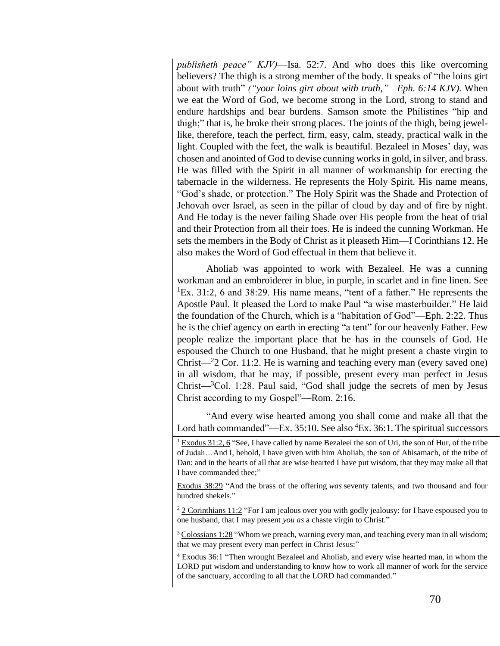*publisheth peace" KJV)*—Isa. 52:7. And who does this like overcoming believers? The thigh is a strong member of the body. It speaks of "the loins girt about with truth" *("your loins girt about with truth,"—Eph. 6:14 KJV)*. When we eat the Word of God, we become strong in the Lord, strong to stand and endure hardships and bear burdens. Samson smote the Philistines "hip and thigh;" that is, he broke their strong places. The joints of the thigh, being jewellike, therefore, teach the perfect, firm, easy, calm, steady, practical walk in the light. Coupled with the feet, the walk is beautiful. Bezaleel in Moses' day, was chosen and anointed of God to devise cunning works in gold, in silver, and brass. He was filled with the Spirit in all manner of workmanship for erecting the tabernacle in the wilderness. He represents the Holy Spirit. His name means, "God's shade, or protection." The Holy Spirit was the Shade and Protection of Jehovah over Israel, as seen in the pillar of cloud by day and of fire by night. And He today is the never failing Shade over His people from the heat of trial and their Protection from all their foes. He is indeed the cunning Workman. He sets the members in the Body of Christ as it pleaseth Him—I Corinthians 12. He also makes the Word of God effectual in them that believe it.

Aholiab was appointed to work with Bezaleel. He was a cunning workman and an embroiderer in blue, in purple, in scarlet and in fine linen. See  ${}^{1}$ Ex. 31:2, 6 and 38:29. His name means, "tent of a father." He represents the Apostle Paul. It pleased the Lord to make Paul "a wise masterbuilder." He laid the foundation of the Church, which is a "habitation of God"—Eph. 2:22. Thus he is the chief agency on earth in erecting "a tent" for our heavenly Father. Few people realize the important place that he has in the counsels of God. He espoused the Church to one Husband, that he might present a chaste virgin to Christ— $2$  Cor. 11:2. He is warning and teaching every man (every saved one) in all wisdom, that he may, if possible, present every man perfect in Jesus  $Christ—<sup>3</sup>Col. 1:28. Paul said, "God shall judge the secrets of men by Jesus"$ Christ according to my Gospel"—Rom. 2:16.

"And every wise hearted among you shall come and make all that the Lord hath commanded"—Ex.  $35:10$ . See also  ${}^{4}Ex.$   $36:1$ . The spiritual successors

Exodus 38:29 "And the brass of the offering *was* seventy talents, and two thousand and four hundred shekels."

 $2 \cdot 2$  Corinthians 11:2 "For I am jealous over you with godly jealousy: for I have espoused you to one husband, that I may present *you as* a chaste virgin to Christ."

<sup>3</sup> Colossians 1:28 "Whom we preach, warning every man, and teaching every man in all wisdom; that we may present every man perfect in Christ Jesus:"

<sup>4</sup> Exodus 36:1 "Then wrought Bezaleel and Aholiab, and every wise hearted man, in whom the LORD put wisdom and understanding to know how to work all manner of work for the service of the sanctuary, according to all that the LORD had commanded."

<sup>1</sup> Exodus 31:2, 6 "See, I have called by name Bezaleel the son of Uri, the son of Hur, of the tribe of Judah…And I, behold, I have given with him Aholiab, the son of Ahisamach, of the tribe of Dan: and in the hearts of all that are wise hearted I have put wisdom, that they may make all that I have commanded thee;"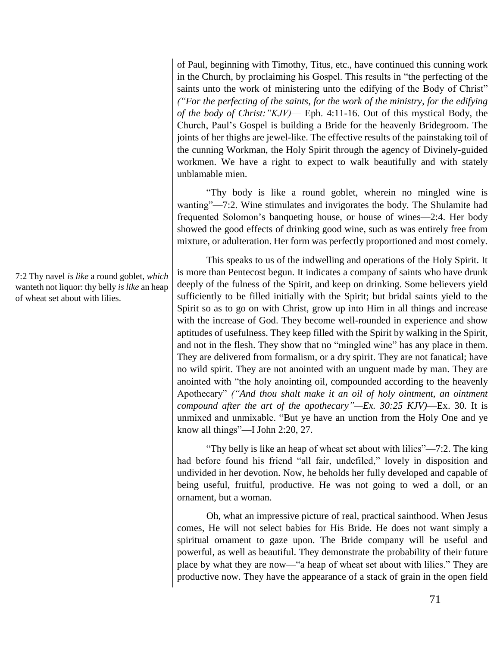of Paul, beginning with Timothy, Titus, etc., have continued this cunning work in the Church, by proclaiming his Gospel. This results in "the perfecting of the saints unto the work of ministering unto the edifying of the Body of Christ" *("For the perfecting of the saints, for the work of the ministry, for the edifying of the body of Christ:"KJV)*— Eph. 4:11-16. Out of this mystical Body, the Church, Paul's Gospel is building a Bride for the heavenly Bridegroom. The joints of her thighs are jewel-like. The effective results of the painstaking toil of the cunning Workman, the Holy Spirit through the agency of Divinely-guided workmen. We have a right to expect to walk beautifully and with stately unblamable mien.

"Thy body is like a round goblet, wherein no mingled wine is wanting"—7:2. Wine stimulates and invigorates the body. The Shulamite had frequented Solomon's banqueting house, or house of wines—2:4. Her body showed the good effects of drinking good wine, such as was entirely free from mixture, or adulteration. Her form was perfectly proportioned and most comely.

This speaks to us of the indwelling and operations of the Holy Spirit. It is more than Pentecost begun. It indicates a company of saints who have drunk deeply of the fulness of the Spirit, and keep on drinking. Some believers yield sufficiently to be filled initially with the Spirit; but bridal saints yield to the Spirit so as to go on with Christ, grow up into Him in all things and increase with the increase of God. They become well-rounded in experience and show aptitudes of usefulness. They keep filled with the Spirit by walking in the Spirit, and not in the flesh. They show that no "mingled wine" has any place in them. They are delivered from formalism, or a dry spirit. They are not fanatical; have no wild spirit. They are not anointed with an unguent made by man. They are anointed with "the holy anointing oil, compounded according to the heavenly Apothecary" *("And thou shalt make it an oil of holy ointment, an ointment compound after the art of the apothecary"—Ex. 30:25 KJV)*—Ex. 30. It is unmixed and unmixable. "But ye have an unction from the Holy One and ye know all things"—I John 2:20, 27.

"Thy belly is like an heap of wheat set about with lilies"—7:2. The king had before found his friend "all fair, undefiled," lovely in disposition and undivided in her devotion. Now, he beholds her fully developed and capable of being useful, fruitful, productive. He was not going to wed a doll, or an ornament, but a woman.

Oh, what an impressive picture of real, practical sainthood. When Jesus comes, He will not select babies for His Bride. He does not want simply a spiritual ornament to gaze upon. The Bride company will be useful and powerful, as well as beautiful. They demonstrate the probability of their future place by what they are now—"a heap of wheat set about with lilies." They are productive now. They have the appearance of a stack of grain in the open field

7:2 Thy navel *is like* a round goblet, *which* wanteth not liquor: thy belly *is like* an heap of wheat set about with lilies.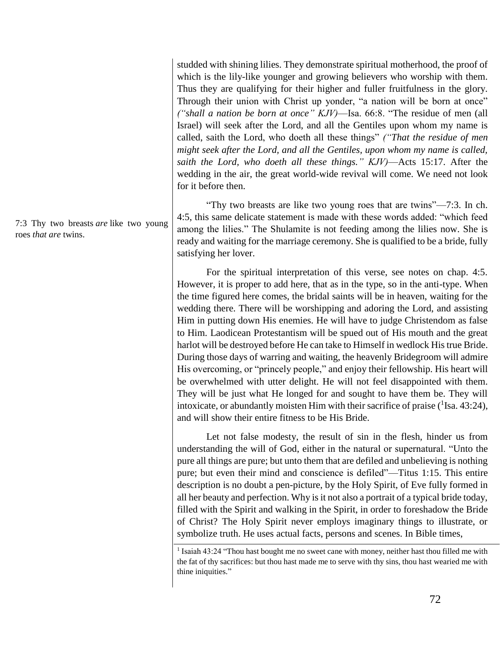studded with shining lilies. They demonstrate spiritual motherhood, the proof of which is the lily-like younger and growing believers who worship with them. Thus they are qualifying for their higher and fuller fruitfulness in the glory. Through their union with Christ up yonder, "a nation will be born at once" *("shall a nation be born at once" KJV)*—Isa. 66:8. "The residue of men (all Israel) will seek after the Lord, and all the Gentiles upon whom my name is called, saith the Lord, who doeth all these things" *("That the residue of men might seek after the Lord, and all the Gentiles, upon whom my name is called, saith the Lord, who doeth all these things." KJV)*—Acts 15:17. After the wedding in the air, the great world-wide revival will come. We need not look for it before then.

"Thy two breasts are like two young roes that are twins"—7:3. In ch. 4:5, this same delicate statement is made with these words added: "which feed among the lilies." The Shulamite is not feeding among the lilies now. She is ready and waiting for the marriage ceremony. She is qualified to be a bride, fully satisfying her lover.

For the spiritual interpretation of this verse, see notes on chap. 4:5. However, it is proper to add here, that as in the type, so in the anti-type. When the time figured here comes, the bridal saints will be in heaven, waiting for the wedding there. There will be worshipping and adoring the Lord, and assisting Him in putting down His enemies. He will have to judge Christendom as false to Him. Laodicean Protestantism will be spued out of His mouth and the great harlot will be destroyed before He can take to Himself in wedlock His true Bride. During those days of warring and waiting, the heavenly Bridegroom will admire His overcoming, or "princely people," and enjoy their fellowship. His heart will be overwhelmed with utter delight. He will not feel disappointed with them. They will be just what He longed for and sought to have them be. They will intoxicate, or abundantly moisten Him with their sacrifice of praise  $(^1$  Isa. 43:24), and will show their entire fitness to be His Bride.

Let not false modesty, the result of sin in the flesh, hinder us from understanding the will of God, either in the natural or supernatural. "Unto the pure all things are pure; but unto them that are defiled and unbelieving is nothing pure; but even their mind and conscience is defiled"—Titus 1:15. This entire description is no doubt a pen-picture, by the Holy Spirit, of Eve fully formed in all her beauty and perfection. Why is it not also a portrait of a typical bride today, filled with the Spirit and walking in the Spirit, in order to foreshadow the Bride of Christ? The Holy Spirit never employs imaginary things to illustrate, or symbolize truth. He uses actual facts, persons and scenes. In Bible times,

7:3 Thy two breasts *are* like two young roes *that are* twins.

<sup>1</sup> Isaiah 43:24 "Thou hast bought me no sweet cane with money, neither hast thou filled me with the fat of thy sacrifices: but thou hast made me to serve with thy sins, thou hast wearied me with thine iniquities."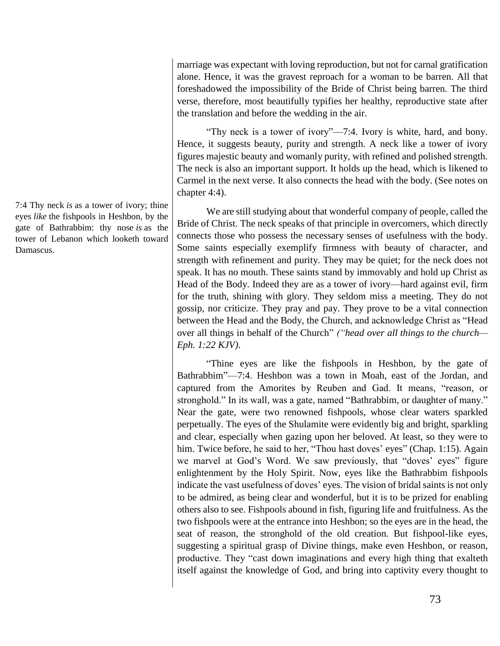marriage was expectant with loving reproduction, but not for carnal gratification alone. Hence, it was the gravest reproach for a woman to be barren. All that foreshadowed the impossibility of the Bride of Christ being barren. The third verse, therefore, most beautifully typifies her healthy, reproductive state after the translation and before the wedding in the air.

"Thy neck is a tower of ivory"—7:4. Ivory is white, hard, and bony. Hence, it suggests beauty, purity and strength. A neck like a tower of ivory figures majestic beauty and womanly purity, with refined and polished strength. The neck is also an important support. It holds up the head, which is likened to Carmel in the next verse. It also connects the head with the body. (See notes on chapter 4:4).

We are still studying about that wonderful company of people, called the Bride of Christ. The neck speaks of that principle in overcomers, which directly connects those who possess the necessary senses of usefulness with the body. Some saints especially exemplify firmness with beauty of character, and strength with refinement and purity. They may be quiet; for the neck does not speak. It has no mouth. These saints stand by immovably and hold up Christ as Head of the Body. Indeed they are as a tower of ivory—hard against evil, firm for the truth, shining with glory. They seldom miss a meeting. They do not gossip, nor criticize. They pray and pay. They prove to be a vital connection between the Head and the Body, the Church, and acknowledge Christ as "Head over all things in behalf of the Church" *("head over all things to the church— Eph. 1:22 KJV)*.

"Thine eyes are like the fishpools in Heshbon, by the gate of Bathrabbim"—7:4. Heshbon was a town in Moah, east of the Jordan, and captured from the Amorites by Reuben and Gad. It means, "reason, or stronghold." In its wall, was a gate, named "Bathrabbim, or daughter of many." Near the gate, were two renowned fishpools, whose clear waters sparkled perpetually. The eyes of the Shulamite were evidently big and bright, sparkling and clear, especially when gazing upon her beloved. At least, so they were to him. Twice before, he said to her, "Thou hast doves' eyes" (Chap. 1:15). Again we marvel at God's Word. We saw previously, that "doves' eyes" figure enlightenment by the Holy Spirit. Now, eyes like the Bathrabbim fishpools indicate the vast usefulness of doves' eyes. The vision of bridal saints is not only to be admired, as being clear and wonderful, but it is to be prized for enabling others also to see. Fishpools abound in fish, figuring life and fruitfulness. As the two fishpools were at the entrance into Heshbon; so the eyes are in the head, the seat of reason, the stronghold of the old creation. But fishpool-like eyes, suggesting a spiritual grasp of Divine things, make even Heshbon, or reason, productive. They "cast down imaginations and every high thing that exalteth itself against the knowledge of God, and bring into captivity every thought to

7:4 Thy neck *is* as a tower of ivory; thine eyes *like* the fishpools in Heshbon, by the gate of Bathrabbim: thy nose *is* as the tower of Lebanon which looketh toward Damascus.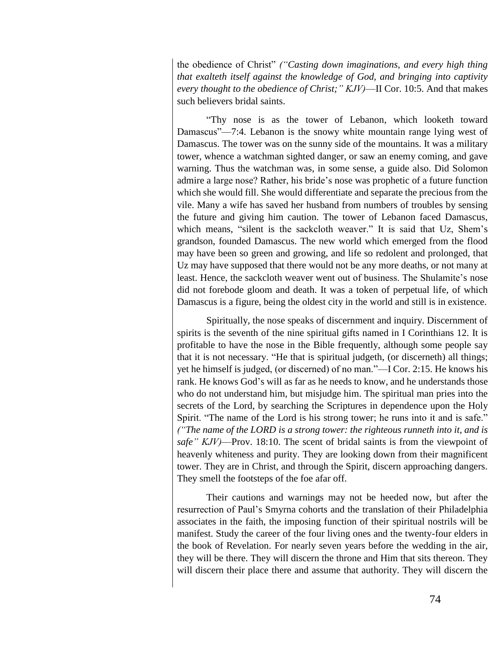the obedience of Christ" *("Casting down imaginations, and every high thing that exalteth itself against the knowledge of God, and bringing into captivity every thought to the obedience of Christ;" KJV)*—II Cor. 10:5. And that makes such believers bridal saints.

"Thy nose is as the tower of Lebanon, which looketh toward Damascus"—7:4. Lebanon is the snowy white mountain range lying west of Damascus. The tower was on the sunny side of the mountains. It was a military tower, whence a watchman sighted danger, or saw an enemy coming, and gave warning. Thus the watchman was, in some sense, a guide also. Did Solomon admire a large nose? Rather, his bride's nose was prophetic of a future function which she would fill. She would differentiate and separate the precious from the vile. Many a wife has saved her husband from numbers of troubles by sensing the future and giving him caution. The tower of Lebanon faced Damascus, which means, "silent is the sackcloth weaver." It is said that Uz, Shem's grandson, founded Damascus. The new world which emerged from the flood may have been so green and growing, and life so redolent and prolonged, that Uz may have supposed that there would not be any more deaths, or not many at least. Hence, the sackcloth weaver went out of business. The Shulamite's nose did not forebode gloom and death. It was a token of perpetual life, of which Damascus is a figure, being the oldest city in the world and still is in existence.

Spiritually, the nose speaks of discernment and inquiry. Discernment of spirits is the seventh of the nine spiritual gifts named in I Corinthians 12. It is profitable to have the nose in the Bible frequently, although some people say that it is not necessary. "He that is spiritual judgeth, (or discerneth) all things; yet he himself is judged, (or discerned) of no man."—I Cor. 2:15. He knows his rank. He knows God's will as far as he needs to know, and he understands those who do not understand him, but misjudge him. The spiritual man pries into the secrets of the Lord, by searching the Scriptures in dependence upon the Holy Spirit. "The name of the Lord is his strong tower; he runs into it and is safe." *("The name of the LORD is a strong tower: the righteous runneth into it, and is safe" KJV)*—Prov. 18:10. The scent of bridal saints is from the viewpoint of heavenly whiteness and purity. They are looking down from their magnificent tower. They are in Christ, and through the Spirit, discern approaching dangers. They smell the footsteps of the foe afar off.

Their cautions and warnings may not be heeded now, but after the resurrection of Paul's Smyrna cohorts and the translation of their Philadelphia associates in the faith, the imposing function of their spiritual nostrils will be manifest. Study the career of the four living ones and the twenty-four elders in the book of Revelation. For nearly seven years before the wedding in the air, they will be there. They will discern the throne and Him that sits thereon. They will discern their place there and assume that authority. They will discern the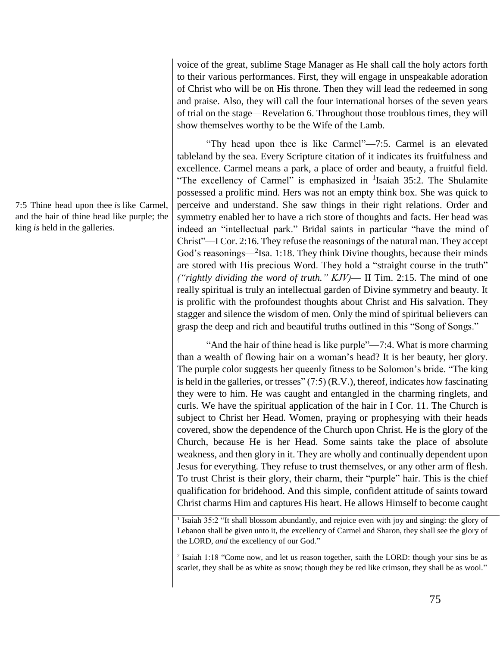voice of the great, sublime Stage Manager as He shall call the holy actors forth to their various performances. First, they will engage in unspeakable adoration of Christ who will be on His throne. Then they will lead the redeemed in song and praise. Also, they will call the four international horses of the seven years of trial on the stage—Revelation 6. Throughout those troublous times, they will show themselves worthy to be the Wife of the Lamb.

"Thy head upon thee is like Carmel"—7:5. Carmel is an elevated tableland by the sea. Every Scripture citation of it indicates its fruitfulness and excellence. Carmel means a park, a place of order and beauty, a fruitful field. "The excellency of Carmel" is emphasized in  $\frac{1}{1}$ Isaiah 35:2. The Shulamite possessed a prolific mind. Hers was not an empty think box. She was quick to perceive and understand. She saw things in their right relations. Order and symmetry enabled her to have a rich store of thoughts and facts. Her head was indeed an "intellectual park." Bridal saints in particular "have the mind of Christ"—I Cor. 2:16. They refuse the reasonings of the natural man. They accept God's reasonings—<sup>2</sup>Isa. 1:18. They think Divine thoughts, because their minds are stored with His precious Word. They hold a "straight course in the truth" *("rightly dividing the word of truth." KJV)*— II Tim. 2:15. The mind of one really spiritual is truly an intellectual garden of Divine symmetry and beauty. It is prolific with the profoundest thoughts about Christ and His salvation. They stagger and silence the wisdom of men. Only the mind of spiritual believers can grasp the deep and rich and beautiful truths outlined in this "Song of Songs."

"And the hair of thine head is like purple"—7:4. What is more charming than a wealth of flowing hair on a woman's head? It is her beauty, her glory. The purple color suggests her queenly fitness to be Solomon's bride. "The king is held in the galleries, or tresses"  $(7:5)$  (R.V.), thereof, indicates how fascinating they were to him. He was caught and entangled in the charming ringlets, and curls. We have the spiritual application of the hair in I Cor. 11. The Church is subject to Christ her Head. Women, praying or prophesying with their heads covered, show the dependence of the Church upon Christ. He is the glory of the Church, because He is her Head. Some saints take the place of absolute weakness, and then glory in it. They are wholly and continually dependent upon Jesus for everything. They refuse to trust themselves, or any other arm of flesh. To trust Christ is their glory, their charm, their "purple" hair. This is the chief qualification for bridehood. And this simple, confident attitude of saints toward Christ charms Him and captures His heart. He allows Himself to become caught

<sup>1</sup> Isaiah 35:2 "It shall blossom abundantly, and rejoice even with joy and singing: the glory of Lebanon shall be given unto it, the excellency of Carmel and Sharon, they shall see the glory of the LORD, *and* the excellency of our God."

2 Isaiah 1:18 "Come now, and let us reason together, saith the LORD: though your sins be as scarlet, they shall be as white as snow; though they be red like crimson, they shall be as wool."

7:5 Thine head upon thee *is* like Carmel, and the hair of thine head like purple; the king *is* held in the galleries.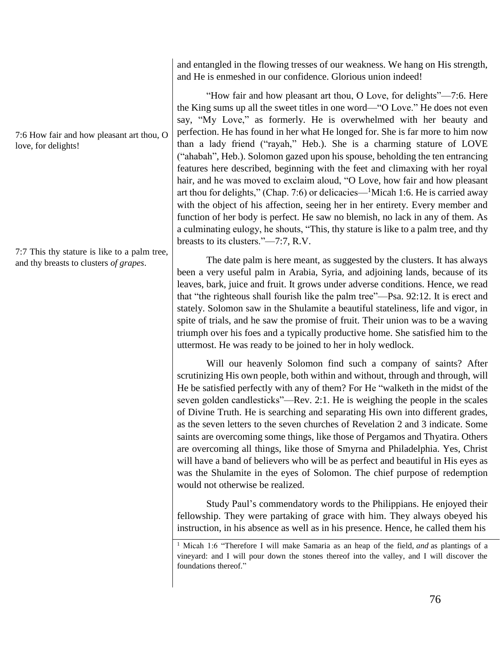7:6 How fair and how pleasant art thou, O love, for delights!

7:7 This thy stature is like to a palm tree, and thy breasts to clusters *of grapes*.

and entangled in the flowing tresses of our weakness. We hang on His strength, and He is enmeshed in our confidence. Glorious union indeed!

"How fair and how pleasant art thou, O Love, for delights"—7:6. Here the King sums up all the sweet titles in one word—"O Love." He does not even say, "My Love," as formerly. He is overwhelmed with her beauty and perfection. He has found in her what He longed for. She is far more to him now than a lady friend ("rayah," Heb.). She is a charming stature of LOVE ("ahabah", Heb.). Solomon gazed upon his spouse, beholding the ten entrancing features here described, beginning with the feet and climaxing with her royal hair, and he was moved to exclaim aloud, "O Love, how fair and how pleasant art thou for delights," (Chap. 7:6) or delicacies—<sup>1</sup>Micah 1:6. He is carried away with the object of his affection, seeing her in her entirety. Every member and function of her body is perfect. He saw no blemish, no lack in any of them. As a culminating eulogy, he shouts, "This, thy stature is like to a palm tree, and thy breasts to its clusters."—7:7, R.V.

The date palm is here meant, as suggested by the clusters. It has always been a very useful palm in Arabia, Syria, and adjoining lands, because of its leaves, bark, juice and fruit. It grows under adverse conditions. Hence, we read that "the righteous shall fourish like the palm tree"—Psa. 92:12. It is erect and stately. Solomon saw in the Shulamite a beautiful stateliness, life and vigor, in spite of trials, and he saw the promise of fruit. Their union was to be a waving triumph over his foes and a typically productive home. She satisfied him to the uttermost. He was ready to be joined to her in holy wedlock.

Will our heavenly Solomon find such a company of saints? After scrutinizing His own people, both within and without, through and through, will He be satisfied perfectly with any of them? For He "walketh in the midst of the seven golden candlesticks"—Rev. 2:1. He is weighing the people in the scales of Divine Truth. He is searching and separating His own into different grades, as the seven letters to the seven churches of Revelation 2 and 3 indicate. Some saints are overcoming some things, like those of Pergamos and Thyatira. Others are overcoming all things, like those of Smyrna and Philadelphia. Yes, Christ will have a band of believers who will be as perfect and beautiful in His eyes as was the Shulamite in the eyes of Solomon. The chief purpose of redemption would not otherwise be realized.

Study Paul's commendatory words to the Philippians. He enjoyed their fellowship. They were partaking of grace with him. They always obeyed his instruction, in his absence as well as in his presence. Hence, he called them his

<sup>1</sup> Micah 1:6 "Therefore I will make Samaria as an heap of the field, *and* as plantings of a vineyard: and I will pour down the stones thereof into the valley, and I will discover the foundations thereof."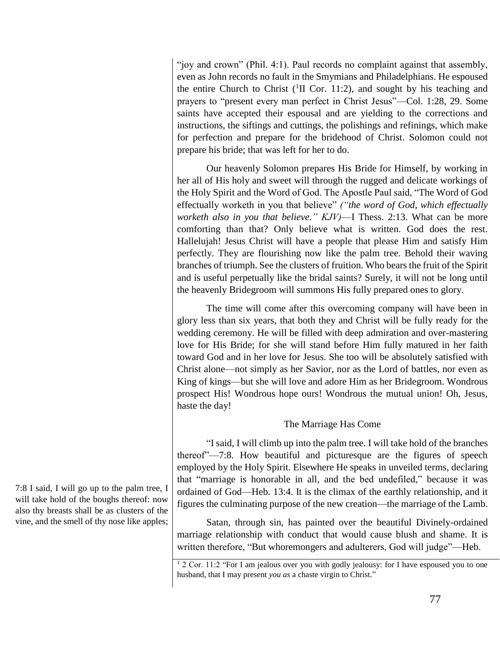"joy and crown" (Phil. 4:1). Paul records no complaint against that assembly, even as John records no fault in the Smymians and Philadelphians. He espoused the entire Church to Christ  $(^1\Pi$  Cor. 11:2), and sought by his teaching and prayers to "present every man perfect in Christ Jesus"—Col. 1:28, 29. Some saints have accepted their espousal and are yielding to the corrections and instructions, the siftings and cuttings, the polishings and refinings, which make for perfection and prepare for the bridehood of Christ. Solomon could not prepare his bride; that was left for her to do.

Our heavenly Solomon prepares His Bride for Himself, by working in her all of His holy and sweet will through the rugged and delicate workings of the Holy Spirit and the Word of God. The Apostle Paul said, "The Word of God effectually worketh in you that believe" *("the word of God, which effectually worketh also in you that believe." KJV)*—I Thess. 2:13. What can be more comforting than that? Only believe what is written. God does the rest. Hallelujah! Jesus Christ will have a people that please Him and satisfy Him perfectly. They are flourishing now like the palm tree. Behold their waving branches of triumph. See the clusters of fruition. Who bears the fruit of the Spirit and is useful perpetually like the bridal saints? Surely, it will not be long until the heavenly Bridegroom will summons His fully prepared ones to glory.

The time will come after this overcoming company will have been in glory less than six years, that both they and Christ will be fully ready for the wedding ceremony. He will be filled with deep admiration and over-mastering love for His Bride; for she will stand before Him fully matured in her faith toward God and in her love for Jesus. She too will be absolutely satisfied with Christ alone—not simply as her Savior, nor as the Lord of battles, nor even as King of kings—but she will love and adore Him as her Bridegroom. Wondrous prospect His! Wondrous hope ours! Wondrous the mutual union! Oh, Jesus, haste the day!

# The Marriage Has Come

"I said, I will climb up into the palm tree. I will take hold of the branches thereof"—7:8. How beautiful and picturesque are the figures of speech employed by the Holy Spirit. Elsewhere He speaks in unveiled terms, declaring that "marriage is honorable in all, and the bed undefiled," because it was ordained of God—Heb. 13:4. It is the climax of the earthly relationship, and it figures the culminating purpose of the new creation—the marriage of the Lamb.

Satan, through sin, has painted over the beautiful Divinely-ordained marriage relationship with conduct that would cause blush and shame. It is written therefore, "But whoremongers and adulterers, God will judge"—Heb.

7:8 I said, I will go up to the palm tree, I will take hold of the boughs thereof: now also thy breasts shall be as clusters of the vine, and the smell of thy nose like apples;

<sup>&</sup>lt;sup>1</sup> 2 Cor. 11:2 "For I am jealous over you with godly jealousy: for I have espoused you to one husband, that I may present *you as* a chaste virgin to Christ."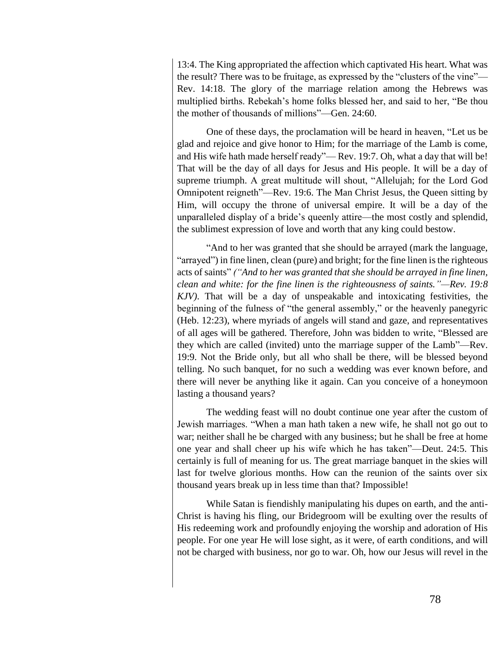13:4. The King appropriated the affection which captivated His heart. What was the result? There was to be fruitage, as expressed by the "clusters of the vine"— Rev. 14:18. The glory of the marriage relation among the Hebrews was multiplied births. Rebekah's home folks blessed her, and said to her, "Be thou the mother of thousands of millions"—Gen. 24:60.

One of these days, the proclamation will be heard in heaven, "Let us be glad and rejoice and give honor to Him; for the marriage of the Lamb is come, and His wife hath made herself ready"— Rev. 19:7. Oh, what a day that will be! That will be the day of all days for Jesus and His people. It will be a day of supreme triumph. A great multitude will shout, "Allelujah; for the Lord God Omnipotent reigneth"—Rev. 19:6. The Man Christ Jesus, the Queen sitting by Him, will occupy the throne of universal empire. It will be a day of the unparalleled display of a bride's queenly attire—the most costly and splendid, the sublimest expression of love and worth that any king could bestow.

"And to her was granted that she should be arrayed (mark the language, "arrayed") in fine linen, clean (pure) and bright; for the fine linen is the righteous acts of saints" *("And to her was granted that she should be arrayed in fine linen, clean and white: for the fine linen is the righteousness of saints."—Rev. 19:8 KJV)*. That will be a day of unspeakable and intoxicating festivities, the beginning of the fulness of "the general assembly," or the heavenly panegyric (Heb. 12:23), where myriads of angels will stand and gaze, and representatives of all ages will be gathered. Therefore, John was bidden to write, "Blessed are they which are called (invited) unto the marriage supper of the Lamb"—Rev. 19:9. Not the Bride only, but all who shall be there, will be blessed beyond telling. No such banquet, for no such a wedding was ever known before, and there will never be anything like it again. Can you conceive of a honeymoon lasting a thousand years?

The wedding feast will no doubt continue one year after the custom of Jewish marriages. "When a man hath taken a new wife, he shall not go out to war; neither shall he be charged with any business; but he shall be free at home one year and shall cheer up his wife which he has taken"—Deut. 24:5. This certainly is full of meaning for us. The great marriage banquet in the skies will last for twelve glorious months. How can the reunion of the saints over six thousand years break up in less time than that? Impossible!

While Satan is fiendishly manipulating his dupes on earth, and the anti-Christ is having his fling, our Bridegroom will be exulting over the results of His redeeming work and profoundly enjoying the worship and adoration of His people. For one year He will lose sight, as it were, of earth conditions, and will not be charged with business, nor go to war. Oh, how our Jesus will revel in the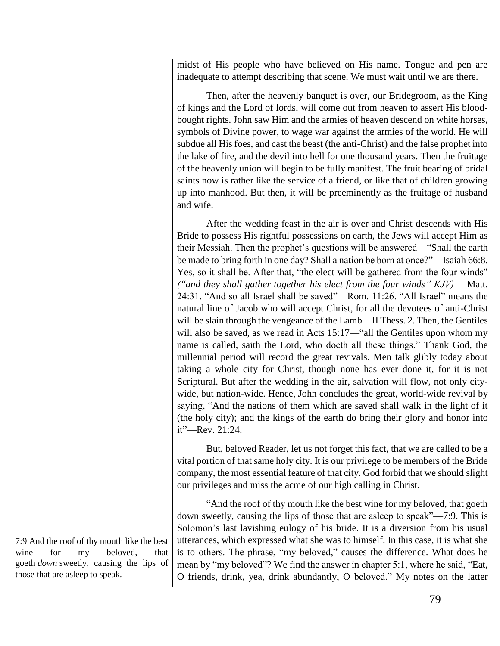midst of His people who have believed on His name. Tongue and pen are inadequate to attempt describing that scene. We must wait until we are there.

Then, after the heavenly banquet is over, our Bridegroom, as the King of kings and the Lord of lords, will come out from heaven to assert His bloodbought rights. John saw Him and the armies of heaven descend on white horses, symbols of Divine power, to wage war against the armies of the world. He will subdue all His foes, and cast the beast (the anti-Christ) and the false prophet into the lake of fire, and the devil into hell for one thousand years. Then the fruitage of the heavenly union will begin to be fully manifest. The fruit bearing of bridal saints now is rather like the service of a friend, or like that of children growing up into manhood. But then, it will be preeminently as the fruitage of husband and wife.

After the wedding feast in the air is over and Christ descends with His Bride to possess His rightful possessions on earth, the Jews will accept Him as their Messiah. Then the prophet's questions will be answered—"Shall the earth be made to bring forth in one day? Shall a nation be born at once?"—Isaiah 66:8. Yes, so it shall be. After that, "the elect will be gathered from the four winds" *("and they shall gather together his elect from the four winds" KJV)*— Matt. 24:31. "And so all Israel shall be saved"—Rom. 11:26. "All Israel" means the natural line of Jacob who will accept Christ, for all the devotees of anti-Christ will be slain through the vengeance of the Lamb—II Thess. 2. Then, the Gentiles will also be saved, as we read in Acts 15:17—"all the Gentiles upon whom my name is called, saith the Lord, who doeth all these things." Thank God, the millennial period will record the great revivals. Men talk glibly today about taking a whole city for Christ, though none has ever done it, for it is not Scriptural. But after the wedding in the air, salvation will flow, not only citywide, but nation-wide. Hence, John concludes the great, world-wide revival by saying, "And the nations of them which are saved shall walk in the light of it (the holy city); and the kings of the earth do bring their glory and honor into it"—Rev. 21:24.

But, beloved Reader, let us not forget this fact, that we are called to be a vital portion of that same holy city. It is our privilege to be members of the Bride company, the most essential feature of that city. God forbid that we should slight our privileges and miss the acme of our high calling in Christ.

"And the roof of thy mouth like the best wine for my beloved, that goeth down sweetly, causing the lips of those that are asleep to speak"—7:9. This is Solomon's last lavishing eulogy of his bride. It is a diversion from his usual utterances, which expressed what she was to himself. In this case, it is what she is to others. The phrase, "my beloved," causes the difference. What does he mean by "my beloved"? We find the answer in chapter 5:1, where he said, "Eat, O friends, drink, yea, drink abundantly, O beloved." My notes on the latter

7:9 And the roof of thy mouth like the best wine for my beloved, that goeth *down* sweetly, causing the lips of those that are asleep to speak.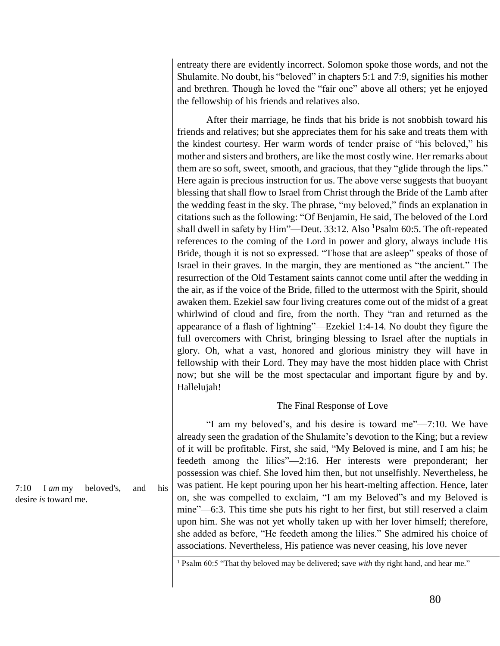entreaty there are evidently incorrect. Solomon spoke those words, and not the Shulamite. No doubt, his "beloved" in chapters 5:1 and 7:9, signifies his mother and brethren. Though he loved the "fair one" above all others; yet he enjoyed the fellowship of his friends and relatives also.

After their marriage, he finds that his bride is not snobbish toward his friends and relatives; but she appreciates them for his sake and treats them with the kindest courtesy. Her warm words of tender praise of "his beloved," his mother and sisters and brothers, are like the most costly wine. Her remarks about them are so soft, sweet, smooth, and gracious, that they "glide through the lips." Here again is precious instruction for us. The above verse suggests that buoyant blessing that shall flow to Israel from Christ through the Bride of the Lamb after the wedding feast in the sky. The phrase, "my beloved," finds an explanation in citations such as the following: "Of Benjamin, He said, The beloved of the Lord shall dwell in safety by  $\text{Him}$ "—Deut. 33:12. Also <sup>1</sup>Psalm 60:5. The oft-repeated references to the coming of the Lord in power and glory, always include His Bride, though it is not so expressed. "Those that are asleep" speaks of those of Israel in their graves. In the margin, they are mentioned as "the ancient." The resurrection of the Old Testament saints cannot come until after the wedding in the air, as if the voice of the Bride, filled to the uttermost with the Spirit, should awaken them. Ezekiel saw four living creatures come out of the midst of a great whirlwind of cloud and fire, from the north. They "ran and returned as the appearance of a flash of lightning"—Ezekiel 1:4-14. No doubt they figure the full overcomers with Christ, bringing blessing to Israel after the nuptials in glory. Oh, what a vast, honored and glorious ministry they will have in fellowship with their Lord. They may have the most hidden place with Christ now; but she will be the most spectacular and important figure by and by. Hallelujah!

## The Final Response of Love

"I am my beloved's, and his desire is toward me"—7:10. We have already seen the gradation of the Shulamite's devotion to the King; but a review of it will be profitable. First, she said, "My Beloved is mine, and I am his; he feedeth among the lilies"—2:16. Her interests were preponderant; her possession was chief. She loved him then, but not unselfishly. Nevertheless, he was patient. He kept pouring upon her his heart-melting affection. Hence, later on, she was compelled to exclaim, "I am my Beloved"s and my Beloved is mine"—6:3. This time she puts his right to her first, but still reserved a claim upon him. She was not yet wholly taken up with her lover himself; therefore, she added as before, "He feedeth among the lilies." She admired his choice of associations. Nevertheless, His patience was never ceasing, his love never

<sup>1</sup> Psalm 60:5 "That thy beloved may be delivered; save *with* thy right hand, and hear me."

7:10 I *am* my beloved's, and his desire *is* toward me.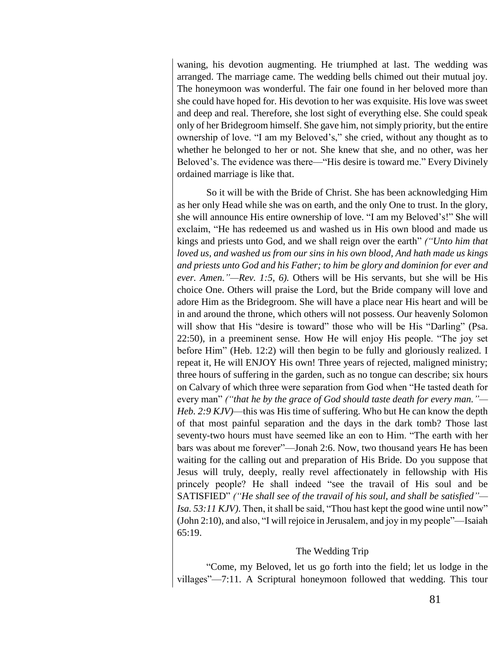waning, his devotion augmenting. He triumphed at last. The wedding was arranged. The marriage came. The wedding bells chimed out their mutual joy. The honeymoon was wonderful. The fair one found in her beloved more than she could have hoped for. His devotion to her was exquisite. His love was sweet and deep and real. Therefore, she lost sight of everything else. She could speak only of her Bridegroom himself. She gave him, not simply priority, but the entire ownership of love. "I am my Beloved's," she cried, without any thought as to whether he belonged to her or not. She knew that she, and no other, was her Beloved's. The evidence was there—"His desire is toward me." Every Divinely ordained marriage is like that.

So it will be with the Bride of Christ. She has been acknowledging Him as her only Head while she was on earth, and the only One to trust. In the glory, she will announce His entire ownership of love. "I am my Beloved's!" She will exclaim, "He has redeemed us and washed us in His own blood and made us kings and priests unto God, and we shall reign over the earth" *("Unto him that loved us, and washed us from our sins in his own blood, And hath made us kings and priests unto God and his Father; to him be glory and dominion for ever and ever. Amen."—Rev. 1:5, 6).* Others will be His servants, but she will be His choice One. Others will praise the Lord, but the Bride company will love and adore Him as the Bridegroom. She will have a place near His heart and will be in and around the throne, which others will not possess. Our heavenly Solomon will show that His "desire is toward" those who will be His "Darling" (Psa. 22:50), in a preeminent sense. How He will enjoy His people. "The joy set before Him" (Heb. 12:2) will then begin to be fully and gloriously realized. I repeat it, He will ENJOY His own! Three years of rejected, maligned ministry; three hours of suffering in the garden, such as no tongue can describe; six hours on Calvary of which three were separation from God when "He tasted death for every man" *("that he by the grace of God should taste death for every man."— Heb. 2:9 KJV)*—this was His time of suffering. Who but He can know the depth of that most painful separation and the days in the dark tomb? Those last seventy-two hours must have seemed like an eon to Him. "The earth with her bars was about me forever"—Jonah 2:6. Now, two thousand years He has been waiting for the calling out and preparation of His Bride. Do you suppose that Jesus will truly, deeply, really revel affectionately in fellowship with His princely people? He shall indeed "see the travail of His soul and be SATISFIED" *("He shall see of the travail of his soul, and shall be satisfied"— Isa. 53:11 KJV)*. Then, it shall be said, "Thou hast kept the good wine until now" (John 2:10), and also, "I will rejoice in Jerusalem, and joy in my people"—Isaiah 65:19.

## The Wedding Trip

"Come, my Beloved, let us go forth into the field; let us lodge in the villages"—7:11. A Scriptural honeymoon followed that wedding. This tour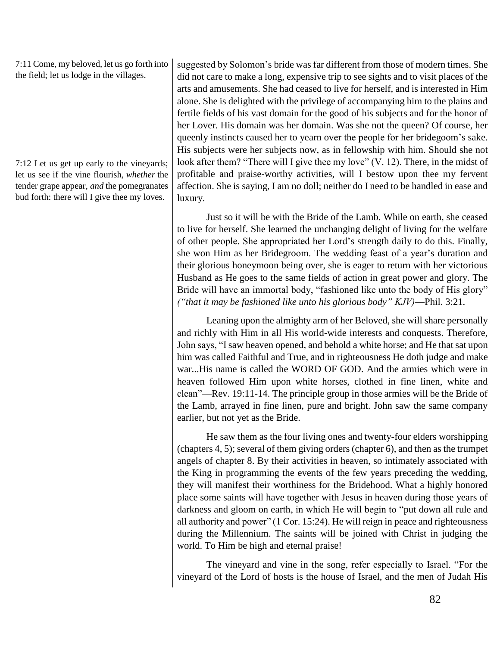7:11 Come, my beloved, let us go forth into the field; let us lodge in the villages.

7:12 Let us get up early to the vineyards; let us see if the vine flourish, *whether* the tender grape appear, *and* the pomegranates bud forth: there will I give thee my loves.

suggested by Solomon's bride was far different from those of modern times. She did not care to make a long, expensive trip to see sights and to visit places of the arts and amusements. She had ceased to live for herself, and is interested in Him alone. She is delighted with the privilege of accompanying him to the plains and fertile fields of his vast domain for the good of his subjects and for the honor of her Lover. His domain was her domain. Was she not the queen? Of course, her queenly instincts caused her to yearn over the people for her bridegoom's sake. His subjects were her subjects now, as in fellowship with him. Should she not look after them? "There will I give thee my love" (V. 12). There, in the midst of profitable and praise-worthy activities, will I bestow upon thee my fervent affection. She is saying, I am no doll; neither do I need to be handled in ease and luxury.

Just so it will be with the Bride of the Lamb. While on earth, she ceased to live for herself. She learned the unchanging delight of living for the welfare of other people. She appropriated her Lord's strength daily to do this. Finally, she won Him as her Bridegroom. The wedding feast of a year's duration and their glorious honeymoon being over, she is eager to return with her victorious Husband as He goes to the same fields of action in great power and glory. The Bride will have an immortal body, "fashioned like unto the body of His glory" *("that it may be fashioned like unto his glorious body" KJV)*—Phil. 3:21.

Leaning upon the almighty arm of her Beloved, she will share personally and richly with Him in all His world-wide interests and conquests. Therefore, John says, "I saw heaven opened, and behold a white horse; and He that sat upon him was called Faithful and True, and in righteousness He doth judge and make war...His name is called the WORD OF GOD. And the armies which were in heaven followed Him upon white horses, clothed in fine linen, white and clean"—Rev. 19:11-14. The principle group in those armies will be the Bride of the Lamb, arrayed in fine linen, pure and bright. John saw the same company earlier, but not yet as the Bride.

He saw them as the four living ones and twenty-four elders worshipping (chapters 4, 5); several of them giving orders (chapter 6), and then as the trumpet angels of chapter 8. By their activities in heaven, so intimately associated with the King in programming the events of the few years preceding the wedding, they will manifest their worthiness for the Bridehood. What a highly honored place some saints will have together with Jesus in heaven during those years of darkness and gloom on earth, in which He will begin to "put down all rule and all authority and power" (1 Cor. 15:24). He will reign in peace and righteousness during the Millennium. The saints will be joined with Christ in judging the world. To Him be high and eternal praise!

The vineyard and vine in the song, refer especially to Israel. "For the vineyard of the Lord of hosts is the house of Israel, and the men of Judah His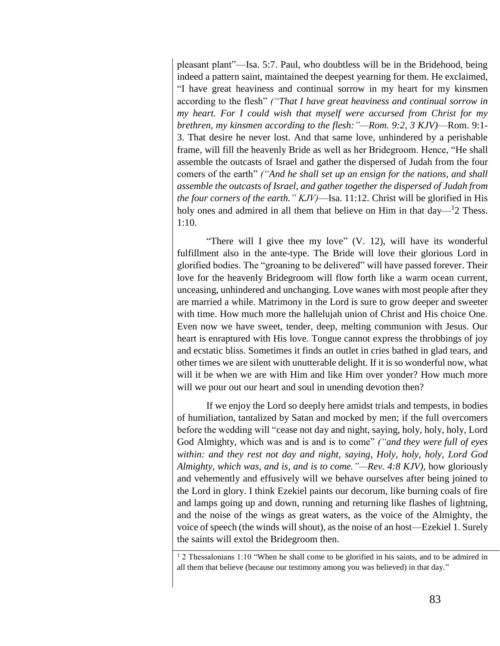pleasant plant"—Isa. 5:7. Paul, who doubtless will be in the Bridehood, being indeed a pattern saint, maintained the deepest yearning for them. He exclaimed, "I have great heaviness and continual sorrow in my heart for my kinsmen according to the flesh" *("That I have great heaviness and continual sorrow in my heart. For I could wish that myself were accursed from Christ for my brethren, my kinsmen according to the flesh:"—Rom. 9:2, 3 KJV)*—Rom. 9:1- 3. That desire he never lost. And that same love, unhindered by a perishable frame, will fill the heavenly Bride as well as her Bridegroom. Hence, "He shall assemble the outcasts of Israel and gather the dispersed of Judah from the four comers of the earth" *("And he shall set up an ensign for the nations, and shall assemble the outcasts of Israel, and gather together the dispersed of Judah from the four corners of the earth." KJV)*—Isa. 11:12. Christ will be glorified in His holy ones and admired in all them that believe on Him in that  $day$ — $12$  Thess. 1:10.

"There will I give thee my love" (V. 12), will have its wonderful fulfillment also in the ante-type. The Bride will love their glorious Lord in glorified bodies. The "groaning to be delivered" will have passed forever. Their love for the heavenly Bridegroom will flow forth like a warm ocean current, unceasing, unhindered and unchanging. Love wanes with most people after they are married a while. Matrimony in the Lord is sure to grow deeper and sweeter with time. How much more the hallelujah union of Christ and His choice One. Even now we have sweet, tender, deep, melting communion with Jesus. Our heart is enraptured with His love. Tongue cannot express the throbbings of joy and ecstatic bliss. Sometimes it finds an outlet in cries bathed in glad tears, and other times we are silent with unutterable delight. If it is so wonderful now, what will it be when we are with Him and like Him over yonder? How much more will we pour out our heart and soul in unending devotion then?

If we enjoy the Lord so deeply here amidst trials and tempests, in bodies of humiliation, tantalized by Satan and mocked by men; if the full overcomers before the wedding will "cease not day and night, saying, holy, holy, holy, Lord God Almighty, which was and is and is to come" *("and they were full of eyes within: and they rest not day and night, saying, Holy, holy, holy, Lord God Almighty, which was, and is, and is to come."—Rev. 4:8 KJV)*, how gloriously and vehemently and effusively will we behave ourselves after being joined to the Lord in glory. I think Ezekiel paints our decorum, like burning coals of fire and lamps going up and down, running and returning like flashes of lightning, and the noise of the wings as great waters, as the voice of the Almighty, the voice of speech (the winds will shout), as the noise of an host—Ezekiel 1. Surely the saints will extol the Bridegroom then.

 $12$  Thessalonians 1:10 "When he shall come to be glorified in his saints, and to be admired in all them that believe (because our testimony among you was believed) in that day."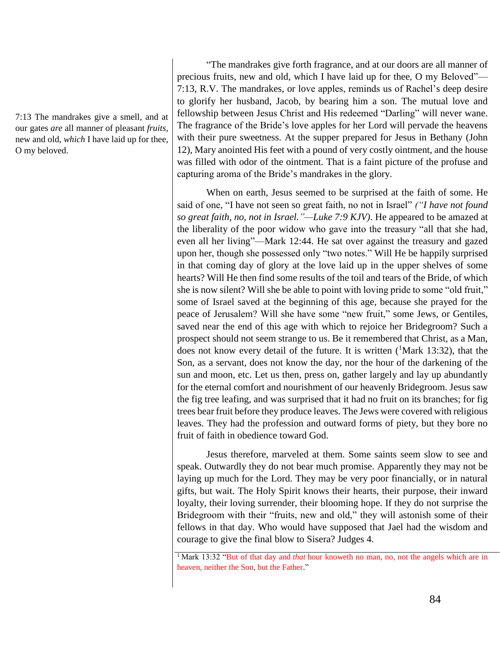7:13 The mandrakes give a smell, and at our gates *are* all manner of pleasant *fruits*, new and old, *which* I have laid up for thee, O my beloved.

"The mandrakes give forth fragrance, and at our doors are all manner of precious fruits, new and old, which I have laid up for thee, O my Beloved"— 7:13, R.V. The mandrakes, or love apples, reminds us of Rachel's deep desire to glorify her husband, Jacob, by bearing him a son. The mutual love and fellowship between Jesus Christ and His redeemed "Darling" will never wane. The fragrance of the Bride's love apples for her Lord will pervade the heavens with their pure sweetness. At the supper prepared for Jesus in Bethany (John 12), Mary anointed His feet with a pound of very costly ointment, and the house was filled with odor of the ointment. That is a faint picture of the profuse and capturing aroma of the Bride's mandrakes in the glory.

When on earth, Jesus seemed to be surprised at the faith of some. He said of one, "I have not seen so great faith, no not in Israel" *("I have not found so great faith, no, not in Israel."—Luke 7:9 KJV)*. He appeared to be amazed at the liberality of the poor widow who gave into the treasury "all that she had, even all her living"—Mark 12:44. He sat over against the treasury and gazed upon her, though she possessed only "two notes." Will He be happily surprised in that coming day of glory at the love laid up in the upper shelves of some hearts? Will He then find some results of the toil and tears of the Bride, of which she is now silent? Will she be able to point with loving pride to some "old fruit," some of Israel saved at the beginning of this age, because she prayed for the peace of Jerusalem? Will she have some "new fruit," some Jews, or Gentiles, saved near the end of this age with which to rejoice her Bridegroom? Such a prospect should not seem strange to us. Be it remembered that Christ, as a Man, does not know every detail of the future. It is written  $(^1$ Mark 13:32), that the Son, as a servant, does not know the day, nor the hour of the darkening of the sun and moon, etc. Let us then, press on, gather largely and lay up abundantly for the eternal comfort and nourishment of our heavenly Bridegroom. Jesus saw the fig tree leafing, and was surprised that it had no fruit on its branches; for fig trees bear fruit before they produce leaves. The Jews were covered with religious leaves. They had the profession and outward forms of piety, but they bore no fruit of faith in obedience toward God.

Jesus therefore, marveled at them. Some saints seem slow to see and speak. Outwardly they do not bear much promise. Apparently they may not be laying up much for the Lord. They may be very poor financially, or in natural gifts, but wait. The Holy Spirit knows their hearts, their purpose, their inward loyalty, their loving surrender, their blooming hope. If they do not surprise the Bridegroom with their "fruits, new and old," they will astonish some of their fellows in that day. Who would have supposed that Jael had the wisdom and courage to give the final blow to Sisera? Judges 4.

<sup>&</sup>lt;sup>1</sup> Mark 13:32 "But of that day and *that* hour knoweth no man, no, not the angels which are in heaven, neither the Son, but the Father."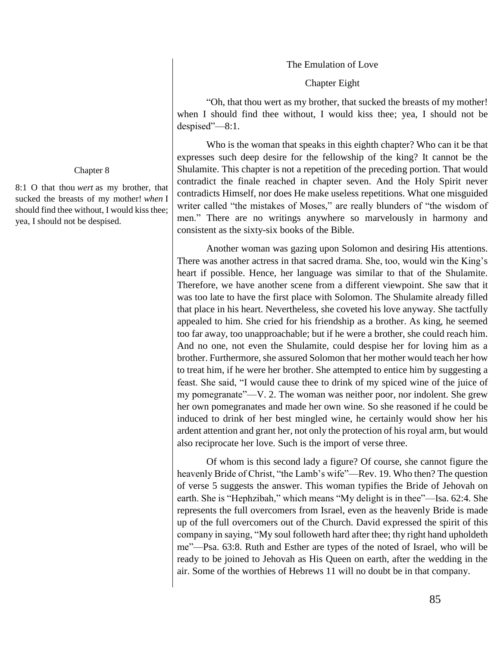The Emulation of Love

Chapter Eight

"Oh, that thou wert as my brother, that sucked the breasts of my mother! when I should find thee without, I would kiss thee; yea, I should not be despised"—8:1.

Who is the woman that speaks in this eighth chapter? Who can it be that expresses such deep desire for the fellowship of the king? It cannot be the Shulamite. This chapter is not a repetition of the preceding portion. That would contradict the finale reached in chapter seven. And the Holy Spirit never contradicts Himself, nor does He make useless repetitions. What one misguided writer called "the mistakes of Moses," are really blunders of "the wisdom of men." There are no writings anywhere so marvelously in harmony and consistent as the sixty-six books of the Bible.

Another woman was gazing upon Solomon and desiring His attentions. There was another actress in that sacred drama. She, too, would win the King's heart if possible. Hence, her language was similar to that of the Shulamite. Therefore, we have another scene from a different viewpoint. She saw that it was too late to have the first place with Solomon. The Shulamite already filled that place in his heart. Nevertheless, she coveted his love anyway. She tactfully appealed to him. She cried for his friendship as a brother. As king, he seemed too far away, too unapproachable; but if he were a brother, she could reach him. And no one, not even the Shulamite, could despise her for loving him as a brother. Furthermore, she assured Solomon that her mother would teach her how to treat him, if he were her brother. She attempted to entice him by suggesting a feast. She said, "I would cause thee to drink of my spiced wine of the juice of my pomegranate"—V. 2. The woman was neither poor, nor indolent. She grew her own pomegranates and made her own wine. So she reasoned if he could be induced to drink of her best mingled wine, he certainly would show her his ardent attention and grant her, not only the protection of his royal arm, but would also reciprocate her love. Such is the import of verse three.

Of whom is this second lady a figure? Of course, she cannot figure the heavenly Bride of Christ, "the Lamb's wife"—Rev. 19. Who then? The question of verse 5 suggests the answer. This woman typifies the Bride of Jehovah on earth. She is "Hephzibah," which means "My delight is in thee"—Isa. 62:4. She represents the full overcomers from Israel, even as the heavenly Bride is made up of the full overcomers out of the Church. David expressed the spirit of this company in saying, "My soul followeth hard after thee; thy right hand upholdeth me"—Psa. 63:8. Ruth and Esther are types of the noted of Israel, who will be ready to be joined to Jehovah as His Queen on earth, after the wedding in the air. Some of the worthies of Hebrews 11 will no doubt be in that company.

#### Chapter 8

8:1 O that thou *wert* as my brother, that sucked the breasts of my mother! *when* I should find thee without, I would kiss thee; yea, I should not be despised.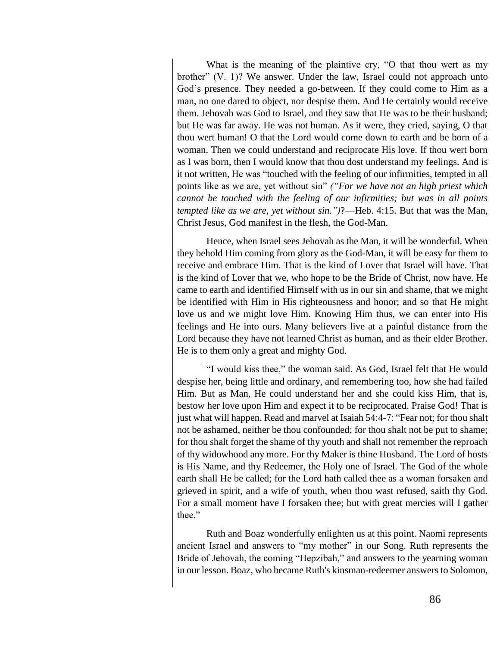What is the meaning of the plaintive cry, "O that thou wert as my brother" (V. 1)? We answer. Under the law, Israel could not approach unto God's presence. They needed a go-between. If they could come to Him as a man, no one dared to object, nor despise them. And He certainly would receive them. Jehovah was God to Israel, and they saw that He was to be their husband; but He was far away. He was not human. As it were, they cried, saying, O that thou wert human! O that the Lord would come down to earth and be born of a woman. Then we could understand and reciprocate His love. If thou wert born as I was born, then I would know that thou dost understand my feelings. And is it not written, He was "touched with the feeling of our infirmities, tempted in all points like as we are, yet without sin" *("For we have not an high priest which cannot be touched with the feeling of our infirmities; but was in all points tempted like as we are, yet without sin.")*?—Heb. 4:15. But that was the Man, Christ Jesus, God manifest in the flesh, the God-Man.

Hence, when Israel sees Jehovah as the Man, it will be wonderful. When they behold Him coming from glory as the God-Man, it will be easy for them to receive and embrace Him. That is the kind of Lover that Israel will have. That is the kind of Lover that we, who hope to be the Bride of Christ, now have. He came to earth and identified Himself with us in our sin and shame, that we might be identified with Him in His righteousness and honor; and so that He might love us and we might love Him. Knowing Him thus, we can enter into His feelings and He into ours. Many believers live at a painful distance from the Lord because they have not learned Christ as human, and as their elder Brother. He is to them only a great and mighty God.

"I would kiss thee," the woman said. As God, Israel felt that He would despise her, being little and ordinary, and remembering too, how she had failed Him. But as Man, He could understand her and she could kiss Him, that is, bestow her love upon Him and expect it to be reciprocated. Praise God! That is just what will happen. Read and marvel at Isaiah 54:4-7: "Fear not; for thou shalt not be ashamed, neither be thou confounded; for thou shalt not be put to shame; for thou shalt forget the shame of thy youth and shall not remember the reproach of thy widowhood any more. For thy Maker is thine Husband. The Lord of hosts is His Name, and thy Redeemer, the Holy one of Israel. The God of the whole earth shall He be called; for the Lord hath called thee as a woman forsaken and grieved in spirit, and a wife of youth, when thou wast refused, saith thy God. For a small moment have I forsaken thee; but with great mercies will I gather thee."

Ruth and Boaz wonderfully enlighten us at this point. Naomi represents ancient Israel and answers to "my mother" in our Song. Ruth represents the Bride of Jehovah, the coming "Hepzibah," and answers to the yearning woman in our lesson. Boaz, who became Ruth's kinsman-redeemer answers to Solomon,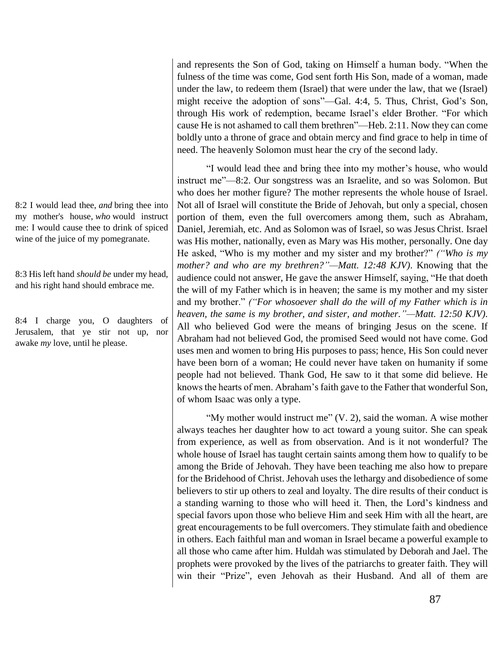8:2 I would lead thee, *and* bring thee into my mother's house, *who* would instruct me: I would cause thee to drink of spiced wine of the juice of my pomegranate.

8:3 His left hand *should be* under my head, and his right hand should embrace me.

8:4 I charge you, O daughters of Jerusalem, that ye stir not up, nor awake *my* love, until he please.

and represents the Son of God, taking on Himself a human body. "When the fulness of the time was come, God sent forth His Son, made of a woman, made under the law, to redeem them (Israel) that were under the law, that we (Israel) might receive the adoption of sons"—Gal. 4:4, 5. Thus, Christ, God's Son, through His work of redemption, became Israel's elder Brother. "For which cause He is not ashamed to call them brethren"—Heb. 2:11. Now they can come boldly unto a throne of grace and obtain mercy and find grace to help in time of need. The heavenly Solomon must hear the cry of the second lady.

"I would lead thee and bring thee into my mother's house, who would instruct me"—8:2. Our songstress was an Israelite, and so was Solomon. But who does her mother figure? The mother represents the whole house of Israel. Not all of Israel will constitute the Bride of Jehovah, but only a special, chosen portion of them, even the full overcomers among them, such as Abraham, Daniel, Jeremiah, etc. And as Solomon was of Israel, so was Jesus Christ. Israel was His mother, nationally, even as Mary was His mother, personally. One day He asked, "Who is my mother and my sister and my brother?" *("Who is my mother? and who are my brethren?"—Matt. 12:48 KJV)*. Knowing that the audience could not answer, He gave the answer Himself, saying, "He that doeth the will of my Father which is in heaven; the same is my mother and my sister and my brother." *("For whosoever shall do the will of my Father which is in heaven, the same is my brother, and sister, and mother."—Matt. 12:50 KJV)*. All who believed God were the means of bringing Jesus on the scene. If Abraham had not believed God, the promised Seed would not have come. God uses men and women to bring His purposes to pass; hence, His Son could never have been born of a woman; He could never have taken on humanity if some people had not believed. Thank God, He saw to it that some did believe. He knows the hearts of men. Abraham's faith gave to the Father that wonderful Son, of whom Isaac was only a type.

"My mother would instruct me"  $(V, 2)$ , said the woman. A wise mother always teaches her daughter how to act toward a young suitor. She can speak from experience, as well as from observation. And is it not wonderful? The whole house of Israel has taught certain saints among them how to qualify to be among the Bride of Jehovah. They have been teaching me also how to prepare for the Bridehood of Christ. Jehovah uses the lethargy and disobedience of some believers to stir up others to zeal and loyalty. The dire results of their conduct is a standing warning to those who will heed it. Then, the Lord's kindness and special favors upon those who believe Him and seek Him with all the heart, are great encouragements to be full overcomers. They stimulate faith and obedience in others. Each faithful man and woman in Israel became a powerful example to all those who came after him. Huldah was stimulated by Deborah and Jael. The prophets were provoked by the lives of the patriarchs to greater faith. They will win their "Prize", even Jehovah as their Husband. And all of them are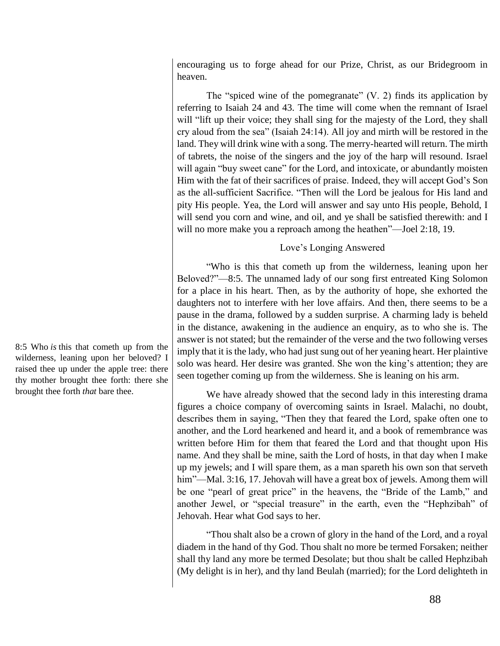encouraging us to forge ahead for our Prize, Christ, as our Bridegroom in heaven.

The "spiced wine of the pomegranate" (V. 2) finds its application by referring to Isaiah 24 and 43. The time will come when the remnant of Israel will "lift up their voice; they shall sing for the majesty of the Lord, they shall cry aloud from the sea" (Isaiah 24:14). All joy and mirth will be restored in the land. They will drink wine with a song. The merry-hearted will return. The mirth of tabrets, the noise of the singers and the joy of the harp will resound. Israel will again "buy sweet cane" for the Lord, and intoxicate, or abundantly moisten Him with the fat of their sacrifices of praise. Indeed, they will accept God's Son as the all-sufficient Sacrifice. "Then will the Lord be jealous for His land and pity His people. Yea, the Lord will answer and say unto His people, Behold, I will send you corn and wine, and oil, and ye shall be satisfied therewith: and I will no more make you a reproach among the heathen"—Joel 2:18, 19.

#### Love's Longing Answered

"Who is this that cometh up from the wilderness, leaning upon her Beloved?"—8:5. The unnamed lady of our song first entreated King Solomon for a place in his heart. Then, as by the authority of hope, she exhorted the daughters not to interfere with her love affairs. And then, there seems to be a pause in the drama, followed by a sudden surprise. A charming lady is beheld in the distance, awakening in the audience an enquiry, as to who she is. The answer is not stated; but the remainder of the verse and the two following verses imply that it is the lady, who had just sung out of her yeaning heart. Her plaintive solo was heard. Her desire was granted. She won the king's attention; they are seen together coming up from the wilderness. She is leaning on his arm.

We have already showed that the second lady in this interesting drama figures a choice company of overcoming saints in Israel. Malachi, no doubt, describes them in saying, "Then they that feared the Lord, spake often one to another, and the Lord hearkened and heard it, and a book of remembrance was written before Him for them that feared the Lord and that thought upon His name. And they shall be mine, saith the Lord of hosts, in that day when I make up my jewels; and I will spare them, as a man spareth his own son that serveth him"—Mal. 3:16, 17. Jehovah will have a great box of jewels. Among them will be one "pearl of great price" in the heavens, the "Bride of the Lamb," and another Jewel, or "special treasure" in the earth, even the "Hephzibah" of Jehovah. Hear what God says to her.

"Thou shalt also be a crown of glory in the hand of the Lord, and a royal diadem in the hand of thy God. Thou shalt no more be termed Forsaken; neither shall thy land any more be termed Desolate; but thou shalt be called Hephzibah (My delight is in her), and thy land Beulah (married); for the Lord delighteth in

8:5 Who *is* this that cometh up from the wilderness, leaning upon her beloved? I raised thee up under the apple tree: there thy mother brought thee forth: there she brought thee forth *that* bare thee.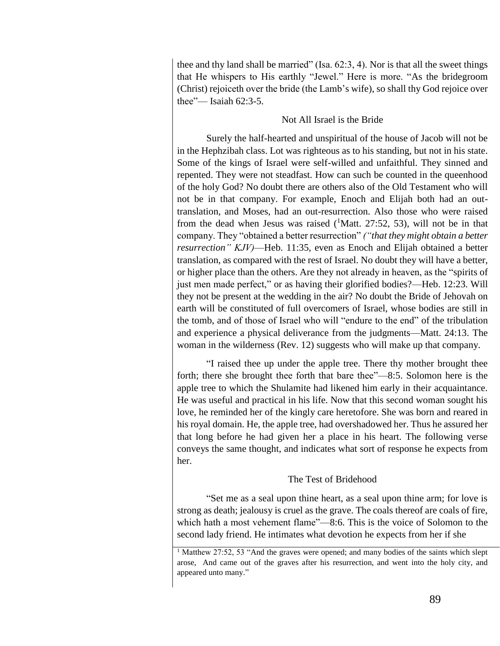thee and thy land shall be married" (Isa.  $62:3, 4$ ). Nor is that all the sweet things that He whispers to His earthly "Jewel." Here is more. "As the bridegroom (Christ) rejoiceth over the bride (the Lamb's wife), so shall thy God rejoice over thee"— Isaiah 62:3-5.

## Not All Israel is the Bride

Surely the half-hearted and unspiritual of the house of Jacob will not be in the Hephzibah class. Lot was righteous as to his standing, but not in his state. Some of the kings of Israel were self-willed and unfaithful. They sinned and repented. They were not steadfast. How can such be counted in the queenhood of the holy God? No doubt there are others also of the Old Testament who will not be in that company. For example, Enoch and Elijah both had an outtranslation, and Moses, had an out-resurrection. Also those who were raised from the dead when Jesus was raised  $(^1$ Matt. 27:52, 53), will not be in that company. They "obtained a better resurrection" *("that they might obtain a better resurrection" KJV)*—Heb. 11:35, even as Enoch and Elijah obtained a better translation, as compared with the rest of Israel. No doubt they will have a better, or higher place than the others. Are they not already in heaven, as the "spirits of just men made perfect," or as having their glorified bodies?—Heb. 12:23. Will they not be present at the wedding in the air? No doubt the Bride of Jehovah on earth will be constituted of full overcomers of Israel, whose bodies are still in the tomb, and of those of Israel who will "endure to the end" of the tribulation and experience a physical deliverance from the judgments—Matt. 24:13. The woman in the wilderness (Rev. 12) suggests who will make up that company.

"I raised thee up under the apple tree. There thy mother brought thee forth; there she brought thee forth that bare thee"—8:5. Solomon here is the apple tree to which the Shulamite had likened him early in their acquaintance. He was useful and practical in his life. Now that this second woman sought his love, he reminded her of the kingly care heretofore. She was born and reared in his royal domain. He, the apple tree, had overshadowed her. Thus he assured her that long before he had given her a place in his heart. The following verse conveys the same thought, and indicates what sort of response he expects from her.

## The Test of Bridehood

"Set me as a seal upon thine heart, as a seal upon thine arm; for love is strong as death; jealousy is cruel as the grave. The coals thereof are coals of fire, which hath a most vehement flame"—8:6. This is the voice of Solomon to the second lady friend. He intimates what devotion he expects from her if she

<sup>&</sup>lt;sup>1</sup> Matthew 27:52, 53 "And the graves were opened; and many bodies of the saints which slept arose, And came out of the graves after his resurrection, and went into the holy city, and appeared unto many."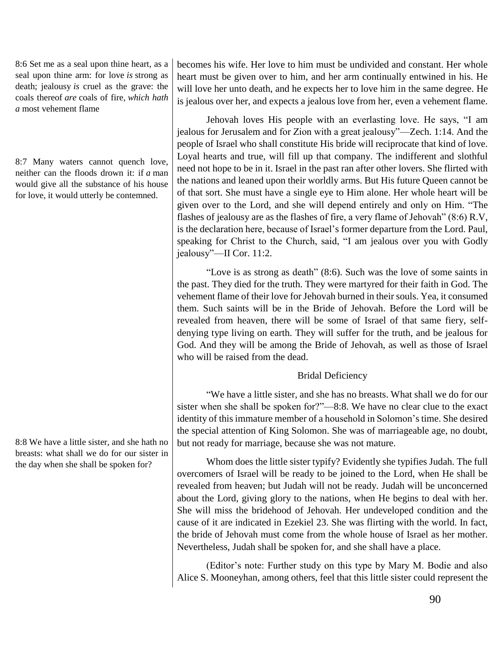8:6 Set me as a seal upon thine heart, as a seal upon thine arm: for love *is* strong as death; jealousy *is* cruel as the grave: the coals thereof *are* coals of fire, *which hath a* most vehement flame

8:7 Many waters cannot quench love, neither can the floods drown it: if *a* man would give all the substance of his house for love, it would utterly be contemned.

8:8 We have a little sister, and she hath no breasts: what shall we do for our sister in the day when she shall be spoken for?

becomes his wife. Her love to him must be undivided and constant. Her whole heart must be given over to him, and her arm continually entwined in his. He will love her unto death, and he expects her to love him in the same degree. He is jealous over her, and expects a jealous love from her, even a vehement flame.

Jehovah loves His people with an everlasting love. He says, "I am jealous for Jerusalem and for Zion with a great jealousy"—Zech. 1:14. And the people of Israel who shall constitute His bride will reciprocate that kind of love. Loyal hearts and true, will fill up that company. The indifferent and slothful need not hope to be in it. Israel in the past ran after other lovers. She flirted with the nations and leaned upon their worldly arms. But His future Queen cannot be of that sort. She must have a single eye to Him alone. Her whole heart will be given over to the Lord, and she will depend entirely and only on Him. "The flashes of jealousy are as the flashes of fire, a very flame of Jehovah" (8:6) R.V, is the declaration here, because of Israel's former departure from the Lord. Paul, speaking for Christ to the Church, said, "I am jealous over you with Godly jealousy"—II Cor. 11:2.

"Love is as strong as death" (8:6). Such was the love of some saints in the past. They died for the truth. They were martyred for their faith in God. The vehement flame of their love for Jehovah burned in their souls. Yea, it consumed them. Such saints will be in the Bride of Jehovah. Before the Lord will be revealed from heaven, there will be some of Israel of that same fiery, selfdenying type living on earth. They will suffer for the truth, and be jealous for God. And they will be among the Bride of Jehovah, as well as those of Israel who will be raised from the dead.

## Bridal Deficiency

"We have a little sister, and she has no breasts. What shall we do for our sister when she shall be spoken for?"—8:8. We have no clear clue to the exact identity of this immature member of a household in Solomon's time. She desired the special attention of King Solomon. She was of marriageable age, no doubt, but not ready for marriage, because she was not mature.

Whom does the little sister typify? Evidently she typifies Judah. The full overcomers of Israel will be ready to be joined to the Lord, when He shall be revealed from heaven; but Judah will not be ready. Judah will be unconcerned about the Lord, giving glory to the nations, when He begins to deal with her. She will miss the bridehood of Jehovah. Her undeveloped condition and the cause of it are indicated in Ezekiel 23. She was flirting with the world. In fact, the bride of Jehovah must come from the whole house of Israel as her mother. Nevertheless, Judah shall be spoken for, and she shall have a place.

(Editor's note: Further study on this type by Mary M. Bodie and also Alice S. Mooneyhan, among others, feel that this little sister could represent the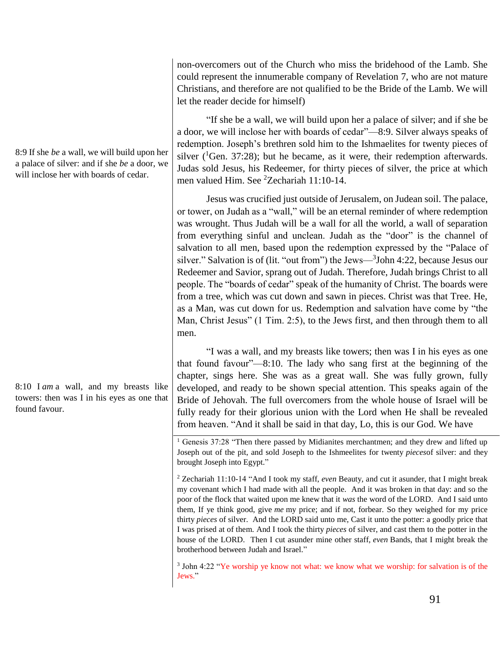non-overcomers out of the Church who miss the bridehood of the Lamb. She could represent the innumerable company of Revelation 7, who are not mature Christians, and therefore are not qualified to be the Bride of the Lamb. We will let the reader decide for himself)

"If she be a wall, we will build upon her a palace of silver; and if she be a door, we will inclose her with boards of cedar"—8:9. Silver always speaks of redemption. Joseph's brethren sold him to the Ishmaelites for twenty pieces of silver  $(^1$ Gen. 37:28); but he became, as it were, their redemption afterwards. Judas sold Jesus, his Redeemer, for thirty pieces of silver, the price at which men valued Him. See <sup>2</sup>Zechariah 11:10-14.

Jesus was crucified just outside of Jerusalem, on Judean soil. The palace, or tower, on Judah as a "wall," will be an eternal reminder of where redemption was wrought. Thus Judah will be a wall for all the world, a wall of separation from everything sinful and unclean. Judah as the "door" is the channel of salvation to all men, based upon the redemption expressed by the "Palace of silver." Salvation is of (lit. "out from") the Jews—<sup>3</sup>John 4:22, because Jesus our Redeemer and Savior, sprang out of Judah. Therefore, Judah brings Christ to all people. The "boards of cedar" speak of the humanity of Christ. The boards were from a tree, which was cut down and sawn in pieces. Christ was that Tree. He, as a Man, was cut down for us. Redemption and salvation have come by "the Man, Christ Jesus" (1 Tim. 2:5), to the Jews first, and then through them to all men.

"I was a wall, and my breasts like towers; then was I in his eyes as one that found favour"—8:10. The lady who sang first at the beginning of the chapter, sings here. She was as a great wall. She was fully grown, fully developed, and ready to be shown special attention. This speaks again of the Bride of Jehovah. The full overcomers from the whole house of Israel will be fully ready for their glorious union with the Lord when He shall be revealed from heaven. "And it shall be said in that day, Lo, this is our God. We have

<sup>1</sup> Genesis 37:28 "Then there passed by Midianites merchantmen; and they drew and lifted up Joseph out of the pit, and sold Joseph to the Ishmeelites for twenty *pieces*of silver: and they brought Joseph into Egypt."

<sup>2</sup> Zechariah 11:10-14 "And I took my staff, *even* Beauty, and cut it asunder, that I might break my covenant which I had made with all the people. And it was broken in that day: and so the poor of the flock that waited upon me knew that it *was* the word of the LORD. And I said unto them, If ye think good, give *me* my price; and if not, forbear. So they weighed for my price thirty *pieces* of silver. And the LORD said unto me, Cast it unto the potter: a goodly price that I was prised at of them. And I took the thirty *pieces* of silver, and cast them to the potter in the house of the LORD. Then I cut asunder mine other staff, *even* Bands, that I might break the brotherhood between Judah and Israel."

3 John 4:22 "Ye worship ye know not what: we know what we worship: for salvation is of the Jews."

8:9 If she *be* a wall, we will build upon her a palace of silver: and if she *be* a door, we will inclose her with boards of cedar.

8:10 I *am* a wall, and my breasts like towers: then was I in his eyes as one that found favour.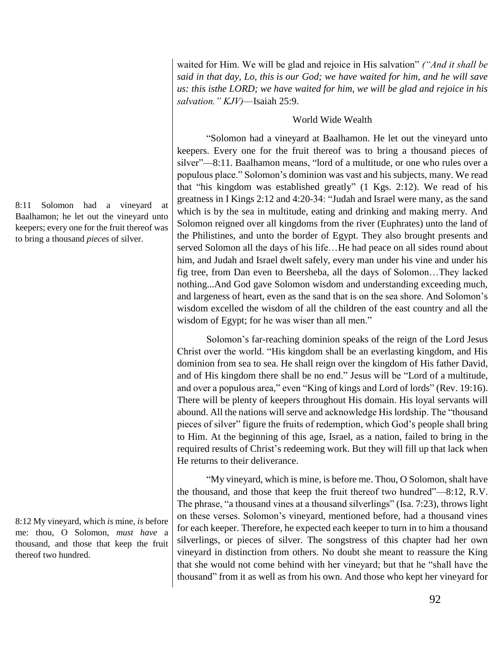waited for Him. We will be glad and rejoice in His salvation" *("And it shall be said in that day, Lo, this is our God; we have waited for him, and he will save us: this isthe LORD; we have waited for him, we will be glad and rejoice in his salvation." KJV)*—Isaiah 25:9.

#### World Wide Wealth

"Solomon had a vineyard at Baalhamon. He let out the vineyard unto keepers. Every one for the fruit thereof was to bring a thousand pieces of silver"—8:11. Baalhamon means, "lord of a multitude, or one who rules over a populous place." Solomon's dominion was vast and his subjects, many. We read that "his kingdom was established greatly" (1 Kgs. 2:12). We read of his greatness in I Kings 2:12 and 4:20-34: "Judah and Israel were many, as the sand which is by the sea in multitude, eating and drinking and making merry. And Solomon reigned over all kingdoms from the river (Euphrates) unto the land of the Philistines, and unto the border of Egypt. They also brought presents and served Solomon all the days of his life…He had peace on all sides round about him, and Judah and Israel dwelt safely, every man under his vine and under his fig tree, from Dan even to Beersheba, all the days of Solomon…They lacked nothing...And God gave Solomon wisdom and understanding exceeding much, and largeness of heart, even as the sand that is on the sea shore. And Solomon's wisdom excelled the wisdom of all the children of the east country and all the wisdom of Egypt; for he was wiser than all men."

Solomon's far-reaching dominion speaks of the reign of the Lord Jesus Christ over the world. "His kingdom shall be an everlasting kingdom, and His dominion from sea to sea. He shall reign over the kingdom of His father David, and of His kingdom there shall be no end." Jesus will be "Lord of a multitude, and over a populous area," even "King of kings and Lord of lords" (Rev. 19:16). There will be plenty of keepers throughout His domain. His loyal servants will abound. All the nations will serve and acknowledge His lordship. The "thousand pieces of silver" figure the fruits of redemption, which God's people shall bring to Him. At the beginning of this age, Israel, as a nation, failed to bring in the required results of Christ's redeeming work. But they will fill up that lack when He returns to their deliverance.

"My vineyard, which is mine, is before me. Thou, O Solomon, shalt have the thousand, and those that keep the fruit thereof two hundred"—8:12, R.V. The phrase, "a thousand vines at a thousand silverlings" (Isa. 7:23), throws light on these verses. Solomon's vineyard, mentioned before, had a thousand vines for each keeper. Therefore, he expected each keeper to turn in to him a thousand silverlings, or pieces of silver. The songstress of this chapter had her own vineyard in distinction from others. No doubt she meant to reassure the King that she would not come behind with her vineyard; but that he "shall have the thousand" from it as well as from his own. And those who kept her vineyard for

8:11 Solomon had a vineyard at Baalhamon; he let out the vineyard unto keepers; every one for the fruit thereof was to bring a thousand *pieces* of silver.

8:12 My vineyard, which *is* mine, *is* before me: thou, O Solomon, *must have* a thousand, and those that keep the fruit thereof two hundred.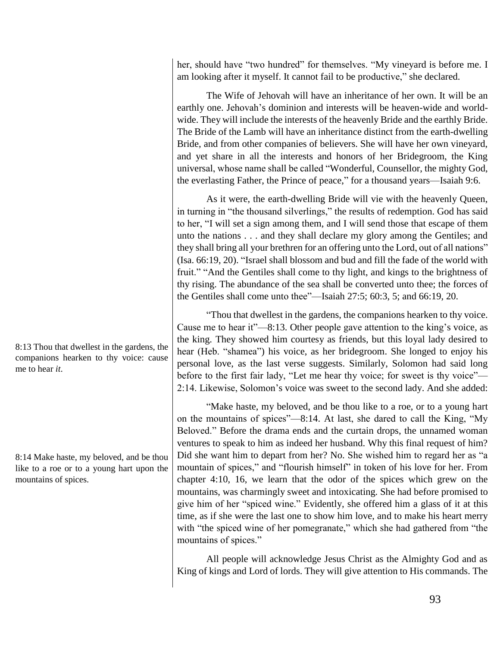her, should have "two hundred" for themselves. "My vineyard is before me. I am looking after it myself. It cannot fail to be productive," she declared.

The Wife of Jehovah will have an inheritance of her own. It will be an earthly one. Jehovah's dominion and interests will be heaven-wide and worldwide. They will include the interests of the heavenly Bride and the earthly Bride. The Bride of the Lamb will have an inheritance distinct from the earth-dwelling Bride, and from other companies of believers. She will have her own vineyard, and yet share in all the interests and honors of her Bridegroom, the King universal, whose name shall be called "Wonderful, Counsellor, the mighty God, the everlasting Father, the Prince of peace," for a thousand years—Isaiah 9:6.

As it were, the earth-dwelling Bride will vie with the heavenly Queen, in turning in "the thousand silverlings," the results of redemption. God has said to her, "I will set a sign among them, and I will send those that escape of them unto the nations . . . and they shall declare my glory among the Gentiles; and they shall bring all your brethren for an offering unto the Lord, out of all nations" (Isa. 66:19, 20). "Israel shall blossom and bud and fill the fade of the world with fruit." "And the Gentiles shall come to thy light, and kings to the brightness of thy rising. The abundance of the sea shall be converted unto thee; the forces of the Gentiles shall come unto thee"—Isaiah 27:5; 60:3, 5; and 66:19, 20.

"Thou that dwellest in the gardens, the companions hearken to thy voice. Cause me to hear it"—8:13. Other people gave attention to the king's voice, as the king. They showed him courtesy as friends, but this loyal lady desired to hear (Heb. "shamea") his voice, as her bridegroom. She longed to enjoy his personal love, as the last verse suggests. Similarly, Solomon had said long before to the first fair lady, "Let me hear thy voice; for sweet is thy voice"— 2:14. Likewise, Solomon's voice was sweet to the second lady. And she added:

"Make haste, my beloved, and be thou like to a roe, or to a young hart on the mountains of spices"—8:14. At last, she dared to call the King, "My Beloved." Before the drama ends and the curtain drops, the unnamed woman ventures to speak to him as indeed her husband. Why this final request of him? Did she want him to depart from her? No. She wished him to regard her as "a mountain of spices," and "flourish himself" in token of his love for her. From chapter 4:10, 16, we learn that the odor of the spices which grew on the mountains, was charmingly sweet and intoxicating. She had before promised to give him of her "spiced wine." Evidently, she offered him a glass of it at this time, as if she were the last one to show him love, and to make his heart merry with "the spiced wine of her pomegranate," which she had gathered from "the mountains of spices."

All people will acknowledge Jesus Christ as the Almighty God and as King of kings and Lord of lords. They will give attention to His commands. The

8:13 Thou that dwellest in the gardens, the companions hearken to thy voice: cause me to hear *it*.

8:14 Make haste, my beloved, and be thou like to a roe or to a young hart upon the mountains of spices.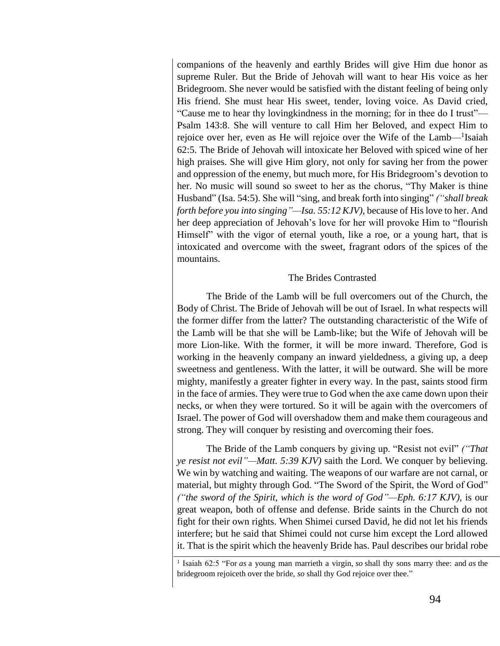companions of the heavenly and earthly Brides will give Him due honor as supreme Ruler. But the Bride of Jehovah will want to hear His voice as her Bridegroom. She never would be satisfied with the distant feeling of being only His friend. She must hear His sweet, tender, loving voice. As David cried, "Cause me to hear thy lovingkindness in the morning; for in thee do I trust"— Psalm 143:8. She will venture to call Him her Beloved, and expect Him to rejoice over her, even as He will rejoice over the Wife of the Lamb—<sup>1</sup>Isaiah 62:5. The Bride of Jehovah will intoxicate her Beloved with spiced wine of her high praises. She will give Him glory, not only for saving her from the power and oppression of the enemy, but much more, for His Bridegroom's devotion to her. No music will sound so sweet to her as the chorus, "Thy Maker is thine Husband" (Isa. 54:5). She will "sing, and break forth into singing" *("shall break forth before you into singing"—Isa. 55:12 KJV)*, because of His love to her. And her deep appreciation of Jehovah's love for her will provoke Him to "flourish Himself" with the vigor of eternal youth, like a roe, or a young hart, that is intoxicated and overcome with the sweet, fragrant odors of the spices of the mountains.

#### The Brides Contrasted

The Bride of the Lamb will be full overcomers out of the Church, the Body of Christ. The Bride of Jehovah will be out of Israel. In what respects will the former differ from the latter? The outstanding characteristic of the Wife of the Lamb will be that she will be Lamb-like; but the Wife of Jehovah will be more Lion-like. With the former, it will be more inward. Therefore, God is working in the heavenly company an inward yieldedness, a giving up, a deep sweetness and gentleness. With the latter, it will be outward. She will be more mighty, manifestly a greater fighter in every way. In the past, saints stood firm in the face of armies. They were true to God when the axe came down upon their necks, or when they were tortured. So it will be again with the overcomers of Israel. The power of God will overshadow them and make them courageous and strong. They will conquer by resisting and overcoming their foes.

The Bride of the Lamb conquers by giving up. "Resist not evil" *("That ye resist not evil"—Matt. 5:39 KJV)* saith the Lord. We conquer by believing. We win by watching and waiting. The weapons of our warfare are not carnal, or material, but mighty through God. "The Sword of the Spirit, the Word of God" *("the sword of the Spirit, which is the word of God"—Eph. 6:17 KJV)*, is our great weapon, both of offense and defense. Bride saints in the Church do not fight for their own rights. When Shimei cursed David, he did not let his friends interfere; but he said that Shimei could not curse him except the Lord allowed it. That is the spirit which the heavenly Bride has. Paul describes our bridal robe

<sup>1</sup> Isaiah 62:5 "For *as* a young man marrieth a virgin, *so* shall thy sons marry thee: and *as* the bridegroom rejoiceth over the bride, *so* shall thy God rejoice over thee."